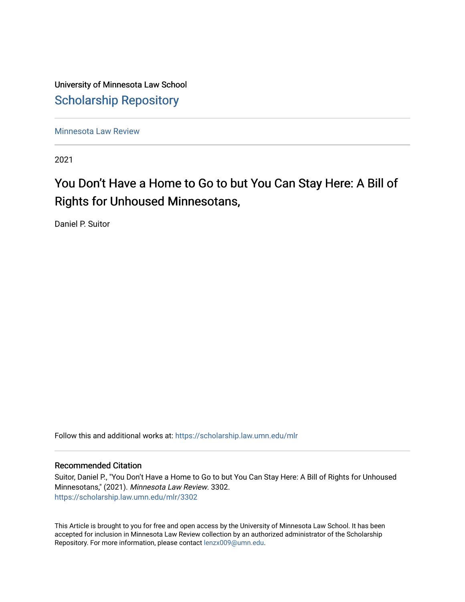University of Minnesota Law School [Scholarship Repository](https://scholarship.law.umn.edu/) 

[Minnesota Law Review](https://scholarship.law.umn.edu/mlr) 

2021

# You Don't Have a Home to Go to but You Can Stay Here: A Bill of Rights for Unhoused Minnesotans,

Daniel P. Suitor

Follow this and additional works at: [https://scholarship.law.umn.edu/mlr](https://scholarship.law.umn.edu/mlr?utm_source=scholarship.law.umn.edu%2Fmlr%2F3302&utm_medium=PDF&utm_campaign=PDFCoverPages)

## Recommended Citation

Suitor, Daniel P., "You Don't Have a Home to Go to but You Can Stay Here: A Bill of Rights for Unhoused Minnesotans," (2021). Minnesota Law Review. 3302. [https://scholarship.law.umn.edu/mlr/3302](https://scholarship.law.umn.edu/mlr/3302?utm_source=scholarship.law.umn.edu%2Fmlr%2F3302&utm_medium=PDF&utm_campaign=PDFCoverPages)

This Article is brought to you for free and open access by the University of Minnesota Law School. It has been accepted for inclusion in Minnesota Law Review collection by an authorized administrator of the Scholarship Repository. For more information, please contact [lenzx009@umn.edu.](mailto:lenzx009@umn.edu)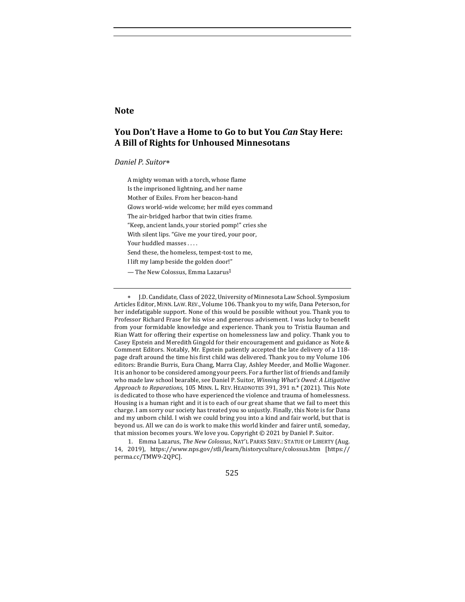#### **Note**

# **You Don't Have a Home to Go to but You** *Can* **Stay Here: A Bill of Rights for Unhoused Minnesotans**

#### *Daniel P. Suitor*\*

A mighty woman with a torch, whose flame Is the imprisoned lightning, and her name Mother of Exiles. From her beacon-hand Glows world-wide welcome; her mild eyes command The air-bridged harbor that twin cities frame. "Keep, ancient lands, your storied pomp!" cries she With silent lips. "Give me your tired, your poor, Your huddled masses .... Send these, the homeless, tempest-tost to me, I lift my lamp beside the golden door!"

 $-$  The New Colossus, Emma Lazarus<sup>1</sup>

1. Emma Lazarus, *The New Colossus*, NAT'L PARKS SERV.: STATUE OF LIBERTY (Aug. 14, 2019), https://www.nps.gov/stli/learn/historyculture/colossus.htm [https:// perma.cc/TMW9-2QPC].

525

J.D. Candidate, Class of 2022, University of Minnesota Law School. Symposium Articles Editor, MINN. LAW. REV., Volume 106. Thank you to my wife, Dana Peterson, for her indefatigable support. None of this would be possible without you. Thank you to Professor Richard Frase for his wise and generous advisement. I was lucky to benefit from your formidable knowledge and experience. Thank you to Tristia Bauman and Rian Watt for offering their expertise on homelessness law and policy. Thank you to Casey Epstein and Meredith Gingold for their encouragement and guidance as Note & Comment Editors. Notably, Mr. Epstein patiently accepted the late delivery of a 118page draft around the time his first child was delivered. Thank you to my Volume 106 editors: Brandie Burris, Eura Chang, Marra Clay, Ashley Meeder, and Mollie Wagoner. It is an honor to be considered among your peers. For a further list of friends and family who made law school bearable, see Daniel P. Suitor, *Winning What's Owed: A Litigative Approach to Reparations*, 105 MINN. L. REV. HEADNOTES 391, 391 n.\* (2021). This Note is dedicated to those who have experienced the violence and trauma of homelessness. Housing is a human right and it is to each of our great shame that we fail to meet this charge. I am sorry our society has treated you so unjustly. Finally, this Note is for Dana and my unborn child. I wish we could bring you into a kind and fair world, but that is beyond us. All we can do is work to make this world kinder and fairer until, someday, that mission becomes yours. We love you. Copyright  $©$  2021 by Daniel P. Suitor.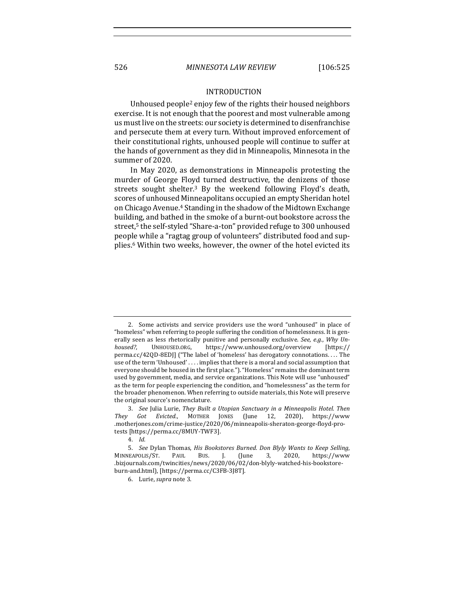#### INTRODUCTION

Unhoused people<sup>2</sup> enjoy few of the rights their housed neighbors exercise. It is not enough that the poorest and most vulnerable among us must live on the streets: our society is determined to disenfranchise and persecute them at every turn. Without improved enforcement of their constitutional rights, unhoused people will continue to suffer at the hands of government as they did in Minneapolis, Minnesota in the summer of 2020.

In May 2020, as demonstrations in Minneapolis protesting the murder of George Floyd turned destructive, the denizens of those streets sought shelter.<sup>3</sup> By the weekend following Floyd's death, scores of unhoused Minneapolitans occupied an empty Sheridan hotel on Chicago Avenue.<sup>4</sup> Standing in the shadow of the Midtown Exchange building, and bathed in the smoke of a burnt-out bookstore across the street,<sup>5</sup> the self-styled "Share-a-ton" provided refuge to 300 unhoused people while a "ragtag group of volunteers" distributed food and supplies.<sup>6</sup> Within two weeks, however, the owner of the hotel evicted its

<sup>2.</sup> Some activists and service providers use the word "unhoused" in place of "homeless" when referring to people suffering the condition of homelessness. It is generally seen as less rhetorically punitive and personally exclusive. See, e.g., Why Un*housed?*, UNHOUSED.ORG, https://www.unhoused.org/overview [https:// perma.cc/42QD-8EDJ] ("The label of 'homeless' has derogatory connotations. . . . The use of the term 'Unhoused' .... implies that there is a moral and social assumption that everyone should be housed in the first place."). "Homeless" remains the dominant term used by government, media, and service organizations. This Note will use "unhoused" as the term for people experiencing the condition, and "homelessness" as the term for the broader phenomenon. When referring to outside materials, this Note will preserve the original source's nomenclature.

<sup>3.</sup> See Julia Lurie, They Built a Utopian Sanctuary in a Minneapolis Hotel. Then *They Got Evicted.*, MOTHER JONES (June 12, 2020), https://www .motherjones.com/crime-justice/2020/06/minneapolis-sheraton-george-floyd-protests [https://perma.cc/8MUY-TWF3].

<sup>4.</sup> *Id.*

<sup>5.</sup> *See* Dylan Thomas, *His Bookstores Burned. Don Blyly Wants to Keep Selling,* MINNEAPOLIS/ST. PAUL BUS. J. (June 3, 2020, https://www .bizjournals.com/twincities/news/2020/06/02/don-blyly-watched-his-bookstoreburn-and.html), [https://perma.cc/C3FB-3J8T].

<sup>6.</sup> Lurie, *supra* note 3.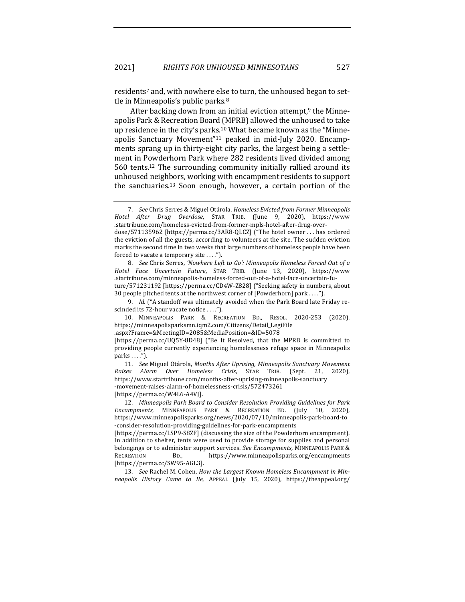residents<sup>7</sup> and, with nowhere else to turn, the unhoused began to settle in Minneapolis's public parks. $8$ 

After backing down from an initial eviction attempt, $9$  the Minneapolis Park & Recreation Board (MPRB) allowed the unhoused to take up residence in the city's parks.<sup>10</sup> What became known as the "Minneapolis Sanctuary Movement"<sup>11</sup> peaked in mid-July 2020. Encampments sprang up in thirty-eight city parks, the largest being a settlement in Powderhorn Park where 282 residents lived divided among 560 tents.<sup>12</sup> The surrounding community initially rallied around its unhoused neighbors, working with encampment residents to support the sanctuaries.<sup>13</sup> Soon enough, however, a certain portion of the

8. *See* Chris Serres, 'Nowhere Left to Go': Minneapolis Homeless Forced Out of a *Hotel Face Uncertain Future*, STAR TRIB. (June 13, 2020), https://www .startribune.com/minneapolis-homeless-forced-out-of-a-hotel-face-uncertain-future/571231192 [https://perma.cc/CD4W-Z828] ("Seeking safety in numbers, about 30 people pitched tents at the northwest corner of [Powderhorn] park ....").

9. *Id.* ("A standoff was ultimately avoided when the Park Board late Friday rescinded its 72-hour vacate notice ....").

10. MINNEAPOLIS PARK & RECREATION BD., RESOL. 2020-253 (2020), https://minneapolisparksmn.iqm2.com/Citizens/Detail\_LegiFile

.aspx?Frame=&MeetingID=2085&MediaPosition=&ID=5078 

[https://perma.cc/UQ5Y-8D48] ("Be It Resolved, that the MPRB is committed to providing people currently experiencing homelessness refuge space in Minneapolis parks  $\dots$ .").

11. See Miguel Otárola, Months After Uprising, Minneapolis Sanctuary Movement *Raises Alarm Over Homeless Crisis*, STAR TRIB. (Sept. 21, 2020), https://www.startribune.com/months-after-uprising-minneapolis-sanctuary -movement-raises-alarm-of-homelessness-crisis/572473261 [https://perma.cc/W4L6-A4VJ].

12. *Minneapolis Park Board to Consider Resolution Providing Guidelines for Park* Encampments, MINNEAPOLIS PARK & RECREATION BD. (July 10, 2020), https://www.minneapolisparks.org/news/2020/07/10/minneapolis-park-board-to -consider-resolution-providing-guidelines-for-park-encampments 

[https://perma.cc/LSP9-S8ZF] (discussing the size of the Powderhorn encampment). In addition to shelter, tents were used to provide storage for supplies and personal belongings or to administer support services. See Encampments, MINNEAPOLIS PARK & RECREATION BD., https://www.minneapolisparks.org/encampments [https://perma.cc/SW95-AGL3].

13. See Rachel M. Cohen, *How the Largest Known Homeless Encampment in Minneapolis History Came to Be*, APPEAL (July 15, 2020), https://theappeal.org/

<sup>7.</sup> *See* Chris Serres & Miguel Otárola, *Homeless Evicted from Former Minneapolis Hotel After Drug Overdose*, STAR TRIB. (June 9, 2020), https://www .startribune.com/homeless-evicted-from-former-mpls-hotel-after-drug-overdose/571135962 [https://perma.cc/3AR8-QLCZ] ("The hotel owner ... has ordered the eviction of all the guests, according to volunteers at the site. The sudden eviction marks the second time in two weeks that large numbers of homeless people have been forced to vacate a temporary site . . . .").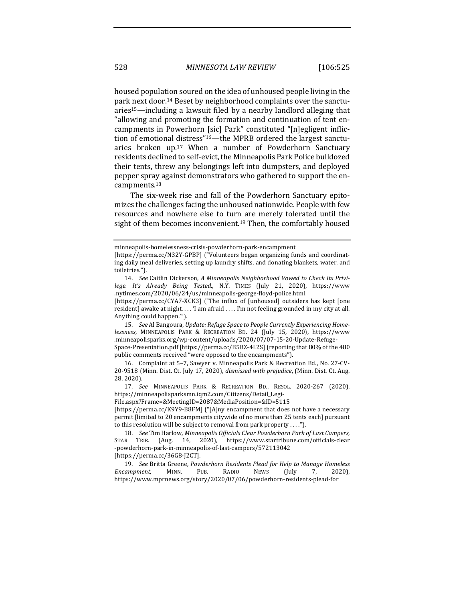housed population soured on the idea of unhoused people living in the park next door.<sup>14</sup> Beset by neighborhood complaints over the sanctu $aries<sup>15</sup>$ —including a lawsuit filed by a nearby landlord alleging that "allowing and promoting the formation and continuation of tent encampments in Powerhorn [sic] Park" constituted "[n]egligent infliction of emotional distress"<sup>16</sup>—the MPRB ordered the largest sanctuaries broken up.<sup>17</sup> When a number of Powderhorn Sanctuary residents declined to self-evict, the Minneapolis Park Police bulldozed their tents, threw any belongings left into dumpsters, and deployed pepper spray against demonstrators who gathered to support the encampments.18

The six-week rise and fall of the Powderhorn Sanctuary epitomizes the challenges facing the unhoused nationwide. People with few resources and nowhere else to turn are merely tolerated until the sight of them becomes inconvenient.<sup>19</sup> Then, the comfortably housed

15. See Al Bangoura, Update: Refuge Space to People Currently Experiencing Home*lessness*, MINNEAPOLIS PARK & RECREATION BD. 24 (July 15, 2020), https://www .minneapolisparks.org/wp-content/uploads/2020/07/07-15-20-Update-Refuge-Space-Presentation.pdf [https://perma.cc/B5BZ-4L2S] (reporting that 80% of the 480

public comments received "were opposed to the encampments"). 16. Complaint at 5-7, Sawyer v. Minneapolis Park & Recreation Bd., No. 27-CV-20-9518 (Minn. Dist. Ct. July 17, 2020), *dismissed with prejudice*, (Minn. Dist. Ct. Aug.

28, 2020).

File.aspx?Frame=&MeetingID=2087&MediaPosition=&ID=5115 

[https://perma.cc/K9Y9-B8FM] ("[A]ny encampment that does not have a necessary permit [limited to 20 encampments citywide of no more than 25 tents each] pursuant to this resolution will be subject to removal from park property  $\dots$ ").

minneapolis-homelessness-crisis-powderhorn-park-encampment 

<sup>[</sup>https://perma.cc/N32Y-GPBP] ("Volunteers began organizing funds and coordinating daily meal deliveries, setting up laundry shifts, and donating blankets, water, and toiletries.").

<sup>14.</sup> See Caitlin Dickerson, A Minneapolis Neighborhood Vowed to Check Its Privi*lege. It's Already Being Tested.*, N.Y. TIMES (July 21, 2020), https://www .nytimes.com/2020/06/24/us/minneapolis-george-floyd-police.html 

<sup>[</sup>https://perma.cc/CYA7-XCK3] ("The influx of [unhoused] outsiders has kept [one resident] awake at night. . . . 'I am afraid . . . . I'm not feeling grounded in my city at all. Anything could happen."").

<sup>17.</sup> *See*  MINNEAPOLIS PARK & RECREATION BD., RESOL. 2020-267 (2020), https://minneapolisparksmn.iqm2.com/Citizens/Detail\_Legi-

<sup>18.</sup> *See* Tim Harlow, *Minneapolis Officials Clear Powderhorn Park of Last Campers*, STAR TRIB. (Aug. 14, 2020), https://www.startribune.com/officials-clear -powderhorn-park-in-minneapolis-of-last-campers/572113042 [https://perma.cc/36G8-J2CT].

<sup>19.</sup> See Britta Greene, Powderhorn Residents Plead for Help to Manage Homeless *Encampment*, MINN. PUB. RADIO NEWS (July 7, 2020), https://www.mprnews.org/story/2020/07/06/powderhorn-residents-plead-for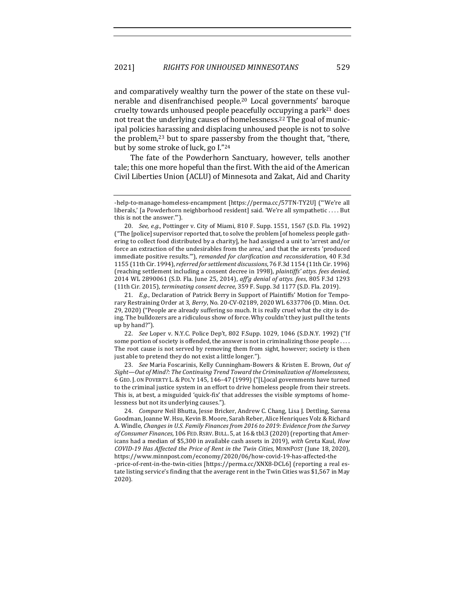and comparatively wealthy turn the power of the state on these vulnerable and disenfranchised people.<sup>20</sup> Local governments' baroque cruelty towards unhoused people peacefully occupying a park<sup>21</sup> does not treat the underlying causes of homelessness.<sup>22</sup> The goal of municipal policies harassing and displacing unhoused people is not to solve the problem, $^{23}$  but to spare passersby from the thought that, "there, but by some stroke of luck, go I."24

The fate of the Powderhorn Sanctuary, however, tells another tale; this one more hopeful than the first. With the aid of the American Civil Liberties Union (ACLU) of Minnesota and Zakat, Aid and Charity

22. *See* Loper v. N.Y.C. Police Dep't, 802 F.Supp. 1029, 1046 (S.D.N.Y. 1992) ("If some portion of society is offended, the answer is not in criminalizing those  $people \ldots$ . The root cause is not served by removing them from sight, however; society is then just able to pretend they do not exist a little longer.").

23. *See* Maria Foscarinis, Kelly Cunningham-Bowers & Kristen E. Brown, Out of Sight-Out of Mind?: The Continuing Trend Toward the Criminalization of Homelessness, 6 GEO. J. ON POVERTY L. & POL'Y 145, 146-47 (1999) ("[L]ocal governments have turned to the criminal justice system in an effort to drive homeless people from their streets. This is, at best, a misguided 'quick-fix' that addresses the visible symptoms of homelessness but not its underlying causes.").

24. *Compare* Neil Bhutta, Jesse Bricker, Andrew C. Chang, Lisa J. Dettling, Sarena Goodman, Joanne W. Hsu, Kevin B. Moore, Sarah Reber, Alice Henriques Volz & Richard A. Windle, Changes in U.S. Family Finances from 2016 to 2019: Evidence from the Survey of Consumer Finances, 106 FED. RSRV. BULL. 5, at 16 & tbl.3 (2020) (reporting that Americans had a median of \$5,300 in available cash assets in 2019), with Greta Kaul, *How COVID-19 Has Affected the Price of Rent in the Twin Cities*, MINNPOST (June 18, 2020), https://www.minnpost.com/economy/2020/06/how-covid-19-has-affected-the

-price-of-rent-in-the-twin-cities [https://perma.cc/XNX8-DCL6] (reporting a real estate listing service's finding that the average rent in the Twin Cities was \$1,567 in May 2020).

<sup>-</sup>help-to-manage-homeless-encampment [https://perma.cc/57TN-TY2U] ("'We're all liberals,' [a Powderhorn neighborhood resident] said. 'We're all sympathetic .... But this is not the answer."").

<sup>20.</sup> *See, e.g.*, Pottinger v. City of Miami, 810 F. Supp. 1551, 1567 (S.D. Fla. 1992) ("The [police] supervisor reported that, to solve the problem [of homeless people gathering to collect food distributed by a charity], he had assigned a unit to 'arrest and/or force an extraction of the undesirables from the area,' and that the arrests 'produced immediate positive results.""), *remanded for clarification and reconsideration*, 40 F.3d 1155 (11th Cir. 1994), *referred for settlement discussions*, 76 F.3d 1154 (11th Cir. 1996) (reaching settlement including a consent decree in 1998), plaintiffs' attys. fees denied, 2014 WL 2890061 (S.D. Fla. June 25, 2014), aff'g denial of attys. fees, 805 F.3d 1293 (11th Cir. 2015), *terminating consent decree*, 359 F. Supp. 3d 1177 (S.D. Fla. 2019).

<sup>21.</sup> *E.g.*, Declaration of Patrick Berry in Support of Plaintiffs' Motion for Temporary Restraining Order at 3, *Berry*, No. 20-CV-02189, 2020 WL 6337706 (D. Minn. Oct. 29, 2020) ("People are already suffering so much. It is really cruel what the city is doing. The bulldozers are a ridiculous show of force. Why couldn't they just pull the tents up by hand?").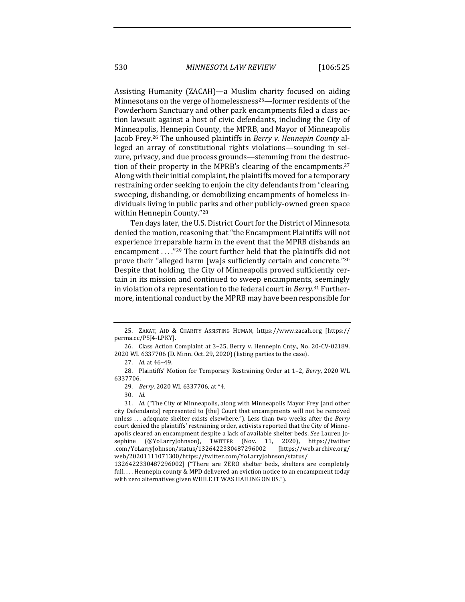Assisting Humanity (ZACAH)—a Muslim charity focused on aiding Minnesotans on the verge of homelessness<sup>25</sup>—former residents of the Powderhorn Sanctuary and other park encampments filed a class action lawsuit against a host of civic defendants, including the City of Minneapolis, Hennepin County, the MPRB, and Mayor of Minneapolis Jacob Frey.<sup>26</sup> The unhoused plaintiffs in *Berry v. Hennepin County* alleged an array of constitutional rights violations—sounding in seizure, privacy, and due process grounds-stemming from the destruction of their property in the MPRB's clearing of the encampments.<sup>27</sup> Along with their initial complaint, the plaintiffs moved for a temporary restraining order seeking to enjoin the city defendants from "clearing, sweeping, disbanding, or demobilizing encampments of homeless individuals living in public parks and other publicly-owned green space within Hennepin County."28

Ten days later, the U.S. District Court for the District of Minnesota denied the motion, reasoning that "the Encampment Plaintiffs will not experience irreparable harm in the event that the MPRB disbands an encampment  $\ldots$ ."<sup>29</sup> The court further held that the plaintiffs did not prove their "alleged harm [wa]s sufficiently certain and concrete."<sup>30</sup> Despite that holding, the City of Minneapolis proved sufficiently certain in its mission and continued to sweep encampments, seemingly in violation of a representation to the federal court in *Berry*.<sup>31</sup> Furthermore, intentional conduct by the MPRB may have been responsible for

<sup>25.</sup> ZAKAT, AID & CHARITY ASSISTING HUMAN, https://www.zacah.org [https:// perma.cc/P5J4-LPKY].

<sup>26.</sup> Class Action Complaint at 3-25, Berry v. Hennepin Cnty., No. 20-CV-02189, 2020 WL 6337706 (D. Minn. Oct. 29, 2020) (listing parties to the case).

<sup>27.</sup> *Id.* at 46-49.

<sup>28.</sup> Plaintiffs' Motion for Temporary Restraining Order at 1-2, *Berry*, 2020 WL 6337706.

<sup>29.</sup> *Berry*, 2020 WL 6337706, at \*4.

<sup>30.</sup> *Id.*

<sup>31.</sup> *Id.* ("The City of Minneapolis, along with Minneapolis Mayor Frey [and other city Defendants] represented to [the] Court that encampments will not be removed unless ... adequate shelter exists elsewhere."). Less than two weeks after the *Berry* court denied the plaintiffs' restraining order, activists reported that the City of Minneapolis cleared an encampment despite a lack of available shelter beds. See Lauren Josephine (@YoLarryJohnson), TWITTER (Nov. 11, 2020), https://twitter .com/YoLarryJohnson/status/1326422330487296002 [https://web.archive.org/ web/20201111071300/https://twitter.com/YoLarryJohnson/status/

<sup>1326422330487296002] (&</sup>quot;There are ZERO shelter beds, shelters are completely full.... Hennepin county & MPD delivered an eviction notice to an encampment today with zero alternatives given WHILE IT WAS HAILING ON US.").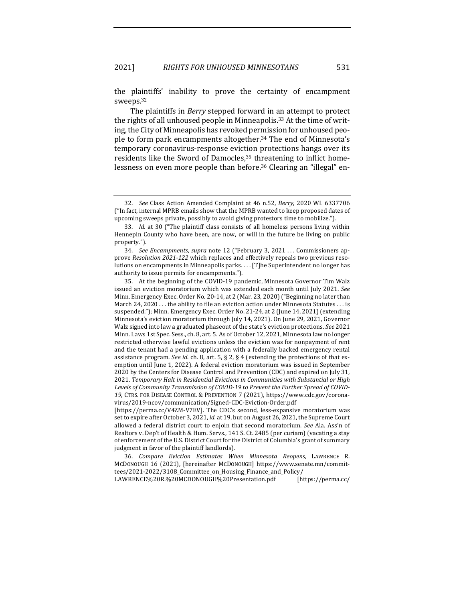the plaintiffs' inability to prove the certainty of encampment sweeps.32

The plaintiffs in *Berry* stepped forward in an attempt to protect the rights of all unhoused people in Minneapolis.<sup>33</sup> At the time of writing, the City of Minneapolis has revoked permission for unhoused people to form park encampments altogether.<sup>34</sup> The end of Minnesota's temporary coronavirus-response eviction protections hangs over its residents like the Sword of Damocles, $35$  threatening to inflict homelessness on even more people than before.<sup>36</sup> Clearing an "illegal" en-

LAWRENCE%20R.%20MCDONOUGH%20Presentation.pdf [https://perma.cc/

<sup>32.</sup> *See* Class Action Amended Complaint at 46 n.52, *Berry*, 2020 WL 6337706  $'$  In fact, internal MPRB emails show that the MPRB wanted to keep proposed dates of upcoming sweeps private, possibly to avoid giving protestors time to mobilize.").

<sup>33.</sup> *Id.* at 30 ("The plaintiff class consists of all homeless persons living within Hennepin County who have been, are now, or will in the future be living on public property.").

<sup>34.</sup> *See Encampments, supra* note 12 ("February 3, 2021 ... Commissioners approve *Resolution* 2021-122 which replaces and effectively repeals two previous resolutions on encampments in Minneapolis parks. . . . [T]he Superintendent no longer has authority to issue permits for encampments.").

<sup>35.</sup> At the beginning of the COVID-19 pandemic, Minnesota Governor Tim Walz issued an eviction moratorium which was extended each month until July 2021. See Minn. Emergency Exec. Order No. 20-14, at 2 (Mar. 23, 2020) ("Beginning no later than March  $24$ ,  $2020...$  the ability to file an eviction action under Minnesota Statutes ... is suspended."); Minn. Emergency Exec. Order No. 21-24, at 2 (June 14, 2021) (extending Minnesota's eviction moratorium through July 14, 2021). On June 29, 2021, Governor Walz signed into law a graduated phaseout of the state's eviction protections. See 2021 Minn. Laws 1st Spec. Sess., ch. 8, art. 5. As of October 12, 2021, Minnesota law no longer restricted otherwise lawful evictions unless the eviction was for nonpayment of rent and the tenant had a pending application with a federally backed emergency rental assistance program. *See id.* ch. 8, art. 5,  $\S$  2,  $\S$  4 (extending the protections of that exemption until June 1, 2022). A federal eviction moratorium was issued in September 2020 by the Centers for Disease Control and Prevention (CDC) and expired on July 31, 2021. Temporary Halt in Residential Evictions in Communities with Substantial or High Levels of Community Transmission of COVID-19 to Prevent the Further Spread of COVID-19, CTRS. FOR DISEASE CONTROL & PREVENTION 7 (2021), https://www.cdc.gov/coronavirus/2019-ncov/communication/Signed-CDC-Eviction-Order.pdf

<sup>[</sup>https://perma.cc/V4ZM-V7EV]. The CDC's second, less-expansive moratorium was set to expire after October 3, 2021, *id.* at 19, but on August 26, 2021, the Supreme Court allowed a federal district court to enjoin that second moratorium. See Ala. Ass'n of Realtors v. Dep't of Health & Hum. Servs., 141 S. Ct. 2485 (per curiam) (vacating a stay of enforcement of the U.S. District Court for the District of Columbia's grant of summary judgment in favor of the plaintiff landlords).

<sup>36.</sup> *Compare Eviction Estimates When Minnesota Reopens*, LAWRENCE R. MCDONOUGH 16 (2021), [hereinafter MCDONOUGH] https://www.senate.mn/committees/2021-2022/3108\_Committee\_on\_Housing\_Finance\_and\_Policy/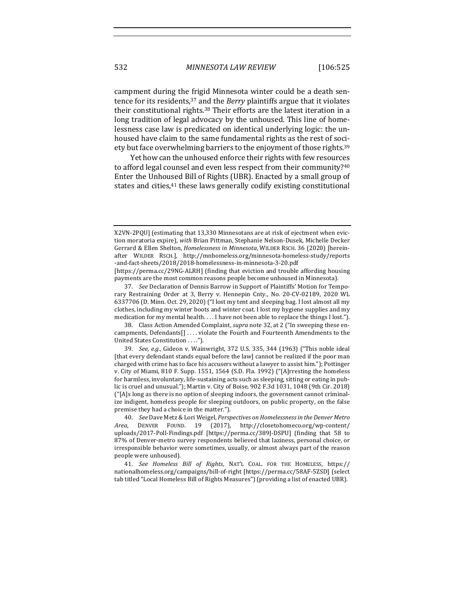campment during the frigid Minnesota winter could be a death sentence for its residents,<sup>37</sup> and the *Berry* plaintiffs argue that it violates their constitutional rights.<sup>38</sup> Their efforts are the latest iteration in a long tradition of legal advocacy by the unhoused. This line of homelessness case law is predicated on identical underlying logic: the unhoused have claim to the same fundamental rights as the rest of society but face overwhelming barriers to the enjoyment of those rights.<sup>39</sup>

Yet how can the unhoused enforce their rights with few resources to afford legal counsel and even less respect from their community?<sup>40</sup> Enter the Unhoused Bill of Rights (UBR). Enacted by a small group of states and cities,<sup>41</sup> these laws generally codify existing constitutional

X2VN-2PQU] (estimating that 13,330 Minnesotans are at risk of ejectment when eviction moratoria expire), with Brian Pittman, Stephanie Nelson-Dusek, Michelle Decker Gerrard & Ellen Shelton, *Homelessness in Minnesota*, WILDER RSCH. 36 (2020) [hereinafter WILDER RSCH.], http://mnhomeless.org/minnesota-homeless-study/reports -and-fact-sheets/2018/2018-homelessness-in-minnesota-3-20.pdf 

<sup>[</sup>https://perma.cc/29NG-ALRH] (finding that eviction and trouble affording housing payments are the most common reasons people become unhoused in Minnesota).

<sup>37.</sup> *See* Declaration of Dennis Barrow in Support of Plaintiffs' Motion for Temporary Restraining Order at 3, Berry v. Hennepin Cnty., No. 20-CV-02189, 2020 WL 6337706 (D. Minn. Oct. 29, 2020) ("I lost my tent and sleeping bag. I lost almost all my clothes, including my winter boots and winter coat. I lost my hygiene supplies and my medication for my mental health. . . . I have not been able to replace the things I lost.").

<sup>38.</sup> Class Action Amended Complaint, *supra* note 32, at 2 ("In sweeping these encampments, Defendants[] .... violate the Fourth and Fourteenth Amendments to the United States Constitution . . . .").

<sup>39.</sup> *See, e.g.*, Gideon v. Wainwright, 372 U.S. 335, 344 (1963) ("This noble ideal [that every defendant stands equal before the law] cannot be realized if the poor man charged with crime has to face his accusers without a lawyer to assist him."); Pottinger v. City of Miami, 810 F. Supp. 1551, 1564 (S.D. Fla. 1992) ("[A]rresting the homeless for harmless, involuntary, life-sustaining acts such as sleeping, sitting or eating in public is cruel and unusual."); Martin v. City of Boise,  $902$  F.3d 1031, 1048 (9th Cir. 2018)  $("[A]s$  long as there is no option of sleeping indoors, the government cannot criminalize indigent, homeless people for sleeping outdoors, on public property, on the false premise they had a choice in the matter.").

<sup>40.</sup> *See* Dave Metz & Lori Weigel, *Perspectives* on Homelessness in the Denver Metro *Area*, DENVER FOUND. 19 (2017), http://closetohomeco.org/wp-content/ uploads/2017-Poll-Findings.pdf [https://perma.cc/389J-DSPU] (finding that 58 to 87% of Denver-metro survey respondents believed that laziness, personal choice, or irresponsible behavior were sometimes, usually, or almost always part of the reason people were unhoused).

<sup>41.</sup> See Homeless Bill of Rights, NAT'L COAL. FOR THE HOMELESS, https:// nationalhomeless.org/campaigns/bill-of-right [https://perma.cc/58AF-5ZSD] (select tab titled "Local Homeless Bill of Rights Measures") (providing a list of enacted UBR).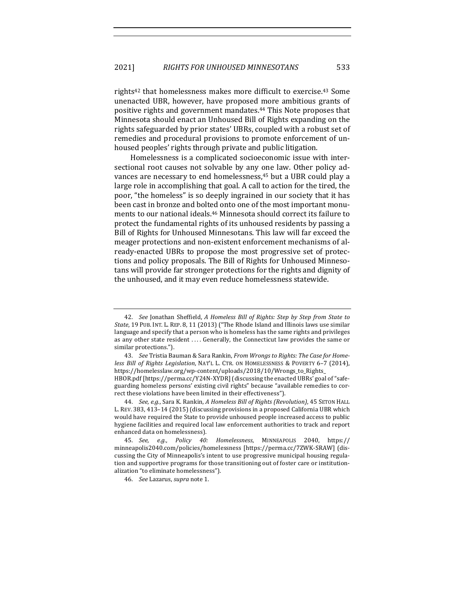rights<sup>42</sup> that homelessness makes more difficult to exercise.<sup>43</sup> Some unenacted UBR, however, have proposed more ambitious grants of positive rights and government mandates.<sup>44</sup> This Note proposes that Minnesota should enact an Unhoused Bill of Rights expanding on the rights safeguarded by prior states' UBRs, coupled with a robust set of remedies and procedural provisions to promote enforcement of unhoused peoples' rights through private and public litigation.

Homelessness is a complicated socioeconomic issue with intersectional root causes not solvable by any one law. Other policy advances are necessary to end homelessness,<sup>45</sup> but a UBR could play a large role in accomplishing that goal. A call to action for the tired, the poor, "the homeless" is so deeply ingrained in our society that it has been cast in bronze and bolted onto one of the most important monuments to our national ideals.<sup>46</sup> Minnesota should correct its failure to protect the fundamental rights of its unhoused residents by passing a Bill of Rights for Unhoused Minnesotans. This law will far exceed the meager protections and non-existent enforcement mechanisms of already-enacted UBRs to propose the most progressive set of protections and policy proposals. The Bill of Rights for Unhoused Minnesotans will provide far stronger protections for the rights and dignity of the unhoused, and it may even reduce homelessness statewide.

<sup>42.</sup> *See* Jonathan Sheffield, *A Homeless Bill of Rights: Step by Step from State to State*, 19 PUB. INT. L. REP. 8, 11 (2013) ("The Rhode Island and Illinois laws use similar language and specify that a person who is homeless has the same rights and privileges as any other state resident .... Generally, the Connecticut law provides the same or similar protections.").

<sup>43.</sup> See Tristia Bauman & Sara Rankin, *From Wrongs to Rights: The Case for Homeless Bill of Rights Legislation*, NAT'L L. CTR. ON HOMELESSNESS & POVERTY 6-7 (2014), https://homelesslaw.org/wp-content/uploads/2018/10/Wrongs\_to\_Rights\_ HBOR.pdf [https://perma.cc/Y24N-XYDR] (discussing the enacted UBRs' goal of "safeguarding homeless persons' existing civil rights" because "available remedies to correct these violations have been limited in their effectiveness").

<sup>44.</sup> *See, e.g.*, Sara K. Rankin, *A Homeless Bill of Rights (Revolution)*, 45 SETON HALL L. REV. 383, 413-14 (2015) (discussing provisions in a proposed California UBR which would have required the State to provide unhoused people increased access to public hygiene facilities and required local law enforcement authorities to track and report enhanced data on homelessness).

<sup>45.</sup> *See, e.g.*, *Policy 40: Homelessness*, MINNEAPOLIS 2040, https:// minneapolis2040.com/policies/homelessness [https://perma.cc/7ZWK-SRAW] (discussing the City of Minneapolis's intent to use progressive municipal housing regulation and supportive programs for those transitioning out of foster care or institutionalization "to eliminate homelessness").

<sup>46.</sup> *See* Lazarus, *supra* note 1.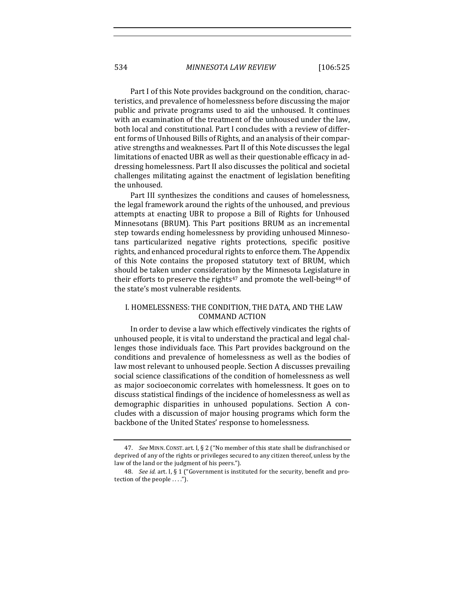Part I of this Note provides background on the condition, characteristics, and prevalence of homelessness before discussing the major public and private programs used to aid the unhoused. It continues with an examination of the treatment of the unhoused under the law, both local and constitutional. Part I concludes with a review of different forms of Unhoused Bills of Rights, and an analysis of their comparative strengths and weaknesses. Part II of this Note discusses the legal limitations of enacted UBR as well as their questionable efficacy in addressing homelessness. Part II also discusses the political and societal challenges militating against the enactment of legislation benefiting the unhoused.

Part III synthesizes the conditions and causes of homelessness, the legal framework around the rights of the unhoused, and previous attempts at enacting UBR to propose a Bill of Rights for Unhoused Minnesotans (BRUM). This Part positions BRUM as an incremental step towards ending homelessness by providing unhoused Minnesotans particularized negative rights protections, specific positive rights, and enhanced procedural rights to enforce them. The Appendix of this Note contains the proposed statutory text of BRUM, which should be taken under consideration by the Minnesota Legislature in their efforts to preserve the rights<sup>47</sup> and promote the well-being<sup>48</sup> of the state's most vulnerable residents.

## I. HOMELESSNESS: THE CONDITION, THE DATA, AND THE LAW COMMAND ACTION

In order to devise a law which effectively vindicates the rights of unhoused people, it is vital to understand the practical and legal challenges those individuals face. This Part provides background on the conditions and prevalence of homelessness as well as the bodies of law most relevant to unhoused people. Section A discusses prevailing social science classifications of the condition of homelessness as well as major socioeconomic correlates with homelessness. It goes on to discuss statistical findings of the incidence of homelessness as well as demographic disparities in unhoused populations. Section A concludes with a discussion of major housing programs which form the backbone of the United States' response to homelessness.

<sup>47.</sup> *See MINN. CONST. art. I, § 2* ("No member of this state shall be disfranchised or deprived of any of the rights or privileges secured to any citizen thereof, unless by the law of the land or the judgment of his peers.").

<sup>48.</sup> *See id.* art. I, § 1 ("Government is instituted for the security, benefit and protection of the people ....").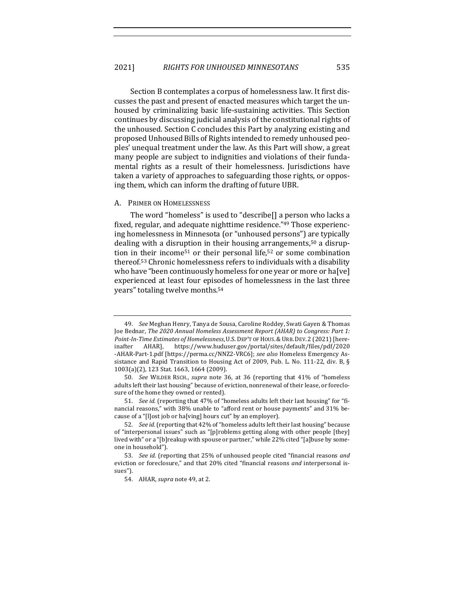Section B contemplates a corpus of homelessness law. It first discusses the past and present of enacted measures which target the unhoused by criminalizing basic life-sustaining activities. This Section continues by discussing judicial analysis of the constitutional rights of the unhoused. Section C concludes this Part by analyzing existing and proposed Unhoused Bills of Rights intended to remedy unhoused peoples' unequal treatment under the law. As this Part will show, a great many people are subject to indignities and violations of their fundamental rights as a result of their homelessness. Jurisdictions have taken a variety of approaches to safeguarding those rights, or opposing them, which can inform the drafting of future UBR.

#### A. PRIMER ON HOMELESSNESS

The word "homeless" is used to "describe[] a person who lacks a fixed, regular, and adequate nighttime residence."49 Those experiencing homelessness in Minnesota (or "unhoused persons") are typically dealing with a disruption in their housing arrangements,<sup>50</sup> a disruption in their income<sup>51</sup> or their personal life,<sup>52</sup> or some combination thereof.<sup>53</sup> Chronic homelessness refers to individuals with a disability who have "been continuously homeless for one year or more or ha[ve] experienced at least four episodes of homelessness in the last three years" totaling twelve months.<sup>54</sup>

<sup>49.</sup> *See* Meghan Henry, Tanya de Sousa, Caroline Roddey, Swati Gayen & Thomas Joe Bednar, *The 2020 Annual Homeless Assessment Report (AHAR)* to *Congress: Part 1:* Point-In-Time Estimates of Homelessness, U.S. DEP'T OF HOUS. & URB. DEV. 2 (2021) [hereinafter AHAR], https://www.huduser.gov/portal/sites/default/files/pdf/2020 -AHAR-Part-1.pdf [https://perma.cc/NNZ2-VRC6]; see also Homeless Emergency Assistance and Rapid Transition to Housing Act of 2009, Pub. L. No. 111-22, div. B, § 1003(a)(2), 123 Stat. 1663, 1664 (2009).

<sup>50.</sup> *See* WILDER RSCH., *supra* note 36, at 36 (reporting that 41% of "homeless" adults left their last housing" because of eviction, nonrenewal of their lease, or foreclosure of the home they owned or rented).

<sup>51.</sup> *See id.* (reporting that 47% of "homeless adults left their last housing" for "financial reasons," with 38% unable to "afford rent or house payments" and 31% because of a "[l]ost job or ha[ving] hours cut" by an employer).

<sup>52.</sup> *See id.* (reporting that 42% of "homeless adults left their last housing" because of "interpersonal issues" such as "[p]roblems getting along with other people [they] lived with" or a "[b]reakup with spouse or partner," while 22% cited "[a]buse by someone in household").

<sup>53.</sup> *See id.* (reporting that 25% of unhoused people cited "financial reasons and eviction or foreclosure," and that 20% cited "financial reasons and interpersonal issues").

<sup>54.</sup> AHAR, *supra* note 49, at 2.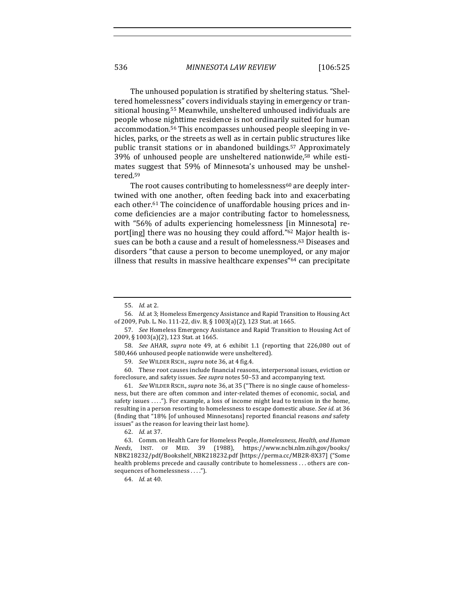536 *MINNESOTA LAW REVIEW* [106:525

The unhoused population is stratified by sheltering status. "Sheltered homelessness" covers individuals staying in emergency or transitional housing.<sup>55</sup> Meanwhile, unsheltered unhoused individuals are people whose nighttime residence is not ordinarily suited for human accommodation.<sup>56</sup> This encompasses unhoused people sleeping in vehicles, parks, or the streets as well as in certain public structures like public transit stations or in abandoned buildings.<sup>57</sup> Approximately 39% of unhoused people are unsheltered nationwide,<sup>58</sup> while estimates suggest that 59% of Minnesota's unhoused may be unsheltered.59

The root causes contributing to homelessness<sup>60</sup> are deeply intertwined with one another, often feeding back into and exacerbating each other.<sup>61</sup> The coincidence of unaffordable housing prices and income deficiencies are a major contributing factor to homelessness, with "56% of adults experiencing homelessness [in Minnesota] report[ing] there was no housing they could afford."<sup>62</sup> Major health issues can be both a cause and a result of homelessness.<sup>63</sup> Diseases and disorders "that cause a person to become unemployed, or any major illness that results in massive healthcare expenses" $64$  can precipitate

<sup>55.</sup> *Id.* at 2.

<sup>56.</sup> *Id.* at 3; Homeless Emergency Assistance and Rapid Transition to Housing Act of 2009, Pub. L. No. 111-22, div. B, § 1003(a)(2), 123 Stat. at 1665.

<sup>57.</sup> *See* Homeless Emergency Assistance and Rapid Transition to Housing Act of 2009, § 1003(a)(2), 123 Stat. at 1665.

<sup>58.</sup> *See* AHAR, *supra* note 49, at 6 exhibit 1.1 (reporting that 226,080 out of 580,466 unhoused people nationwide were unsheltered).

<sup>59.</sup> *See* WILDER RSCH., *supra* note 36, at 4 fig.4.

<sup>60.</sup> These root causes include financial reasons, interpersonal issues, eviction or foreclosure, and safety issues. See supra notes 50-53 and accompanying text.

<sup>61.</sup> *See* WILDER RSCH., *supra* note 36, at 35 ("There is no single cause of homelessness, but there are often common and inter-related themes of economic, social, and safety issues ...."). For example, a loss of income might lead to tension in the home, resulting in a person resorting to homelessness to escape domestic abuse. See id. at 36 (finding that "18% [of unhoused Minnesotans] reported financial reasons and safety issues" as the reason for leaving their last home).

<sup>62.</sup> *Id.* at 37.

<sup>63.</sup> Comm. on Health Care for Homeless People, *Homelessness*, *Health, and Human Needs*, INST. OF MED. 39 (1988), https://www.ncbi.nlm.nih.gov/books/ NBK218232/pdf/Bookshelf\_NBK218232.pdf [https://perma.cc/MB2R-8X37] ("Some health problems precede and causally contribute to homelessness ... others are consequences of homelessness . . . .").

<sup>64.</sup> *Id.* at 40.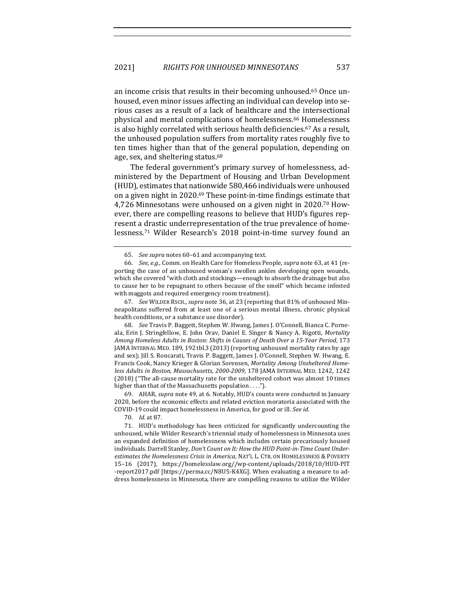an income crisis that results in their becoming unhoused.<sup>65</sup> Once unhoused, even minor issues affecting an individual can develop into serious cases as a result of a lack of healthcare and the intersectional physical and mental complications of homelessness.<sup>66</sup> Homelessness is also highly correlated with serious health deficiencies.<sup>67</sup> As a result, the unhoused population suffers from mortality rates roughly five to ten times higher than that of the general population, depending on age, sex, and sheltering status.<sup>68</sup>

The federal government's primary survey of homelessness, administered by the Department of Housing and Urban Development (HUD), estimates that nationwide 580,466 individuals were unhoused on a given night in 2020.<sup>69</sup> These point-in-time findings estimate that 4,726 Minnesotans were unhoused on a given night in 2020.<sup>70</sup> However, there are compelling reasons to believe that HUD's figures represent a drastic underrepresentation of the true prevalence of homelessness.<sup>71</sup> Wilder Research's 2018 point-in-time survey found an

67. *See* WILDER RSCH., *supra* note 36, at 23 (reporting that 81% of unhoused Minneapolitans suffered from at least one of a serious mental illness, chronic physical health conditions, or a substance use disorder).

68. *See* Travis P. Baggett, Stephen W. Hwang, James J. O'Connell, Bianca C. Porneala, Erin J. Stringfellow, E. John Orav, Daniel E. Singer & Nancy A. Rigotti, *Mortality Among Homeless Adults in Boston: Shifts in Causes of Death Over a 15-Year Period, 173* JAMA INTERNAL MED. 189, 192 tbl.3 (2013) (reporting unhoused mortality rates by age and sex); Jill S. Roncarati, Travis P. Baggett, James J. O'Connell, Stephen W. Hwang, E. Francis Cook, Nancy Krieger & Glorian Sorensen, *Mortality Among Unsheltered Home*less Adults in Boston, Massachusetts, 2000-2009, 178 JAMA INTERNAL MED. 1242, 1242 (2018) ("The all-cause mortality rate for the unsheltered cohort was almost 10 times higher than that of the Massachusetts population  $\dots$ .").

69. AHAR, *supra* note 49, at 6. Notably, HUD's counts were conducted in January 2020, before the economic effects and related eviction moratoria associated with the COVID-19 could impact homelessness in America, for good or ill. See id.

70. *Id.* at 87.

71. HUD's methodology has been criticized for significantly undercounting the unhoused, while Wilder Research's triennial study of homelessness in Minnesota uses an expanded definition of homelessness which includes certain precariously housed individuals. Darrell Stanley, *Don't Count on It: How the HUD Point-in-Time Count Under*estimates the Homelessness Crisis in America, NAT'L L. CTR. ON HOMELESSNESS & POVERTY 15–16 (2017), https://homelesslaw.org//wp-content/uploads/2018/10/HUD-PIT -report2017.pdf [https://perma.cc/N8U5-K4XG]. When evaluating a measure to address homelessness in Minnesota, there are compelling reasons to utilize the Wilder

<sup>65.</sup> *See supra* notes 60–61 and accompanying text.

<sup>66.</sup> *See, e.g.*, Comm. on Health Care for Homeless People, *supra* note 63, at 41 (reporting the case of an unhoused woman's swollen ankles developing open wounds, which she covered "with cloth and stockings—enough to absorb the drainage but also to cause her to be repugnant to others because of the smell" which became infested with maggots and required emergency room treatment).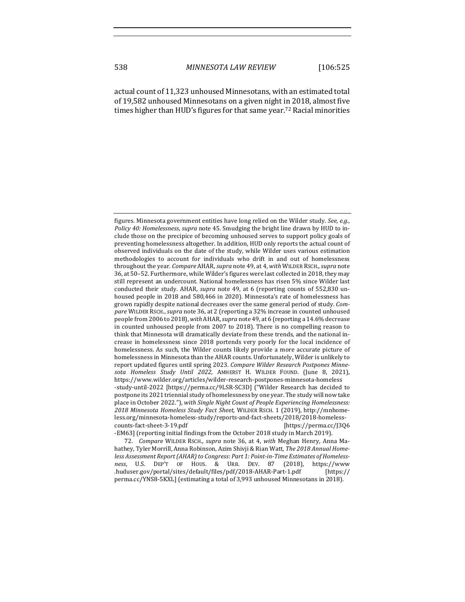actual count of 11,323 unhoused Minnesotans, with an estimated total of 19,582 unhoused Minnesotans on a given night in 2018, almost five times higher than HUD's figures for that same year.<sup>72</sup> Racial minorities

figures. Minnesota government entities have long relied on the Wilder study. See, e.g., *Policy* 40: *Homelessness*, *supra* note 45. Smudging the bright line drawn by HUD to include those on the precipice of becoming unhoused serves to support policy goals of preventing homelessness altogether. In addition, HUD only reports the actual count of observed individuals on the date of the study, while Wilder uses various estimation methodologies to account for individuals who drift in and out of homelessness throughout the year. *Compare* AHAR, *supra* note 49, at 4, with WILDER RSCH., *supra* note 36, at 50-52. Furthermore, while Wilder's figures were last collected in 2018, they may still represent an undercount. National homelessness has risen 5% since Wilder last conducted their study. AHAR, *supra* note 49, at 6 (reporting counts of 552,830 unhoused people in 2018 and 580,466 in 2020). Minnesota's rate of homelessness has grown rapidly despite national decreases over the same general period of study. *Com*pare WILDER RSCH., *supra* note 36, at 2 (reporting a 32% increase in counted unhoused people from 2006 to 2018), *with AHAR, supra* note 49, at 6 (reporting a 14.6% decrease in counted unhoused people from 2007 to 2018). There is no compelling reason to think that Minnesota will dramatically deviate from these trends, and the national increase in homelessness since 2018 portends very poorly for the local incidence of homelessness. As such, the Wilder counts likely provide a more accurate picture of homelessness in Minnesota than the AHAR counts. Unfortunately, Wilder is unlikely to report updated figures until spring 2023. Compare Wilder Research Postpones Minne*sota Homeless Study Until 2022*, AMHERST H. WILDER FOUND. (June 8, 2021), https://www.wilder.org/articles/wilder-research-postpones-minnesota-homeless -study-until-2022 [https://perma.cc/9LSR-SC3D] ("Wilder Research has decided to postpone its 2021 triennial study of homelessness by one year. The study will now take place in October 2022."), with *Single Night Count of People Experiencing Homelessness: 2018 Minnesota Homeless Study Fact Sheet*, WILDER RSCH. 1 (2019), http://mnhomeless.org/minnesota-homeless-study/reports-and-fact-sheets/2018/2018-homelesscounts-fact-sheet-3-19.pdf [https://perma.cc/J3Q6 -EM63] (reporting initial findings from the October 2018 study in March 2019).

<sup>72.</sup> *Compare* WILDER RSCH., *supra* note 36, at 4, *with* Meghan Henry, Anna Mahathey, Tyler Morrill, Anna Robinson, Azim Shivji & Rian Watt, *The 2018 Annual Home*less Assessment Report (AHAR) to Congress: Part 1: Point-in-Time Estimates of Homelessness, U.S. DEP'T OF HOUS. & URB. DEV. 87 (2018), https://www .huduser.gov/portal/sites/default/files/pdf/2018-AHAR-Part-1.pdf [https:// perma.cc/YNS8-5KXL] (estimating a total of 3,993 unhoused Minnesotans in 2018).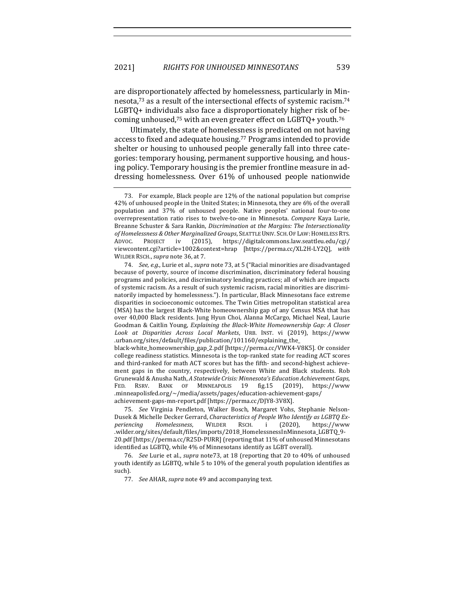are disproportionately affected by homelessness, particularly in Minnesota,<sup>73</sup> as a result of the intersectional effects of systemic racism.<sup>74</sup>  $LGBTQ+$  individuals also face a disproportionately higher risk of becoming unhoused,<sup>75</sup> with an even greater effect on LGBTQ+ youth.<sup>76</sup>

Ultimately, the state of homelessness is predicated on not having access to fixed and adequate housing.<sup>77</sup> Programs intended to provide shelter or housing to unhoused people generally fall into three categories: temporary housing, permanent supportive housing, and housing policy. Temporary housing is the premier frontline measure in addressing homelessness. Over 61% of unhoused people nationwide

77. *See AHAR, supra* note 49 and accompanying text.

<sup>73.</sup> For example, Black people are 12% of the national population but comprise 42% of unhoused people in the United States; in Minnesota, they are 6% of the overall population and 37% of unhoused people. Native peoples' national four-to-one overrepresentation ratio rises to twelve-to-one in Minnesota. *Compare* Kaya Lurie, Breanne Schuster & Sara Rankin, *Discrimination at the Margins: The Intersectionality* of Homelessness & Other Marginalized Groups, SEATTLE UNIV. SCH. OF LAW: HOMELESS RTS. ADVOC. PROJECT iv (2015), https://digitalcommons.law.seattleu.edu/cgi/ viewcontent.cgi?article=1002&context=hrap [https://perma.cc/XL2H-LY2Q], *with* WILDER RSCH., *supra* note 36, at 7.

<sup>74.</sup> *See, e.g.*, Lurie et al., *supra* note 73, at 5 ("Racial minorities are disadvantaged because of poverty, source of income discrimination, discriminatory federal housing programs and policies, and discriminatory lending practices; all of which are impacts of systemic racism. As a result of such systemic racism, racial minorities are discriminatorily impacted by homelessness."). In particular, Black Minnesotans face extreme disparities in socioeconomic outcomes. The Twin Cities metropolitan statistical area (MSA) has the largest Black-White homeownership gap of any Census MSA that has over 40,000 Black residents. Jung Hyun Choi, Alanna McCargo, Michael Neal, Laurie Goodman & Caitlin Young, *Explaining the Black-White Homeownership Gap: A Closer Look at Disparities Across Local Markets*, URB. INST. vi (2019), https://www .urban.org/sites/default/files/publication/101160/explaining\_the\_

black-white\_homeownership\_gap\_2.pdf [https://perma.cc/VWK4-V8K5]. Or consider college readiness statistics. Minnesota is the top-ranked state for reading ACT scores and third-ranked for math ACT scores but has the fifth- and second-highest achievement gaps in the country, respectively, between White and Black students. Rob Grunewald & Anusha Nath, A Statewide Crisis: Minnesota's Education Achievement Gaps, FED. RSRV. BANK OF MINNEAPOLIS 19 fig.15 (2019), https://www .minneapolisfed.org/~/media/assets/pages/education-achievement-gaps/ achievement-gaps-mn-report.pdf [https://perma.cc/DJY8-3V8X].

<sup>75.</sup> *See* Virginia Pendleton, Walker Bosch, Margaret Vohs, Stephanie Nelson-Dusek & Michelle Decker Gerrard, *Characteristics of People Who Identify as LGBTQ Experiencing Homelessness*, WILDER RSCH. i (2020), https://www .wilder.org/sites/default/files/imports/2018\_HomelessnessInMinnesota\_LGBTQ\_9- 20.pdf [https://perma.cc/R25D-PURR] (reporting that 11% of unhoused Minnesotans identified as LGBTQ, while 4% of Minnesotans identify as LGBT overall).

<sup>76.</sup> *See* Lurie et al., *supra* note73, at 18 (reporting that 20 to 40% of unhoused youth identify as LGBTQ, while 5 to 10% of the general youth population identifies as such).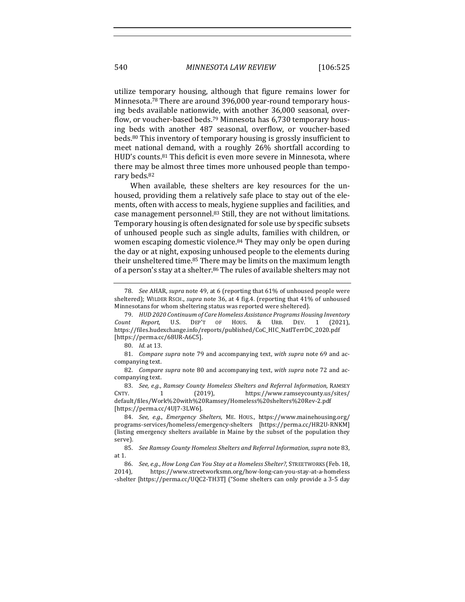540 *MINNESOTA LAW REVIEW* [106:525

utilize temporary housing, although that figure remains lower for Minnesota.<sup>78</sup> There are around 396,000 year-round temporary housing beds available nationwide, with another 36,000 seasonal, overflow, or voucher-based beds.<sup>79</sup> Minnesota has  $6,730$  temporary housing beds with another 487 seasonal, overflow, or voucher-based beds. $80$  This inventory of temporary housing is grossly insufficient to meet national demand, with a roughly 26% shortfall according to HUD's counts.<sup>81</sup> This deficit is even more severe in Minnesota, where there may be almost three times more unhoused people than temporary beds.<sup>82</sup>

When available, these shelters are key resources for the unhoused, providing them a relatively safe place to stay out of the elements, often with access to meals, hygiene supplies and facilities, and case management personnel.<sup>83</sup> Still, they are not without limitations. Temporary housing is often designated for sole use by specific subsets of unhoused people such as single adults, families with children, or women escaping domestic violence.<sup>84</sup> They may only be open during the day or at night, exposing unhoused people to the elements during their unsheltered time.<sup>85</sup> There may be limits on the maximum length of a person's stay at a shelter.<sup>86</sup> The rules of available shelters may not

<sup>78.</sup> *See AHAR, supra* note 49, at 6 (reporting that 61% of unhoused people were sheltered); WILDER RSCH., *supra* note 36, at 4 fig.4. (reporting that 41% of unhoused Minnesotans for whom sheltering status was reported were sheltered).

<sup>79.</sup> *HUD* 2020 Continuum of Care Homeless Assistance Programs Housing Inventory *Count Report*, U.S. DEP'T OF HOUS. & URB. DEV. 1 (2021), https://files.hudexchange.info/reports/published/CoC\_HIC\_NatlTerrDC\_2020.pdf [https://perma.cc/68UR-A6C5].

<sup>80.</sup> *Id.* at 13.

<sup>81.</sup> *Compare supra* note 79 and accompanying text, with supra note 69 and accompanying text.

<sup>82.</sup> *Compare supra* note 80 and accompanying text, with supra note 72 and accompanying text.

<sup>83.</sup> See, e.g., Ramsey County Homeless Shelters and Referral Information, RAMSEY CNTY. 1 (2019), https://www.ramseycounty.us/sites/ default/files/Work%20with%20Ramsey/Homeless%20shelters%20Rev-2.pdf [https://perma.cc/4UJ7-3LW6].

<sup>84.</sup> See, e.g., *Emergency Shelters*, ME. HOUS., https://www.mainehousing.org/ programs-services/homeless/emergency-shelters [https://perma.cc/HR2U-RNKM] (listing emergency shelters available in Maine by the subset of the population they serve).

<sup>85.</sup> *See Ramsey County Homeless Shelters and Referral Information, supra* note 83, at 1.

<sup>86.</sup> *See, e.g., How Long Can You Stay at a Homeless Shelter?*, STREETWORKS (Feb. 18, 2014), https://www.streetworksmn.org/how-long-can-you-stay-at-a-homeless -shelter [https://perma.cc/UQC2-TH3T] ("Some shelters can only provide a 3-5 day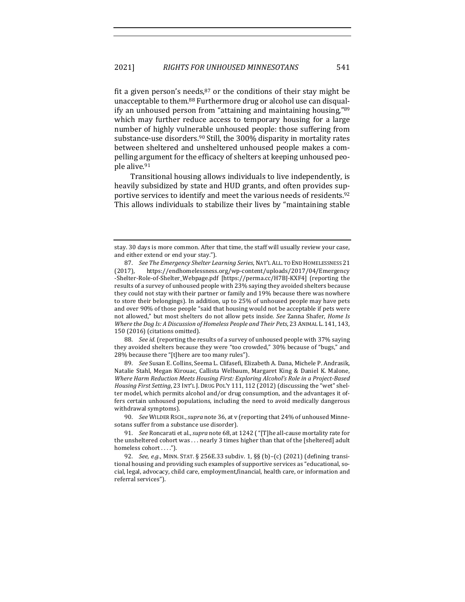fit a given person's needs, $87$  or the conditions of their stay might be unacceptable to them.<sup>88</sup> Furthermore drug or alcohol use can disqualify an unhoused person from "attaining and maintaining housing," $89$ which may further reduce access to temporary housing for a large number of highly vulnerable unhoused people: those suffering from substance-use disorders.<sup>90</sup> Still, the 300% disparity in mortality rates between sheltered and unsheltered unhoused people makes a compelling argument for the efficacy of shelters at keeping unhoused people alive.91

Transitional housing allows individuals to live independently, is heavily subsidized by state and HUD grants, and often provides supportive services to identify and meet the various needs of residents.<sup>92</sup> This allows individuals to stabilize their lives by "maintaining stable

88. *See id.* (reporting the results of a survey of unhoused people with 37% saying they avoided shelters because they were "too crowded," 30% because of "bugs," and 28% because there "[t]here are too many rules").

89. *See* Susan E. Collins, Seema L. Clifasefi, Elizabeth A. Dana, Michele P. Andrasik, Natalie Stahl, Megan Kirouac, Callista Welbaum, Margaret King & Daniel K. Malone, *Where Harm Reduction Meets Housing First: Exploring Alcohol's Role in a Project-Based* Housing First Setting, 23 INT'L J. DRUG POL'Y 111, 112 (2012) (discussing the "wet" shelter model, which permits alcohol and/or drug consumption, and the advantages it offers certain unhoused populations, including the need to avoid medically dangerous withdrawal symptoms).

90. *See* WILDER RSCH., *supra* note 36, at v (reporting that 24% of unhoused Minnesotans suffer from a substance use disorder).

stay. 30 days is more common. After that time, the staff will usually review your case, and either extend or end your stay.").

<sup>87.</sup> *See The Emergency Shelter Learning Series*, NAT'L ALL. TO END HOMELESSNESS 21 (2017), https://endhomelessness.org/wp-content/uploads/2017/04/Emergency -Shelter-Role-of-Shelter\_Webpage.pdf [https://perma.cc/H7BJ-KXF4] (reporting the results of a survey of unhoused people with 23% saying they avoided shelters because they could not stay with their partner or family and 19% because there was nowhere to store their belongings). In addition, up to 25% of unhoused people may have pets and over 90% of those people "said that housing would not be acceptable if pets were not allowed," but most shelters do not allow pets inside. See Zanna Shafer, *Home* Is *Where the Dog Is: A Discussion of Homeless People and Their Pets,* 23 ANIMAL L. 141, 143, 150 (2016) (citations omitted).

<sup>91.</sup> *See* Roncarati et al., *supra* note 68, at 1242 ("[T]he all-cause mortality rate for the unsheltered cohort was  $\dots$  nearly 3 times higher than that of the [sheltered] adult homeless cohort . . . .").

<sup>92.</sup> *See, e.g.*, MINN. STAT. § 256E.33 subdiv. 1, §§ (b)-(c) (2021) (defining transitional housing and providing such examples of supportive services as "educational, social, legal, advocacy, child care, employment, financial, health care, or information and referral services").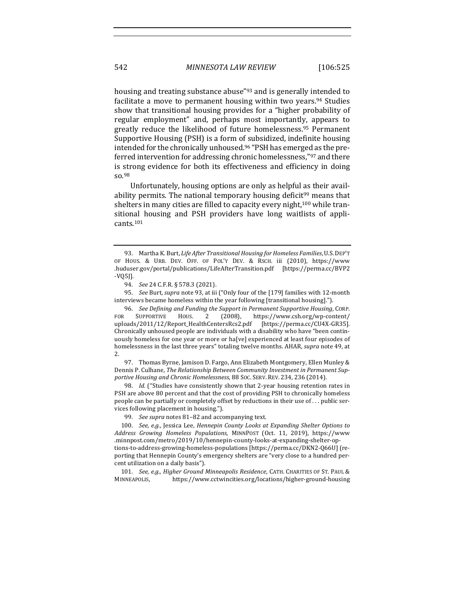housing and treating substance abuse"93 and is generally intended to facilitate a move to permanent housing within two years.<sup>94</sup> Studies show that transitional housing provides for a "higher probability of regular employment" and, perhaps most importantly, appears to greatly reduce the likelihood of future homelessness.<sup>95</sup> Permanent Supportive Housing (PSH) is a form of subsidized, indefinite housing intended for the chronically unhoused.<sup>96</sup> "PSH has emerged as the preferred intervention for addressing chronic homelessness,"97 and there is strong evidence for both its effectiveness and efficiency in doing so.98

Unfortunately, housing options are only as helpful as their availability permits. The national temporary housing deficit<sup>99</sup> means that shelters in many cities are filled to capacity every night,<sup>100</sup> while transitional housing and PSH providers have long waitlists of applicants.101

95. *See Burt, supra* note 93, at iii ("Only four of the [179] families with 12-month interviews became homeless within the year following [transitional housing].").

96. *See Defining and Funding the Support in Permanent Supportive Housing*, CORP. FOR SUPPORTIVE HOUS. 2 (2008), https://www.csh.org/wp-content/ uploads/2011/12/Report\_HealthCentersRcs2.pdf [https://perma.cc/CU4X-GR35]. Chronically unhoused people are individuals with a disability who have "been continuously homeless for one year or more or ha[ve] experienced at least four episodes of homelessness in the last three years" totaling twelve months. AHAR, *supra* note 49, at 2.

97. Thomas Byrne, Jamison D. Fargo, Ann Elizabeth Montgomery, Ellen Munley & Dennis P. Culhane, *The Relationship Between Community Investment in Permanent Supportive Housing and Chronic Homelessness*, 88 SOC. SERV. REV. 234, 236 (2014).

98. *Id.* ("Studies have consistently shown that 2-year housing retention rates in PSH are above 80 percent and that the cost of providing PSH to chronically homeless people can be partially or completely offset by reductions in their use of ... public services following placement in housing.").

99. *See supra* notes 81-82 and accompanying text.

100. *See, e.g.*, Jessica Lee, *Hennepin County Looks at Expanding Shelter Options to Address Growing Homeless Populations*, MINNPOST (Oct. 11, 2019), https://www .minnpost.com/metro/2019/10/hennepin-county-looks-at-expanding-shelter-options-to-address-growing-homeless-populations [https://perma.cc/DKN2-Q66U] (reporting that Hennepin County's emergency shelters are "very close to a hundred percent utilization on a daily basis").

101. See, e.g., *Higher Ground Minneapolis Residence*, CATH. CHARITIES OF ST. PAUL & MINNEAPOLIS, https://www.cctwincities.org/locations/higher-ground-housing 

<sup>93.</sup> Martha K. Burt, *Life After Transitional Housing for Homeless Families*, U.S. DEP'T OF HOUS. & URB. DEV. OFF. OF POL'Y DEV. & RSCH. iii (2010), https://www .huduser.gov/portal/publications/LifeAfterTransition.pdf [https://perma.cc/BVP2 -VQ5J].

<sup>94.</sup> *See* 24 C.F.R. § 578.3 (2021).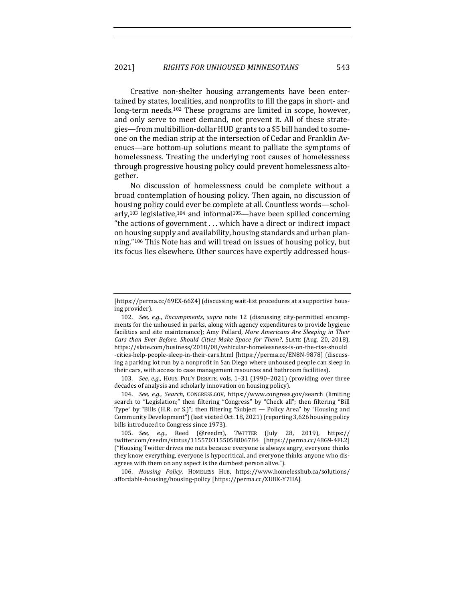Creative non-shelter housing arrangements have been entertained by states, localities, and nonprofits to fill the gaps in short- and long-term needs.<sup>102</sup> These programs are limited in scope, however, and only serve to meet demand, not prevent it. All of these strategies—from multibillion-dollar HUD grants to a \$5 bill handed to someone on the median strip at the intersection of Cedar and Franklin Avenues—are bottom-up solutions meant to palliate the symptoms of homelessness. Treating the underlying root causes of homelessness through progressive housing policy could prevent homelessness altogether.

No discussion of homelessness could be complete without a broad contemplation of housing policy. Then again, no discussion of housing policy could ever be complete at all. Countless words—scholarly,<sup>103</sup> legislative,<sup>104</sup> and informal<sup>105</sup>—have been spilled concerning "the actions of government  $\dots$  which have a direct or indirect impact on housing supply and availability, housing standards and urban planning."<sup>106</sup> This Note has and will tread on issues of housing policy, but its focus lies elsewhere. Other sources have expertly addressed hous-

103. *See, e.g.*, HOUS. POL'Y DEBATE, vols. 1-31 (1990–2021) (providing over three decades of analysis and scholarly innovation on housing policy).

104. *See, e.g., Search*, CONGRESS.GOV, https://www.congress.gov/search (limiting search to "Legislation;" then filtering "Congress" by "Check all"; then filtering "Bill Type" by "Bills (H.R. or S.)"; then filtering "Subject — Policy Area" by "Housing and Community Development") (last visited Oct. 18, 2021) (reporting 3,626 housing policy bills introduced to Congress since 1973).

106. *Housing Policy*, HOMELESS HUB, https://www.homelesshub.ca/solutions/ affordable-housing/housing-policy [https://perma.cc/XU8K-Y7HA].

<sup>[</sup>https://perma.cc/69EX-66Z4] (discussing wait-list procedures at a supportive housing provider).

<sup>102.</sup> *See, e.g., Encampments, supra* note 12 (discussing city-permitted encampments for the unhoused in parks, along with agency expenditures to provide hygiene facilities and site maintenance); Amy Pollard, *More Americans Are Sleeping in Their Cars than Ever Before. Should Cities Make Space for Them?*, SLATE (Aug. 20, 2018), https://slate.com/business/2018/08/vehicular-homelessness-is-on-the-rise-should -cities-help-people-sleep-in-their-cars.html [https://perma.cc/EN8N-9878] (discussing a parking lot run by a nonprofit in San Diego where unhoused people can sleep in their cars, with access to case management resources and bathroom facilities).

<sup>105.</sup> *See, e.g.*, Reed (@reedm), TWITTER (July 28, 2019), https:// twitter.com/reedm/status/1155703155058806784 [https://perma.cc/48G9-4FL2] ("Housing Twitter drives me nuts because everyone is always angry, everyone thinks they know everything, everyone is hypocritical, and everyone thinks anyone who disagrees with them on any aspect is the dumbest person alive.").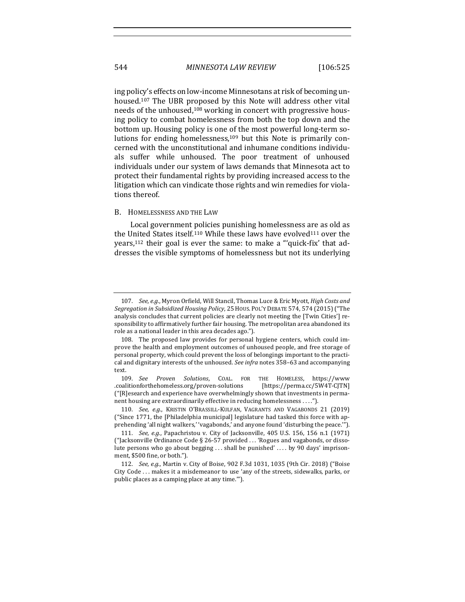ing policy's effects on low-income Minnesotans at risk of becoming unhoused.<sup>107</sup> The UBR proposed by this Note will address other vital needs of the unhoused,<sup>108</sup> working in concert with progressive housing policy to combat homelessness from both the top down and the bottom up. Housing policy is one of the most powerful long-term solutions for ending homelessness, $109$  but this Note is primarily concerned with the unconstitutional and inhumane conditions individuals suffer while unhoused. The poor treatment of unhoused individuals under our system of laws demands that Minnesota act to protect their fundamental rights by providing increased access to the litigation which can vindicate those rights and win remedies for violations thereof.

#### B. HOMELESSNESS AND THE LAW

Local government policies punishing homelessness are as old as the United States itself.<sup>110</sup> While these laws have evolved<sup>111</sup> over the years,<sup>112</sup> their goal is ever the same: to make a "'quick-fix' that addresses the visible symptoms of homelessness but not its underlying

<sup>107.</sup> *See, e.g.*, Myron Orfield, Will Stancil, Thomas Luce & Eric Myott, *High Costs and* Segregation in Subsidized Housing Policy, 25 HOUS. POL'Y DEBATE 574, 574 (2015) ("The analysis concludes that current policies are clearly not meeting the [Twin Cities'] responsibility to affirmatively further fair housing. The metropolitan area abandoned its role as a national leader in this area decades ago.").

<sup>108.</sup> The proposed law provides for personal hygiene centers, which could improve the health and employment outcomes of unhoused people, and free storage of personal property, which could prevent the loss of belongings important to the practical and dignitary interests of the unhoused. See infra notes 358-63 and accompanying text.

<sup>109.</sup> *See Proven Solutions*, COAL. FOR THE HOMELESS, https://www .coalitionforthehomeless.org/proven-solutions [https://perma.cc/5W4T-CJTN]  $("[R]$ esearch and experience have overwhelmingly shown that investments in permanent housing are extraordinarily effective in reducing homelessness ....").

<sup>110.</sup> *See, e.g.*, KRISTIN O'BRASSILL-KULFAN, VAGRANTS AND VAGABONDS 21 (2019) ("Since 1771, the [Philadelphia municipal] legislature had tasked this force with apprehending 'all night walkers,' 'vagabonds,' and anyone found 'disturbing the peace.'").

<sup>111.</sup> *See, e.g.*, Papachristou v. City of Jacksonville, 405 U.S. 156, 156 n.1 (1971) ("Jacksonville Ordinance Code § 26-57 provided ... 'Rogues and vagabonds, or dissolute persons who go about begging ... shall be punished' .... by 90 days' imprisonment, \$500 fine, or both.").

<sup>112.</sup> *See, e.g.*, Martin v. City of Boise, 902 F.3d 1031, 1035 (9th Cir. 2018) ("Boise City Code ... makes it a misdemeanor to use 'any of the streets, sidewalks, parks, or public places as a camping place at any time."").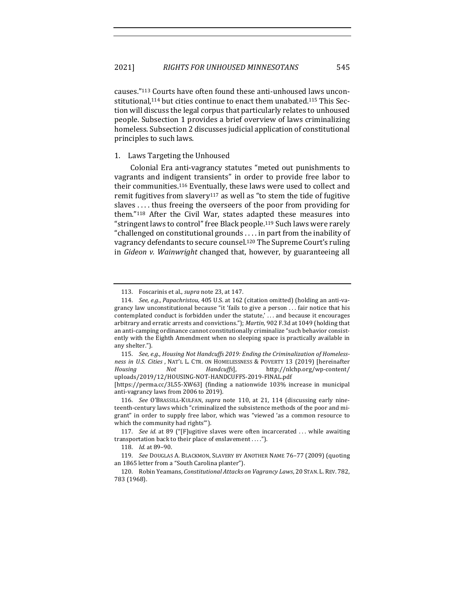causes."<sup>113</sup> Courts have often found these anti-unhoused laws unconstitutional,<sup>114</sup> but cities continue to enact them unabated.<sup>115</sup> This Section will discuss the legal corpus that particularly relates to unhoused people. Subsection 1 provides a brief overview of laws criminalizing homeless. Subsection 2 discusses judicial application of constitutional principles to such laws.

### 1. Laws Targeting the Unhoused

Colonial Era anti-vagrancy statutes "meted out punishments to vagrants and indigent transients" in order to provide free labor to their communities.<sup>116</sup> Eventually, these laws were used to collect and remit fugitives from slavery<sup>117</sup> as well as "to stem the tide of fugitive slaves  $\dots$  thus freeing the overseers of the poor from providing for them. $118$  After the Civil War, states adapted these measures into "stringent laws to control" free Black people.<sup>119</sup> Such laws were rarely "challenged on constitutional grounds . . . . in part from the inability of vagrancy defendants to secure counsel.<sup>120</sup> The Supreme Court's ruling in *Gideon v. Wainwright* changed that, however, by guaranteeing all

<sup>113.</sup> Foscarinis et al., *supra* note 23, at 147.

<sup>114.</sup> *See, e.g., Papachristou,* 405 U.S. at 162 (citation omitted) (holding an anti-vagrancy law unconstitutional because "it 'fails to give a person ... fair notice that his contemplated conduct is forbidden under the statute,'... and because it encourages arbitrary and erratic arrests and convictions."); *Martin*, 902 F.3d at 1049 (holding that an anti-camping ordinance cannot constitutionally criminalize "such behavior consistently with the Eighth Amendment when no sleeping space is practically available in any shelter.").

<sup>115.</sup> See, e.g., Housing Not Handcuffs 2019: Ending the Criminalization of Homeless*ness in U.S. Cities*, NAT'L L. CTR. ON HOMELESSNESS & POVERTY 13 (2019) [hereinafter *Housing Not Handcuffs*], http://nlchp.org/wp-content/ uploads/2019/12/HOUSING-NOT-HANDCUFFS-2019-FINAL.pdf

<sup>[</sup>https://perma.cc/3L55-XW63] (finding a nationwide 103% increase in municipal anti-vagrancy laws from 2006 to 2019).

<sup>116.</sup> *See* O'BRASSILL-KULFAN, *supra* note 110, at 21, 114 (discussing early nineteenth-century laws which "criminalized the subsistence methods of the poor and migrant" in order to supply free labor, which was "viewed 'as a common resource to which the community had rights").

<sup>117.</sup> *See id.* at 89 ("[F]ugitive slaves were often incarcerated ... while awaiting transportation back to their place of enslavement . . . .").

<sup>118.</sup> *Id.* at 89-90.

<sup>119.</sup> *See* DOUGLAS A. BLACKMON, SLAVERY BY ANOTHER NAME 76–77 (2009) (quoting an 1865 letter from a "South Carolina planter").

<sup>120.</sup> Robin Yeamans, *Constitutional Attacks on Vagrancy Laws*, 20 STAN. L.REV. 782, 783 (1968).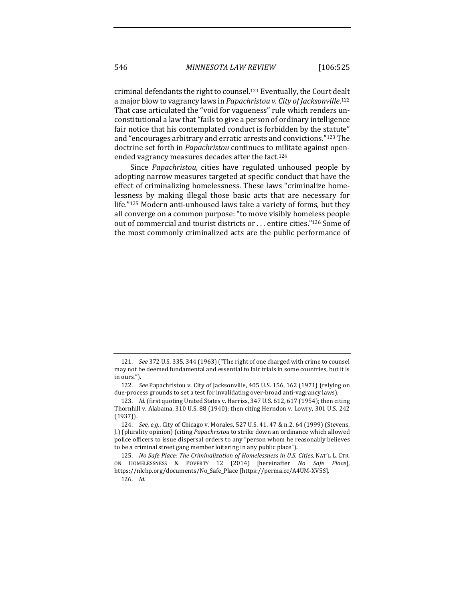criminal defendants the right to counsel.<sup>121</sup> Eventually, the Court dealt a major blow to vagrancy laws in *Papachristou v. City of Jacksonville*.<sup>122</sup> That case articulated the "void for vagueness" rule which renders unconstitutional a law that "fails to give a person of ordinary intelligence fair notice that his contemplated conduct is forbidden by the statute" and "encourages arbitrary and erratic arrests and convictions."<sup>123</sup> The doctrine set forth in *Papachristou* continues to militate against openended vagrancy measures decades after the fact.<sup>124</sup>

Since *Papachristou*, cities have regulated unhoused people by adopting narrow measures targeted at specific conduct that have the effect of criminalizing homelessness. These laws "criminalize homelessness by making illegal those basic acts that are necessary for life."125 Modern anti-unhoused laws take a variety of forms, but they all converge on a common purpose: "to move visibly homeless people out of commercial and tourist districts or ... entire cities."126 Some of the most commonly criminalized acts are the public performance of

<sup>121.</sup> *See* 372 U.S. 335, 344 (1963) ("The right of one charged with crime to counsel may not be deemed fundamental and essential to fair trials in some countries, but it is in ours.").

<sup>122.</sup> *See Papachristou v. City of Jacksonville,* 405 U.S. 156, 162 (1971) (relying on due-process grounds to set a test for invalidating over-broad anti-vagrancy laws).

<sup>123.</sup> *Id.* (first quoting United States v. Harriss, 347 U.S. 612, 617 (1954); then citing Thornhill v. Alabama, 310 U.S. 88 (1940); then citing Herndon v. Lowry, 301 U.S. 242 (1937)).

<sup>124.</sup> *See, e.g.*, City of Chicago v. Morales, 527 U.S. 41, 47 & n.2, 64 (1999) (Stevens, J.) (plurality opinion) (citing *Papachristou* to strike down an ordinance which allowed police officers to issue dispersal orders to any "person whom he reasonably believes to be a criminal street gang member loitering in any public place").

<sup>125.</sup> *No Safe Place: The Criminalization of Homelessness in U.S. Cities, NAT'L L. CTR.* ON HOMELESSNESS & POVERTY 12 (2014) [hereinafter *No Safe Place*], https://nlchp.org/documents/No\_Safe\_Place [https://perma.cc/A4UM-XV5S].

<sup>126.</sup> *Id.*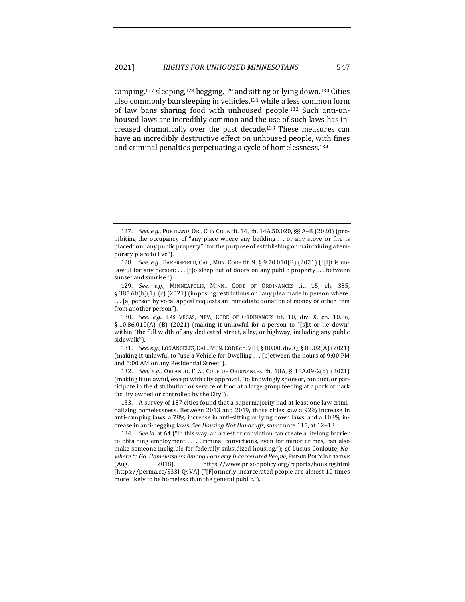camping,<sup>127</sup> sleeping,<sup>128</sup> begging,<sup>129</sup> and sitting or lying down.<sup>130</sup> Cities also commonly ban sleeping in vehicles, $131$  while a less common form of law bans sharing food with unhoused people.<sup>132</sup> Such anti-unhoused laws are incredibly common and the use of such laws has increased dramatically over the past decade.<sup>133</sup> These measures can have an incredibly destructive effect on unhoused people, with fines and criminal penalties perpetuating a cycle of homelessness.<sup>134</sup>

132. *See, e.g.*, ORLANDO, FLA., CODE OF ORDINANCES ch. 18A, § 18A.09-2(a) (2021) (making it unlawful, except with city approval, "to knowingly sponsor, conduct, or participate in the distribution or service of food at a large group feeding at a park or park facility owned or controlled by the City").

133. A survey of 187 cities found that a supermajority had at least one law criminalizing homelessness. Between 2013 and 2019, those cities saw a 92% increase in anti-camping laws, a 78% increase in anti-sitting or lying down laws, and a 103% increase in anti-begging laws. See Housing Not Handcuffs, supra note 115, at 12-13.

134. *See id.* at 64 ("In this way, an arrest or conviction can create a lifelong barrier to obtaining employment .... Criminal convictions, even for minor crimes, can also make someone ineligible for federally subsidized housing."); *cf.* Lucius Couloute, *No*where to Go: Homelessness Among Formerly Incarcerated People, PRISON POL'Y INITIATIVE (Aug. 2018), https://www.prisonpolicy.org/reports/housing.html [https://perma.cc/S33J-Q4VA] ("[F]ormerly incarcerated people are almost 10 times more likely to be homeless than the general public.").

<sup>127.</sup> *See, e.g.*, PORTLAND, OR., CITY CODE tit. 14, ch. 14A.50.020, §§ A-B (2020) (prohibiting the occupancy of "any place where any bedding  $\ldots$  or any stove or fire is placed" on "any public property" "for the purpose of establishing or maintaining a temporary place to live").

<sup>128.</sup> *See, e.g.*, BAKERSFIELD, CAL., MUN. CODE tit. 9, § 9.70.010(B) (2021) ("[I]t is unlawful for any person:  $\dots$  [t]o sleep out of doors on any public property  $\dots$  between sunset and sunrise.").

<sup>129.</sup> *See, e.g.*, MINNEAPOLIS, MINN., CODE OF ORDINANCES tit. 15, ch. 385, § 385.60(b)(1), (c) (2021) (imposing restrictions on "any plea made in person where: ... [a] person by vocal appeal requests an immediate donation of money or other item from another person").

<sup>130.</sup> *See, e.g.*, LAS VEGAS, NEV., CODE OF ORDINANCES tit. 10, div. X, ch. 10.86, § 10.86.010(A)-(B) (2021) (making it unlawful for a person to "[s]it or lie down" within "the full width of any dedicated street, alley, or highway, including any public sidewalk").

<sup>131.</sup> *See, e.g.*, LOS ANGELES, CAL., MUN. CODE ch. VIII, § 80.00, div. Q, § 85.02(A) (2021) (making it unlawful to "use a Vehicle for Dwelling . . . [b]etween the hours of 9:00 PM and 6:00 AM on any Residential Street").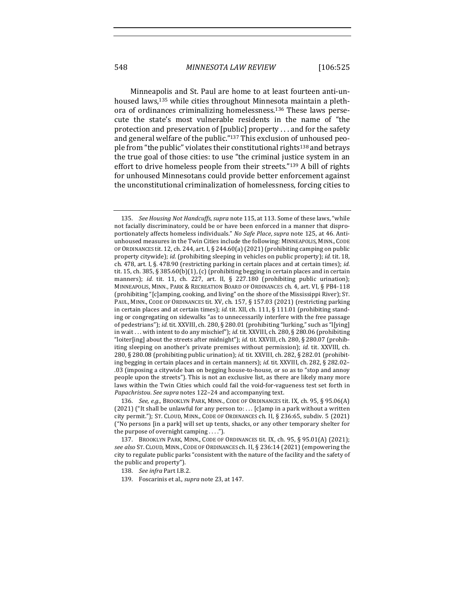548 *MINNESOTA LAW REVIEW* [106:525

Minneapolis and St. Paul are home to at least fourteen anti-unhoused laws,<sup>135</sup> while cities throughout Minnesota maintain a plethora of ordinances criminalizing homelessness.<sup>136</sup> These laws persecute the state's most vulnerable residents in the name of "the protection and preservation of [public] property . . . and for the safety and general welfare of the public."<sup>137</sup> This exclusion of unhoused people from "the public" violates their constitutional rights<sup>138</sup> and betrays the true goal of those cities: to use "the criminal justice system in an effort to drive homeless people from their streets." $139$  A bill of rights for unhoused Minnesotans could provide better enforcement against the unconstitutional criminalization of homelessness, forcing cities to

<sup>135.</sup> *See Housing Not Handcuffs, supra* note 115, at 113. Some of these laws, "while not facially discriminatory, could be or have been enforced in a manner that disproportionately affects homeless individuals." *No Safe Place*, *supra* note 125, at 46. Antiunhoused measures in the Twin Cities include the following: MINNEAPOLIS, MINN., CODE OF ORDINANCES tit. 12, ch. 244, art. I, § 244.60(a) (2021) (prohibiting camping on public property citywide); *id.* (prohibiting sleeping in vehicles on public property); *id.* tit. 18, ch. 478, art. I, §. 478.90 (restricting parking in certain places and at certain times); *id.* tit. 15, ch. 385, § 385.60(b)(1), (c) (prohibiting begging in certain places and in certain manners); *id.* tit. 11, ch. 227, art. II, § 227.180 (prohibiting public urination); MINNEAPOLIS, MINN., PARK & RECREATION BOARD OF ORDINANCES ch. 4, art. VI, § PB4-118 (prohibiting "[c]amping, cooking, and living" on the shore of the Mississippi River); ST. PAUL, MINN., CODE OF ORDINANCES tit. XV, ch. 157, § 157.03 (2021) (restricting parking in certain places and at certain times); *id.* tit. XII, ch. 111, § 111.01 (prohibiting standing or congregating on sidewalks "as to unnecessarily interfere with the free passage of pedestrians"); *id.* tit. XXVIII, ch. 280, § 280.01 (prohibiting "lurking," such as "l[ying] in wait . . . with intent to do any mischief"); *id.* tit. XXVIII, ch. 280, § 280.06 (prohibiting "loiter[ing] about the streets after midnight"); *id.* tit. XXVIII, ch. 280, § 280.07 (prohibiting sleeping on another's private premises without permission); *id.* tit. XXVIII, ch. 280, § 280.08 (prohibiting public urination); *id.* tit. XXVIII, ch. 282, § 282.01 (prohibiting begging in certain places and in certain manners); *id.* tit. XXVIII, ch. 282, § 282.02– .03 (imposing a citywide ban on begging house-to-house, or so as to "stop and annoy people upon the streets"). This is not an exclusive list, as there are likely many more laws within the Twin Cities which could fail the void-for-vagueness test set forth in Papachristou. See supra notes 122-24 and accompanying text.

<sup>136.</sup> *See, e.g.*, Brooklyn Park, Minn., Code of Ordinances tit. IX, ch. 95, § 95.06(A) (2021) ("It shall be unlawful for any person to: ... [c]amp in a park without a written city permit."); ST. CLOUD, MINN., CODE OF ORDINANCES ch. II, § 236:65, subdiv. 5 (2021) ("No persons  $\lceil$ in a park $\rceil$  will set up tents, shacks, or any other temporary shelter for the purpose of overnight camping  $\dots$ ").

<sup>137.</sup> BROOKLYN PARK, MINN., CODE OF ORDINANCES tit. IX, ch. 95, § 95.01(A) (2021); *see also* ST. CLOUD, MINN., CODE OF ORDINANCES ch. II, § 236:14 (2021) (empowering the city to regulate public parks "consistent with the nature of the facility and the safety of the public and property").

<sup>138.</sup> *See infra Part I.B.2.* 

<sup>139.</sup> Foscarinis et al., *supra* note 23, at 147.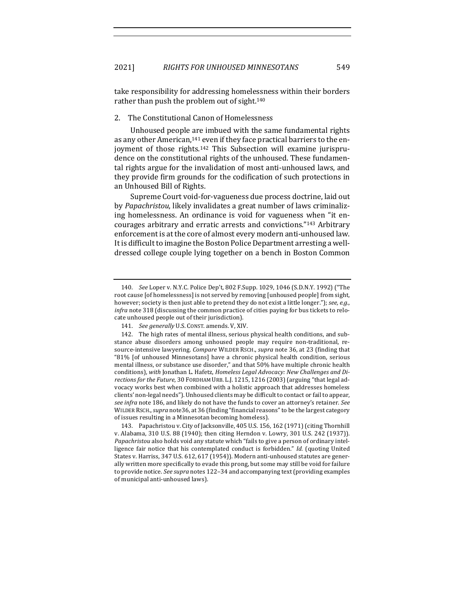take responsibility for addressing homelessness within their borders rather than push the problem out of sight. $140$ 

#### 2. The Constitutional Canon of Homelessness

Unhoused people are imbued with the same fundamental rights as any other American,<sup>141</sup> even if they face practical barriers to the enjoyment of those rights.<sup>142</sup> This Subsection will examine jurisprudence on the constitutional rights of the unhoused. These fundamental rights argue for the invalidation of most anti-unhoused laws, and they provide firm grounds for the codification of such protections in an Unhoused Bill of Rights.

Supreme Court void-for-vagueness due process doctrine, laid out by *Papachristou*, likely invalidates a great number of laws criminalizing homelessness. An ordinance is void for vagueness when "it encourages arbitrary and erratic arrests and convictions."<sup>143</sup> Arbitrary enforcement is at the core of almost every modern anti-unhoused law. It is difficult to imagine the Boston Police Department arresting a welldressed college couple lying together on a bench in Boston Common

<sup>140.</sup> *See* Loper v. N.Y.C. Police Dep't, 802 F.Supp. 1029, 1046 (S.D.N.Y. 1992) ("The root cause [of homelessness] is not served by removing [unhoused people] from sight, however; society is then just able to pretend they do not exist a little longer."); see, e.g., *infra* note 318 (discussing the common practice of cities paying for bus tickets to relocate unhoused people out of their jurisdiction).

<sup>141.</sup> *See generally* U.S. CONST. amends. V, XIV.

<sup>142.</sup> The high rates of mental illness, serious physical health conditions, and substance abuse disorders among unhoused people may require non-traditional, resource-intensive lawyering. *Compare* WILDER RSCH., *supra* note 36, at 23 (finding that "81% [of unhoused Minnesotans] have a chronic physical health condition, serious mental illness, or substance use disorder," and that 50% have multiple chronic health conditions), with Jonathan L. Hafetz, *Homeless Legal Advocacy: New Challenges and Di*rections for the Future, 30 FORDHAM URB. L.J. 1215, 1216 (2003) (arguing "that legal advocacy works best when combined with a holistic approach that addresses homeless clients' non-legal needs"). Unhoused clients may be difficult to contact or fail to appear, *see infra* note 186, and likely do not have the funds to cover an attorney's retainer. See WILDER RSCH., *supra* note36, at 36 (finding "financial reasons" to be the largest category of issues resulting in a Minnesotan becoming homeless).

<sup>143.</sup> Papachristou v. City of Jacksonville, 405 U.S. 156, 162 (1971) (citing Thornhill v. Alabama,  $310 \text{ U.S. } 88 \text{ (1940)}$ ; then citing Herndon v. Lowry,  $301 \text{ U.S. } 242 \text{ (1937)}$ . *Papachristou* also holds void any statute which "fails to give a person of ordinary intelligence fair notice that his contemplated conduct is forbidden." *Id.* (quoting United States v. Harriss, 347 U.S. 612, 617 (1954)). Modern anti-unhoused statutes are generally written more specifically to evade this prong, but some may still be void for failure to provide notice. See supra notes 122-34 and accompanying text (providing examples of municipal anti-unhoused laws).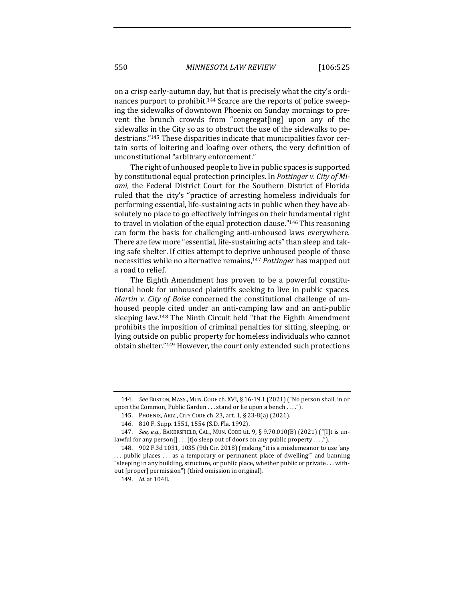on a crisp early-autumn day, but that is precisely what the city's ordinances purport to prohibit.<sup>144</sup> Scarce are the reports of police sweeping the sidewalks of downtown Phoenix on Sunday mornings to prevent the brunch crowds from "congregat[ing] upon any of the sidewalks in the City so as to obstruct the use of the sidewalks to pedestrians."<sup>145</sup> These disparities indicate that municipalities favor certain sorts of loitering and loafing over others, the very definition of unconstitutional "arbitrary enforcement."

The right of unhoused people to live in public spaces is supported by constitutional equal protection principles. In *Pottinger v. City of Mi*ami, the Federal District Court for the Southern District of Florida ruled that the city's "practice of arresting homeless individuals for performing essential, life-sustaining acts in public when they have absolutely no place to go effectively infringes on their fundamental right to travel in violation of the equal protection clause."<sup>146</sup> This reasoning can form the basis for challenging anti-unhoused laws everywhere. There are few more "essential, life-sustaining acts" than sleep and taking safe shelter. If cities attempt to deprive unhoused people of those necessities while no alternative remains,<sup>147</sup> *Pottinger* has mapped out a road to relief.

The Eighth Amendment has proven to be a powerful constitutional hook for unhoused plaintiffs seeking to live in public spaces. *Martin* v. *City of Boise* concerned the constitutional challenge of unhoused people cited under an anti-camping law and an anti-public sleeping law.<sup>148</sup> The Ninth Circuit held "that the Eighth Amendment prohibits the imposition of criminal penalties for sitting, sleeping, or lying outside on public property for homeless individuals who cannot obtain shelter."<sup>149</sup> However, the court only extended such protections

<sup>144.</sup> *See* Boston, MASS., MUN. CODE ch. XVI, § 16-19.1 (2021) ("No person shall, in or upon the Common, Public Garden  $\dots$  stand or lie upon a bench  $\dots$ ").

<sup>145.</sup> PHOENIX, ARIZ., CITY CODE ch. 23, art. 1, § 23-8(a) (2021).

<sup>146. 810</sup> F. Supp. 1551, 1554 (S.D. Fla. 1992).

<sup>147.</sup> *See, e.g.*, BAKERSFIELD, CAL., MUN. CODE tit. 9, § 9.70.010(B) (2021) ("[I]t is unlawful for any  $\text{person}[] \dots [t]$ o sleep out of doors on any public property  $\dots$ ").

<sup>148. 902</sup> F.3d 1031, 1035 (9th Cir. 2018) (making "it is a misdemeanor to use 'any .. public places ... as a temporary or permanent place of dwelling" and banning "sleeping in any building, structure, or public place, whether public or private . . . without [proper] permission") (third omission in original).

<sup>149.</sup> *Id.* at 1048.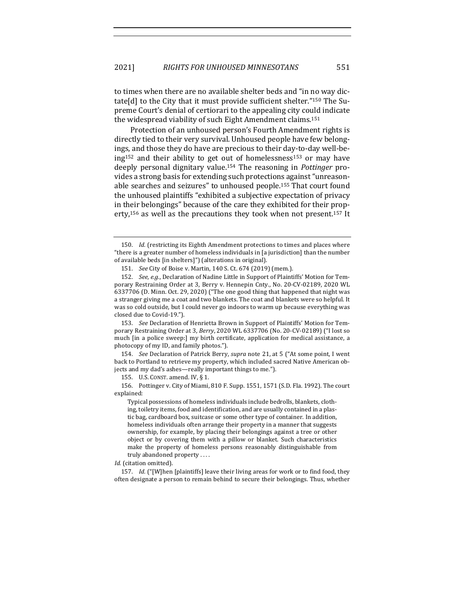to times when there are no available shelter beds and "in no way dictate[d] to the City that it must provide sufficient shelter." $150$  The Supreme Court's denial of certiorari to the appealing city could indicate the widespread viability of such Eight Amendment claims.<sup>151</sup>

Protection of an unhoused person's Fourth Amendment rights is directly tied to their very survival. Unhoused people have few belongings, and those they do have are precious to their day-to-day well-being<sup>152</sup> and their ability to get out of homelessness<sup>153</sup> or may have deeply personal dignitary value.<sup>154</sup> The reasoning in *Pottinger* provides a strong basis for extending such protections against "unreasonable searches and seizures" to unhoused people.<sup>155</sup> That court found the unhoused plaintiffs "exhibited a subjective expectation of privacy in their belongings" because of the care they exhibited for their property,<sup>156</sup> as well as the precautions they took when not present.<sup>157</sup> It

153. *See* Declaration of Henrietta Brown in Support of Plaintiffs' Motion for Temporary Restraining Order at 3, *Berry*, 2020 WL 6337706 (No. 20-CV-02189) ("I lost so much [in a police sweep:] my birth certificate, application for medical assistance, a photocopy of my ID, and family photos.").

154. *See* Declaration of Patrick Berry, *supra* note 21, at 5 ("At some point, I went back to Portland to retrieve my property, which included sacred Native American objects and my dad's ashes—really important things to me.").

155. U.S. CONST. amend. IV,  $\S$  1.

156. Pottinger v. City of Miami, 810 F. Supp. 1551, 1571 (S.D. Fla. 1992). The court explained:

Typical possessions of homeless individuals include bedrolls, blankets, clothing, toiletry items, food and identification, and are usually contained in a plastic bag, cardboard box, suitcase or some other type of container. In addition, homeless individuals often arrange their property in a manner that suggests ownership, for example, by placing their belongings against a tree or other object or by covering them with a pillow or blanket. Such characteristics make the property of homeless persons reasonably distinguishable from truly abandoned property ....

Id. (citation omitted).

157. *Id.* ("[W]hen [plaintiffs] leave their living areas for work or to find food, they often designate a person to remain behind to secure their belongings. Thus, whether

<sup>150.</sup> *Id.* (restricting its Eighth Amendment protections to times and places where "there is a greater number of homeless individuals in  $[a]$  jurisdiction  $]$  than the number of available beds [in shelters]") (alterations in original).

<sup>151.</sup> *See* City of Boise v. Martin, 140 S. Ct. 674 (2019) (mem.).

<sup>152.</sup> *See, e.g.*, Declaration of Nadine Little in Support of Plaintiffs' Motion for Temporary Restraining Order at 3, Berry v. Hennepin Cnty., No. 20-CV-02189, 2020 WL 6337706 (D. Minn. Oct. 29, 2020) ("The one good thing that happened that night was a stranger giving me a coat and two blankets. The coat and blankets were so helpful. It was so cold outside, but I could never go indoors to warm up because everything was closed due to Covid-19.").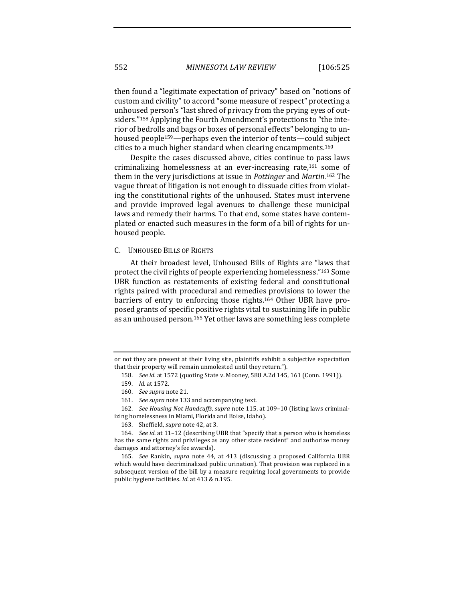then found a "legitimate expectation of privacy" based on "notions of custom and civility" to accord "some measure of respect" protecting a unhoused person's "last shred of privacy from the prying eyes of outsiders."<sup>158</sup> Applying the Fourth Amendment's protections to "the interior of bedrolls and bags or boxes of personal effects" belonging to unhoused people<sup>159</sup>—perhaps even the interior of tents—could subject cities to a much higher standard when clearing encampments.<sup>160</sup>

Despite the cases discussed above, cities continue to pass laws criminalizing homelessness at an ever-increasing rate,<sup>161</sup> some of them in the very jurisdictions at issue in *Pottinger* and *Martin*.<sup>162</sup> The vague threat of litigation is not enough to dissuade cities from violating the constitutional rights of the unhoused. States must intervene and provide improved legal avenues to challenge these municipal laws and remedy their harms. To that end, some states have contemplated or enacted such measures in the form of a bill of rights for unhoused people.

#### C. UNHOUSED BILLS OF RIGHTS

At their broadest level, Unhoused Bills of Rights are "laws that protect the civil rights of people experiencing homelessness."<sup>163</sup> Some UBR function as restatements of existing federal and constitutional rights paired with procedural and remedies provisions to lower the barriers of entry to enforcing those rights.<sup>164</sup> Other UBR have proposed grants of specific positive rights vital to sustaining life in public as an unhoused person.<sup>165</sup> Yet other laws are something less complete

or not they are present at their living site, plaintiffs exhibit a subjective expectation that their property will remain unmolested until they return.").

<sup>158.</sup> *See id.* at 1572 (quoting State v. Mooney, 588 A.2d 145, 161 (Conn. 1991)).

<sup>159.</sup> *Id.* at 1572.

<sup>160.</sup> *See supra* note 21.

<sup>161.</sup> *See supra* note 133 and accompanying text.

<sup>162.</sup> *See Housing Not Handcuffs, supra* note 115, at 109-10 (listing laws criminalizing homelessness in Miami, Florida and Boise, Idaho).

<sup>163.</sup> Sheffield, *supra* note 42, at 3.

<sup>164.</sup> *See id.* at 11-12 (describing UBR that "specify that a person who is homeless has the same rights and privileges as any other state resident" and authorize money damages and attorney's fee awards).

<sup>165.</sup> *See* Rankin, *supra* note 44, at 413 (discussing a proposed California UBR which would have decriminalized public urination). That provision was replaced in a subsequent version of the bill by a measure requiring local governments to provide public hygiene facilities. *Id.* at 413 & n.195.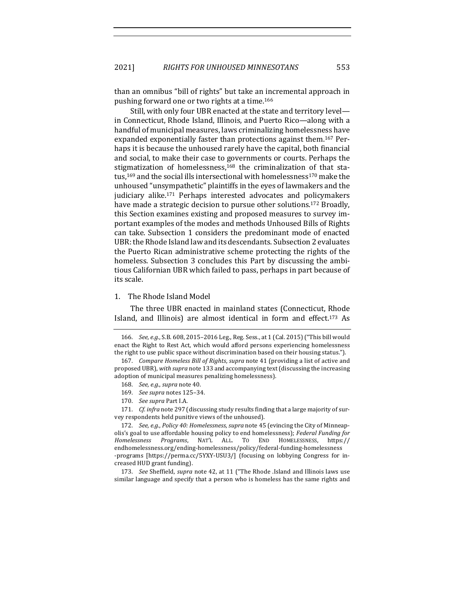than an omnibus "bill of rights" but take an incremental approach in pushing forward one or two rights at a time.<sup>166</sup>

Still, with only four UBR enacted at the state and territory levelin Connecticut, Rhode Island, Illinois, and Puerto Rico—along with a handful of municipal measures, laws criminalizing homelessness have expanded exponentially faster than protections against them.<sup>167</sup> Perhaps it is because the unhoused rarely have the capital, both financial and social, to make their case to governments or courts. Perhaps the stigmatization of homelessness, $168$  the criminalization of that status,<sup>169</sup> and the social ills intersectional with homelessness<sup>170</sup> make the unhoused "unsympathetic" plaintiffs in the eyes of lawmakers and the judiciary alike.<sup>171</sup> Perhaps interested advocates and policymakers have made a strategic decision to pursue other solutions.<sup>172</sup> Broadly, this Section examines existing and proposed measures to survey important examples of the modes and methods Unhoused Bills of Rights can take. Subsection 1 considers the predominant mode of enacted UBR: the Rhode Island law and its descendants. Subsection 2 evaluates the Puerto Rican administrative scheme protecting the rights of the homeless. Subsection 3 concludes this Part by discussing the ambitious Californian UBR which failed to pass, perhaps in part because of its scale.

#### 1. The Rhode Island Model

The three UBR enacted in mainland states (Connecticut, Rhode Island, and Illinois) are almost identical in form and effect.<sup>173</sup> As

- 168. *See, e.g., supra* note 40.
- 169. *See supra* notes 125–34.
- 170. See supra Part I.A.

171. *Cf. infra* note 297 (discussing study results finding that a large majority of survey respondents held punitive views of the unhoused).

<sup>166.</sup> *See, e.g.*, S.B. 608, 2015-2016 Leg., Reg. Sess., at 1 (Cal. 2015) ("This bill would enact the Right to Rest Act, which would afford persons experiencing homelessness the right to use public space without discrimination based on their housing status.").

<sup>167.</sup> *Compare Homeless Bill of Rights, supra* note 41 (providing a list of active and proposed UBR), with supra note 133 and accompanying text (discussing the increasing adoption of municipal measures penalizing homelessness).

<sup>172.</sup> *See, e.g., Policy 40: Homelessness, supra* note 45 (evincing the City of Minneapolis's goal to use affordable housing policy to end homelessness); *Federal Funding for Homelessness Programs*, NAT'L ALL. TO END HOMELESSNESS, https:// endhomelessness.org/ending-homelessness/policy/federal-funding-homelessness -programs [https://perma.cc/5YXY-USU3/] (focusing on lobbying Congress for increased HUD grant funding).

<sup>173.</sup> *See* Sheffield, *supra* note 42, at 11 ("The Rhode .Island and Illinois laws use similar language and specify that a person who is homeless has the same rights and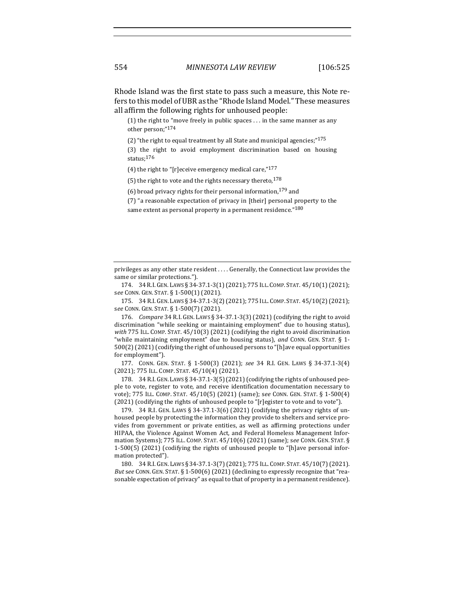Rhode Island was the first state to pass such a measure, this Note refers to this model of UBR as the "Rhode Island Model." These measures all affirm the following rights for unhoused people:

(1) the right to "move freely in public spaces ... in the same manner as any other person;"174

(2) "the right to equal treatment by all State and municipal agencies;" $175$ 

(3) the right to avoid employment discrimination based on housing status;176

(4) the right to "[r]eceive emergency medical care," $177$ 

(5) the right to vote and the rights necessary thereto,  $178$ 

(6) broad privacy rights for their personal information,  $179$  and

(7) "a reasonable expectation of privacy in [their] personal property to the

same extent as personal property in a permanent residence."<sup>180</sup>

privileges as any other state resident .... Generally, the Connecticut law provides the same or similar protections.").

174. 34 R.I. GEN. LAWS § 34-37.1-3(1)(2021); 775 ILL. COMP. STAT. 45/10(1)(2021); s*ee* CONN. GEN. STAT. § 1-500(1) (2021).

175. 34 R.I. GEN. LAWS § 34-37.1-3(2)(2021); 775 ILL. COMP. STAT. 45/10(2)(2021); see CONN. GEN. STAT. § 1-500(7) (2021).

176. *Compare* 34 R.I. GEN. LAWS § 34-37.1-3(3) (2021) (codifying the right to avoid discrimination "while seeking or maintaining employment" due to housing status), with 775 ILL. COMP. STAT. 45/10(3) (2021) (codifying the right to avoid discrimination "while maintaining employment" due to housing status), and CONN. GEN. STAT. § 1- $500(2)$  (2021) (codifying the right of unhoused persons to "[h]ave equal opportunities for employment").

177. CONN. GEN. STAT. § 1-500(3) (2021); *see*  34 R.I. GEN. LAWS § 34-37.1-3(4) (2021); 775 ILL. COMP. STAT. 45/10(4) (2021).

178. 34 R.I. GEN. LAWS  $\S$  34-37.1-3(5)(2021)(codifying the rights of unhoused people to vote, register to vote, and receive identification documentation necessary to vote); 775 ILL. COMP. STAT. 45/10(5) (2021) (same); see CONN. GEN. STAT. § 1-500(4) (2021) (codifying the rights of unhoused people to "[r]egister to vote and to vote").

179. 34 R.I. GEN. LAWS  $\S 34-37.1-3(6)$  (2021) (codifying the privacy rights of unhoused people by protecting the information they provide to shelters and service provides from government or private entities, as well as affirming protections under HIPAA, the Violence Against Women Act, and Federal Homeless Management Information Systems); 775 ILL. COMP. STAT. 45/10(6) (2021) (same); see CONN. GEN. STAT. § 1-500(5) (2021) (codifying the rights of unhoused people to "[h]ave personal information protected").

180. 34 R.I. GEN. LAWS § 34-37.1-3(7)(2021); 775 ILL. COMP. STAT. 45/10(7)(2021). *But* see CONN. GEN. STAT. § 1-500(6) (2021) (declining to expressly recognize that "reasonable expectation of privacy" as equal to that of property in a permanent residence).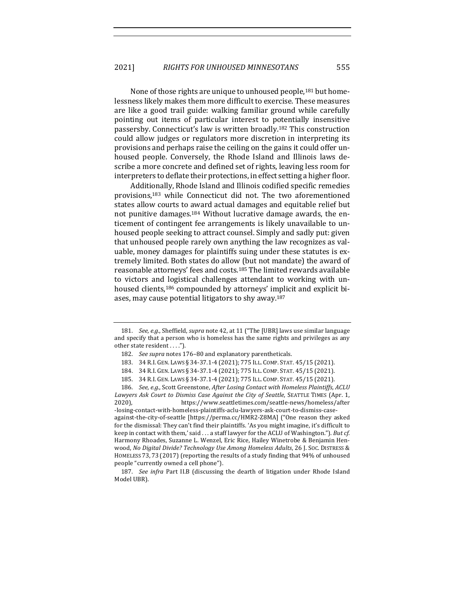None of those rights are unique to unhoused people,<sup>181</sup> but homelessness likely makes them more difficult to exercise. These measures are like a good trail guide: walking familiar ground while carefully pointing out items of particular interest to potentially insensitive passersby. Connecticut's law is written broadly.<sup>182</sup> This construction could allow judges or regulators more discretion in interpreting its provisions and perhaps raise the ceiling on the gains it could offer unhoused people. Conversely, the Rhode Island and Illinois laws describe a more concrete and defined set of rights, leaving less room for interpreters to deflate their protections, in effect setting a higher floor.

Additionally, Rhode Island and Illinois codified specific remedies provisions,<sup>183</sup> while Connecticut did not. The two aforementioned states allow courts to award actual damages and equitable relief but not punitive damages.<sup>184</sup> Without lucrative damage awards, the enticement of contingent fee arrangements is likely unavailable to unhoused people seeking to attract counsel. Simply and sadly put: given that unhoused people rarely own anything the law recognizes as valuable, money damages for plaintiffs suing under these statutes is extremely limited. Both states do allow (but not mandate) the award of reasonable attorneys' fees and costs.<sup>185</sup> The limited rewards available to victors and logistical challenges attendant to working with unhoused clients,<sup>186</sup> compounded by attorneys' implicit and explicit biases, may cause potential litigators to shy away.<sup>187</sup>

<sup>181.</sup> *See, e.g.*, Sheffield, *supra* note 42, at 11 ("The [UBR] laws use similar language and specify that a person who is homeless has the same rights and privileges as any other state resident . . . .").

<sup>182.</sup> *See supra* notes 176-80 and explanatory parentheticals.

<sup>183. 34</sup> R.I. GEN. LAWS § 34-37.1-4 (2021); 775 ILL. COMP. STAT. 45/15 (2021).

<sup>184. 34</sup> R.I. GEN. LAWS § 34-37.1-4 (2021); 775 ILL. COMP. STAT. 45/15 (2021).

<sup>185. 34</sup> R.I. GEN. LAWS § 34-37.1-4 (2021); 775 ILL. COMP. STAT. 45/15 (2021).

<sup>186.</sup> *See, e.g.*, Scott Greenstone, *After Losing Contact with Homeless Plaintiffs, ACLU* Lawyers Ask Court to Dismiss Case Against the City of Seattle, SEATTLE TIMES (Apr. 1, 2020), https://www.seattletimes.com/seattle-news/homeless/after -losing-contact-with-homeless-plaintiffs-aclu-lawyers-ask-court-to-dismiss-caseagainst-the-city-of-seattle [https://perma.cc/HMR2-Z8MA] ("One reason they asked for the dismissal: They can't find their plaintiffs. 'As you might imagine, it's difficult to keep in contact with them,' said . . . a staff lawyer for the ACLU of Washington."). *But cf.* Harmony Rhoades, Suzanne L. Wenzel, Eric Rice, Hailey Winetrobe & Benjamin Henwood, No Digital Divide? Technology Use Among Homeless Adults, 26 J. Soc. DISTRESS & HOMELESS 73, 73 (2017) (reporting the results of a study finding that  $94\%$  of unhoused people "currently owned a cell phone").

<sup>187.</sup> *See infra* Part II.B (discussing the dearth of litigation under Rhode Island Model UBR).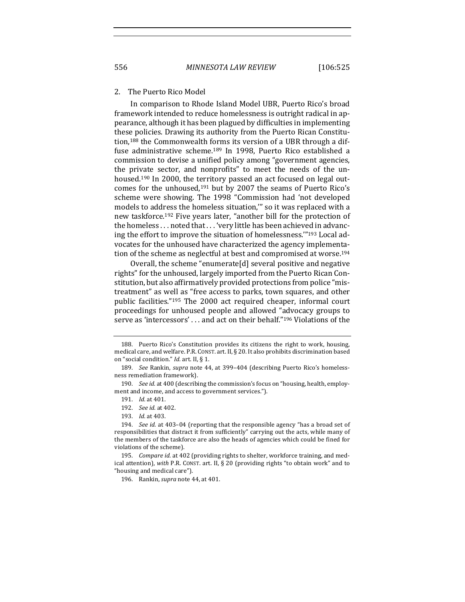#### 2. The Puerto Rico Model

In comparison to Rhode Island Model UBR, Puerto Rico's broad framework intended to reduce homelessness is outright radical in appearance, although it has been plagued by difficulties in implementing these policies. Drawing its authority from the Puerto Rican Constitution,<sup>188</sup> the Commonwealth forms its version of a UBR through a diffuse administrative scheme.<sup>189</sup> In 1998, Puerto Rico established a commission to devise a unified policy among "government agencies, the private sector, and nonprofits" to meet the needs of the unhoused.<sup>190</sup> In 2000, the territory passed an act focused on legal outcomes for the unhoused,<sup>191</sup> but by 2007 the seams of Puerto Rico's scheme were showing. The 1998 "Commission had 'not developed models to address the homeless situation,"' so it was replaced with a new taskforce.<sup>192</sup> Five years later, "another bill for the protection of the homeless . . . noted that . . . 'very little has been achieved in advancing the effort to improve the situation of homelessness."<sup>193</sup> Local advocates for the unhoused have characterized the agency implementation of the scheme as neglectful at best and compromised at worse.<sup>194</sup>

Overall, the scheme "enumerate[d] several positive and negative rights" for the unhoused, largely imported from the Puerto Rican Constitution, but also affirmatively provided protections from police "mistreatment" as well as "free access to parks, town squares, and other public facilities."<sup>195</sup> The 2000 act required cheaper, informal court proceedings for unhoused people and allowed "advocacy groups to serve as 'intercessors' . . . and act on their behalf."<sup>196</sup> Violations of the

<sup>188.</sup> Puerto Rico's Constitution provides its citizens the right to work, housing, medical care, and welfare. P.R. CONST. art. II, § 20. It also prohibits discrimination based on "social condition." *Id.* art. II, § 1.

<sup>189.</sup> See Rankin, *supra* note 44, at 399-404 (describing Puerto Rico's homelessness remediation framework).

<sup>190.</sup> *See id.* at 400 (describing the commission's focus on "housing, health, employment and income, and access to government services.").

<sup>191.</sup> *Id.* at 401.

<sup>192.</sup> *See id.* at 402.

<sup>193.</sup> *Id.* at 403.

<sup>194.</sup> *See id.* at 403-04 (reporting that the responsible agency "has a broad set of responsibilities that distract it from sufficiently" carrying out the acts, while many of the members of the taskforce are also the heads of agencies which could be fined for violations of the scheme).

<sup>195.</sup> *Compare id.* at 402 (providing rights to shelter, workforce training, and medical attention), with P.R. CONST. art. II, § 20 (providing rights "to obtain work" and to "housing and medical care").

<sup>196.</sup> Rankin, *supra* note 44, at 401.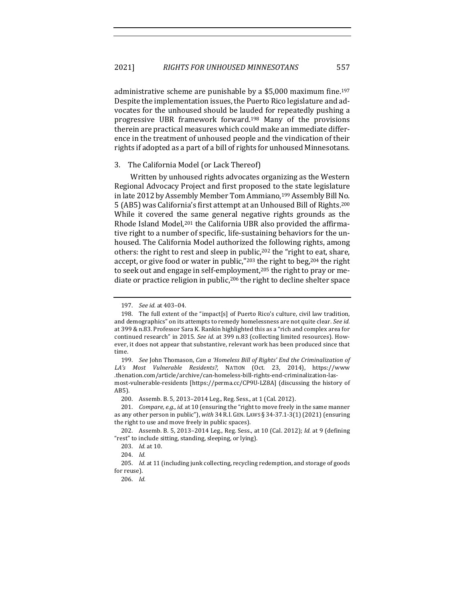administrative scheme are punishable by a  $$5,000$  maximum fine.<sup>197</sup> Despite the implementation issues, the Puerto Rico legislature and advocates for the unhoused should be lauded for repeatedly pushing a progressive UBR framework forward.<sup>198</sup> Many of the provisions therein are practical measures which could make an immediate difference in the treatment of unhoused people and the vindication of their rights if adopted as a part of a bill of rights for unhoused Minnesotans.

#### 3. The California Model (or Lack Thereof)

Written by unhoused rights advocates organizing as the Western Regional Advocacy Project and first proposed to the state legislature in late 2012 by Assembly Member Tom Ammiano,<sup>199</sup> Assembly Bill No. 5 (AB5) was California's first attempt at an Unhoused Bill of Rights.<sup>200</sup> While it covered the same general negative rights grounds as the Rhode Island Model,<sup>201</sup> the California UBR also provided the affirmative right to a number of specific, life-sustaining behaviors for the unhoused. The California Model authorized the following rights, among others: the right to rest and sleep in public,<sup>202</sup> the "right to eat, share, accept, or give food or water in public,"<sup>203</sup> the right to beg,<sup>204</sup> the right to seek out and engage in self-employment,<sup>205</sup> the right to pray or mediate or practice religion in public,<sup>206</sup> the right to decline shelter space

<sup>197.</sup> *See id.* at 403–04.

<sup>198.</sup> The full extent of the "impact[s] of Puerto Rico's culture, civil law tradition, and demographics" on its attempts to remedy homelessness are not quite clear. See id. at 399 & n.83. Professor Sara K. Rankin highlighted this as a "rich and complex area for continued research" in 2015. See id. at 399 n.83 (collecting limited resources). However, it does not appear that substantive, relevant work has been produced since that time.

<sup>199.</sup> *See John Thomason, Can a 'Homeless Bill of Rights' End the Criminalization of* LA's Most Vulnerable Residents?, NATION (Oct. 23, 2014), https://www .thenation.com/article/archive/can-homeless-bill-rights-end-criminalization-lasmost-vulnerable-residents [https://perma.cc/CP9U-LZ8A] (discussing the history of AB5).

<sup>200.</sup> Assemb. B. 5, 2013-2014 Leg., Reg. Sess., at 1 (Cal. 2012).

<sup>201.</sup> *Compare, e.g., id.* at 10 (ensuring the "right to move freely in the same manner as any other person in public"), with 34 R.I. GEN. LAWS § 34-37.1-3(1) (2021) (ensuring the right to use and move freely in public spaces).

<sup>202.</sup> Assemb. B. 5, 2013-2014 Leg., Reg. Sess., at 10 (Cal. 2012); *Id.* at 9 (defining "rest" to include sitting, standing, sleeping, or lying).

<sup>203.</sup> *Id.* at 10.

<sup>204.</sup> *Id.*

<sup>205.</sup> *Id.* at 11 (including junk collecting, recycling redemption, and storage of goods for reuse).

<sup>206.</sup> *Id.*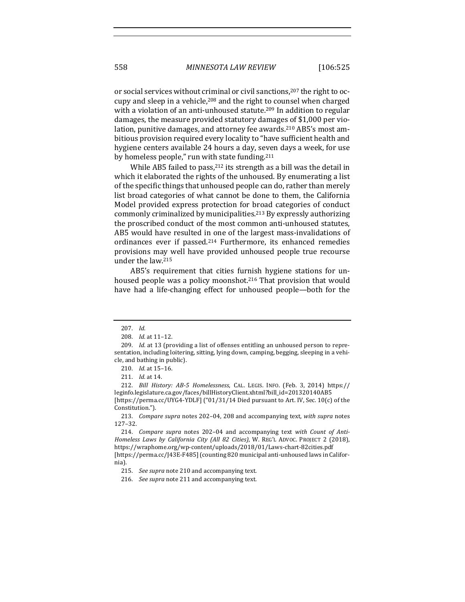or social services without criminal or civil sanctions,<sup>207</sup> the right to occupy and sleep in a vehicle,<sup>208</sup> and the right to counsel when charged with a violation of an anti-unhoused statute.<sup>209</sup> In addition to regular damages, the measure provided statutory damages of \$1,000 per violation, punitive damages, and attorney fee awards.<sup>210</sup> AB5's most ambitious provision required every locality to "have sufficient health and hygiene centers available 24 hours a day, seven days a week, for use by homeless people," run with state funding. $211$ 

While AB5 failed to pass, $212$  its strength as a bill was the detail in which it elaborated the rights of the unhoused. By enumerating a list of the specific things that unhoused people can do, rather than merely list broad categories of what cannot be done to them, the California Model provided express protection for broad categories of conduct commonly criminalized by municipalities.<sup>213</sup> By expressly authorizing the proscribed conduct of the most common anti-unhoused statutes, AB5 would have resulted in one of the largest mass-invalidations of ordinances ever if passed.<sup>214</sup> Furthermore, its enhanced remedies provisions may well have provided unhoused people true recourse under the law.<sup>215</sup>

AB5's requirement that cities furnish hygiene stations for unhoused people was a policy moonshot.<sup>216</sup> That provision that would have had a life-changing effect for unhoused people—both for the

213. *Compare supra* notes 202-04, 208 and accompanying text, with supra notes 127–32.

<sup>207.</sup> *Id.*

<sup>208.</sup> *Id.* at 11-12.

<sup>209.</sup> *Id.* at 13 (providing a list of offenses entitling an unhoused person to representation, including loitering, sitting, lying down, camping, begging, sleeping in a vehicle, and bathing in public).

<sup>210.</sup> *Id.* at 15-16.

<sup>211.</sup> *Id.* at 14.

<sup>212.</sup> *Bill History: AB-5 Homelessness*, CAL. LEGIS. INFO. (Feb. 3, 2014) https:// leginfo.legislature.ca.gov/faces/billHistoryClient.xhtml?bill\_id=201320140AB5 [https://perma.cc/UYG4-YDLF]  $("01/31/14$  Died pursuant to Art. IV, Sec.  $10(c)$  of the Constitution.").

<sup>214.</sup> *Compare supra* notes 202-04 and accompanying text with Count of Anti-Homeless Laws by California City (All 82 Cities), W. REG'L ADVOC. PROJECT 2 (2018), https://wraphome.org/wp-content/uploads/2018/01/Laws-chart-82cities.pdf [https://perma.cc/J43E-F485] (counting 820 municipal anti-unhoused laws in California).

<sup>215.</sup> *See supra* note 210 and accompanying text.

<sup>216.</sup> *See supra* note 211 and accompanying text.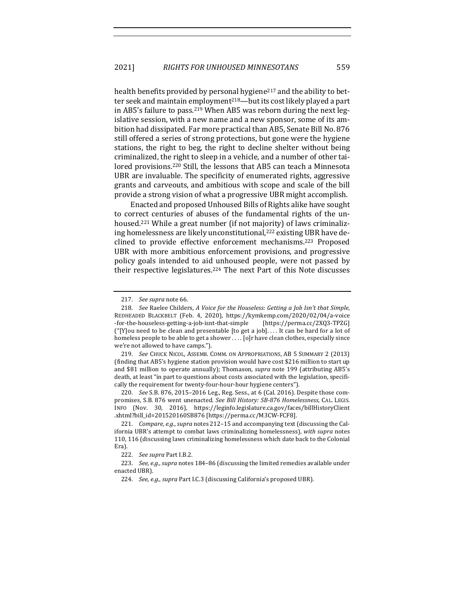health benefits provided by personal hygiene<sup>217</sup> and the ability to better seek and maintain employment<sup>218</sup>—but its cost likely played a part in AB5's failure to pass.<sup>219</sup> When AB5 was reborn during the next legislative session, with a new name and a new sponsor, some of its ambition had dissipated. Far more practical than AB5, Senate Bill No. 876 still offered a series of strong protections, but gone were the hygiene stations, the right to beg, the right to decline shelter without being criminalized, the right to sleep in a vehicle, and a number of other tailored provisions.<sup>220</sup> Still, the lessons that AB5 can teach a Minnesota UBR are invaluable. The specificity of enumerated rights, aggressive grants and carveouts, and ambitious with scope and scale of the bill provide a strong vision of what a progressive UBR might accomplish.

Enacted and proposed Unhoused Bills of Rights alike have sought to correct centuries of abuses of the fundamental rights of the unhoused.<sup>221</sup> While a great number (if not majority) of laws criminalizing homelessness are likely unconstitutional,<sup>222</sup> existing UBR have declined to provide effective enforcement mechanisms.<sup>223</sup> Proposed UBR with more ambitious enforcement provisions, and progressive policy goals intended to aid unhoused people, were not passed by their respective legislatures.<sup>224</sup> The next Part of this Note discusses

219. *See* CHUCK NICOL, ASSEMB. COMM. ON APPROPRIATIONS, AB 5 SUMMARY 2 (2013) (finding that AB5's hygiene station provision would have cost  $$216$  million to start up and \$81 million to operate annually); Thomason, *supra* note 199 (attributing AB5's death, at least "in part to questions about costs associated with the legislation, specifically the requirement for twenty-four-hour-hour hygiene centers").

220. *See* S.B. 876, 2015-2016 Leg., Reg. Sess., at 6 (Cal. 2016). Despite those compromises, S.B. 876 went unenacted. See Bill History: SB-876 Homelessness, CAL. LEGIS. INFO (Nov. 30, 2016), https://leginfo.legislature.ca.gov/faces/billHistoryClient .xhtml?bill\_id=201520160SB876 [https://perma.cc/M3CW-FCF8].

<sup>217.</sup> See supra note 66.

<sup>218.</sup> *See* Raelee Childers, A Voice for the Houseless: Getting a Job Isn't that Simple, REDHEADED BLACKBELT (Feb. 4, 2020), https://kymkemp.com/2020/02/04/a-voice -for-the-houseless-getting-a-job-isnt-that-simple [https://perma.cc/2XQ3-TPZG] ("[Y]ou need to be clean and presentable [to get a job].... It can be hard for a lot of homeless people to be able to get a shower ... . [o]r have clean clothes, especially since we're not allowed to have camps.").

<sup>221.</sup> *Compare, e.g., supra* notes 212-15 and accompanying text (discussing the California UBR's attempt to combat laws criminalizing homelessness), with supra notes 110, 116 (discussing laws criminalizing homelessness which date back to the Colonial Era).

<sup>222.</sup> *See supra Part I.B.2.* 

<sup>223.</sup> *See, e.g., supra* notes 184-86 (discussing the limited remedies available under enacted UBR).

<sup>224.</sup> *See, e.g., supra Part I.C.3* (discussing California's proposed UBR).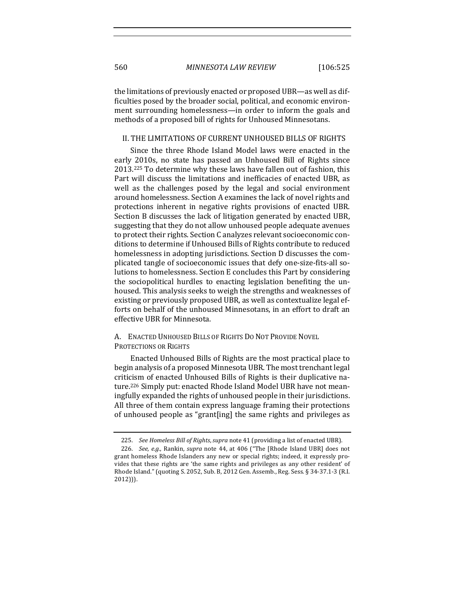the limitations of previously enacted or proposed UBR-as well as difficulties posed by the broader social, political, and economic environment surrounding homelessness—in order to inform the goals and methods of a proposed bill of rights for Unhoused Minnesotans.

## II. THE LIMITATIONS OF CURRENT UNHOUSED BILLS OF RIGHTS

Since the three Rhode Island Model laws were enacted in the early 2010s, no state has passed an Unhoused Bill of Rights since 2013.<sup>225</sup> To determine why these laws have fallen out of fashion, this Part will discuss the limitations and inefficacies of enacted UBR, as well as the challenges posed by the legal and social environment around homelessness. Section A examines the lack of novel rights and protections inherent in negative rights provisions of enacted UBR. Section B discusses the lack of litigation generated by enacted UBR, suggesting that they do not allow unhoused people adequate avenues to protect their rights. Section C analyzes relevant socioeconomic conditions to determine if Unhoused Bills of Rights contribute to reduced homelessness in adopting jurisdictions. Section D discusses the complicated tangle of socioeconomic issues that defy one-size-fits-all solutions to homelessness. Section E concludes this Part by considering the sociopolitical hurdles to enacting legislation benefiting the unhoused. This analysis seeks to weigh the strengths and weaknesses of existing or previously proposed UBR, as well as contextualize legal efforts on behalf of the unhoused Minnesotans, in an effort to draft an effective UBR for Minnesota.

## A. ENACTED UNHOUSED BILLS OF RIGHTS DO NOT PROVIDE NOVEL PROTECTIONS OR RIGHTS

Enacted Unhoused Bills of Rights are the most practical place to begin analysis of a proposed Minnesota UBR. The most trenchant legal criticism of enacted Unhoused Bills of Rights is their duplicative nature.<sup>226</sup> Simply put: enacted Rhode Island Model UBR have not meaningfully expanded the rights of unhoused people in their jurisdictions. All three of them contain express language framing their protections of unhoused people as "grant[ing] the same rights and privileges as

<sup>225.</sup> *See Homeless Bill of Rights, supra* note 41 (providing a list of enacted UBR).

<sup>226.</sup> *See, e.g.*, Rankin, *supra* note 44, at 406 ("The [Rhode Island UBR] does not grant homeless Rhode Islanders any new or special rights; indeed, it expressly provides that these rights are 'the same rights and privileges as any other resident' of Rhode Island." (quoting S. 2052, Sub. B, 2012 Gen. Assemb., Reg. Sess. § 34-37.1-3 (R.I. 2012))).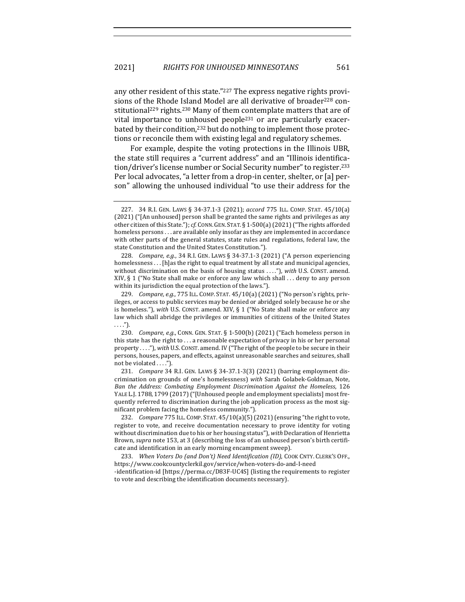any other resident of this state."<sup>227</sup> The express negative rights provisions of the Rhode Island Model are all derivative of broader<sup>228</sup> constitutional<sup>229</sup> rights.<sup>230</sup> Many of them contemplate matters that are of vital importance to unhoused people<sup>231</sup> or are particularly exacerbated by their condition,<sup>232</sup> but do nothing to implement those protections or reconcile them with existing legal and regulatory schemes.

For example, despite the voting protections in the Illinois UBR, the state still requires a "current address" and an "Illinois identification/driver's license number or Social Security number" to register.<sup>233</sup> Per local advocates, "a letter from a drop-in center, shelter, or [a] person" allowing the unhoused individual "to use their address for the

228. *Compare, e.g.*, 34 R.I. GEN. LAWS § 34-37.1-3 (2021) ("A person experiencing homelessness . . . [h]as the right to equal treatment by all state and municipal agencies, without discrimination on the basis of housing status ...."), with U.S. CONST. amend. XIV,  $\S 1$  ("No State shall make or enforce any law which shall ... deny to any person within its jurisdiction the equal protection of the laws.").

<sup>227.</sup> 34 R.I. GEN. LAWS § 34-37.1-3 (2021); *accord* 775 ILL. COMP. STAT. 45/10(a) (2021) ("[An unhoused] person shall be granted the same rights and privileges as any other citizen of this State."); *cf.* CONN. GEN. STAT. § 1-500(a) (2021) ("The rights afforded homeless persons . . . are available only insofar as they are implemented in accordance with other parts of the general statutes, state rules and regulations, federal law, the state Constitution and the United States Constitution.").

<sup>229.</sup> *Compare, e.g.*, 775 ILL. COMP. STAT. 45/10(a) (2021) ("No person's rights, privileges, or access to public services may be denied or abridged solely because he or she is homeless."), with U.S. CONST. amend. XIV, § 1 ("No State shall make or enforce any law which shall abridge the privileges or immunities of citizens of the United States . . . .").

<sup>230.</sup> *Compare, e.g.*, CONN. GEN. STAT. § 1-500(b) (2021) ("Each homeless person in this state has the right to  $\dots$  a reasonable expectation of privacy in his or her personal property . . . ."), with U.S. Const. amend. IV ("The right of the people to be secure in their persons, houses, papers, and effects, against unreasonable searches and seizures, shall not be violated ....").

<sup>231.</sup> *Compare* 34 R.I. GEN. LAWS § 34-37.1-3(3) (2021) (barring employment discrimination on grounds of one's homelessness) with Sarah Golabek-Goldman, Note, Ban the Address: Combating *Employment Discrimination Against the Homeless*, 126 YALE L.J. 1788, 1799 (2017) ("[Unhoused people and employment specialists] most frequently referred to discrimination during the job application process as the most significant problem facing the homeless community.").

<sup>232.</sup> *Compare* 775 ILL. COMP. STAT. 45/10(a)(5) (2021) (ensuring "the right to vote, register to vote, and receive documentation necessary to prove identity for voting without discrimination due to his or her housing status"), with Declaration of Henrietta Brown, *supra* note 153, at 3 (describing the loss of an unhoused person's birth certificate and identification in an early morning encampment sweep).

<sup>233.</sup> When Voters Do (and Don't) Need Identification (ID), COOK CNTY. CLERK'S OFF., https://www.cookcountyclerkil.gov/service/when-voters-do-and-I-need -identification-id [https://perma.cc/D83F-UC4S] (listing the requirements to register to vote and describing the identification documents necessary).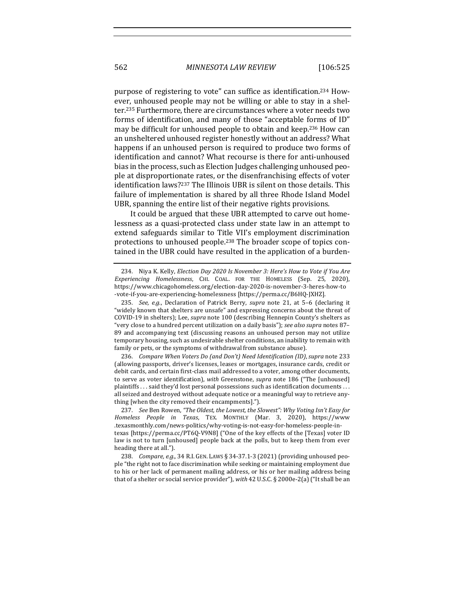purpose of registering to vote" can suffice as identification.<sup>234</sup> However, unhoused people may not be willing or able to stay in a shelter.<sup>235</sup> Furthermore, there are circumstances where a voter needs two forms of identification, and many of those "acceptable forms of ID" may be difficult for unhoused people to obtain and keep.<sup>236</sup> How can an unsheltered unhoused register honestly without an address? What happens if an unhoused person is required to produce two forms of identification and cannot? What recourse is there for anti-unhoused bias in the process, such as Election Judges challenging unhoused people at disproportionate rates, or the disenfranchising effects of voter identification laws?<sup>237</sup> The Illinois UBR is silent on those details. This failure of implementation is shared by all three Rhode Island Model UBR, spanning the entire list of their negative rights provisions.

It could be argued that these UBR attempted to carve out homelessness as a quasi-protected class under state law in an attempt to extend safeguards similar to Title VII's employment discrimination protections to unhoused people.<sup>238</sup> The broader scope of topics contained in the UBR could have resulted in the application of a burden-

236. *Compare When Voters Do (and Don't)* Need Identification (ID), *supra* note 233 (allowing passports, driver's licenses, leases or mortgages, insurance cards, credit or debit cards, and certain first-class mail addressed to a voter, among other documents, to serve as voter identification), with Greenstone, *supra* note 186 ("The [unhoused] plaintiffs  $\ldots$  said they'd lost personal possessions such as identification documents  $\ldots$ all seized and destroyed without adequate notice or a meaningful way to retrieve anything [when the city removed their encampments].").

237. *See* Ben Rowen, "The Oldest, the Lowest, the Slowest": Why Voting Isn't Easy for *Homeless People in Texas*, TEX. MONTHLY (Mar. 3, 2020), https://www .texasmonthly.com/news-politics/why-voting-is-not-easy-for-homeless-people-intexas [https://perma.cc/PT6Q-V9N8] ("One of the key effects of the [Texas] voter ID law is not to turn [unhoused] people back at the polls, but to keep them from ever heading there at all.").

238. *Compare, e.g.*, 34 R.I. GEN. LAWS § 34-37.1-3 (2021) (providing unhoused people "the right not to face discrimination while seeking or maintaining employment due to his or her lack of permanent mailing address, or his or her mailing address being that of a shelter or social service provider"), with 42 U.S.C. § 2000e-2(a) ("It shall be an

<sup>234.</sup> Niya K. Kelly, *Election Day 2020 Is November 3: Here's How to Vote if You Are Experiencing Homelessness*, CHI. COAL. FOR THE HOMELESS (Sep. 25, 2020), https://www.chicagohomeless.org/election-day-2020-is-november-3-heres-how-to -vote-if-you-are-experiencing-homelessness [https://perma.cc/B6HQ-JXHZ].

<sup>235.</sup> *See, e.g.*, Declaration of Patrick Berry, *supra* note 21, at 5-6 (declaring it "widely known that shelters are unsafe" and expressing concerns about the threat of COVID-19 in shelters); Lee, *supra* note 100 (describing Hennepin County's shelters as "very close to a hundred percent utilization on a daily basis"); *see also supra* notes 87-89 and accompanying text (discussing reasons an unhoused person may not utilize temporary housing, such as undesirable shelter conditions, an inability to remain with family or pets, or the symptoms of withdrawal from substance abuse).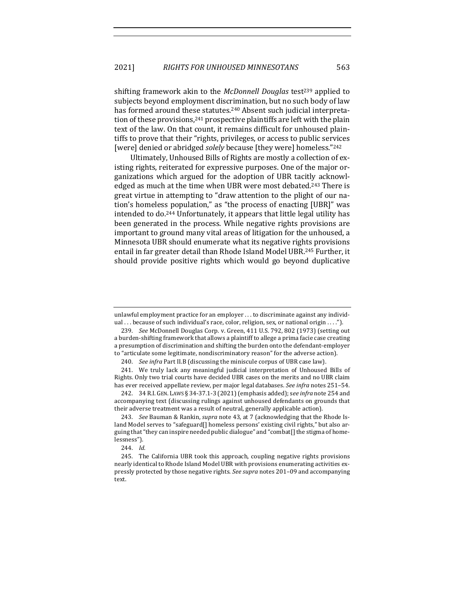shifting framework akin to the *McDonnell Douglas* test<sup>239</sup> applied to subjects beyond employment discrimination, but no such body of law has formed around these statutes.<sup>240</sup> Absent such judicial interpretation of these provisions,  $241$  prospective plaintiffs are left with the plain text of the law. On that count, it remains difficult for unhoused plaintiffs to prove that their "rights, privileges, or access to public services [were] denied or abridged *solely* because [they were] homeless."<sup>242</sup>

Ultimately, Unhoused Bills of Rights are mostly a collection of existing rights, reiterated for expressive purposes. One of the major organizations which argued for the adoption of UBR tacitly acknowledged as much at the time when UBR were most debated.<sup>243</sup> There is great virtue in attempting to "draw attention to the plight of our nation's homeless population," as "the process of enacting [UBR]" was intended to do.<sup>244</sup> Unfortunately, it appears that little legal utility has been generated in the process. While negative rights provisions are important to ground many vital areas of litigation for the unhoused, a Minnesota UBR should enumerate what its negative rights provisions entail in far greater detail than Rhode Island Model UBR.<sup>245</sup> Further, it should provide positive rights which would go beyond duplicative

unlawful employment practice for an employer  $\dots$  to discriminate against any individual ... because of such individual's race, color, religion, sex, or national origin  $\dots$ .").

<sup>239.</sup> See McDonnell Douglas Corp. v. Green, 411 U.S. 792, 802 (1973) (setting out a burden-shifting framework that allows a plaintiff to allege a prima facie case creating a presumption of discrimination and shifting the burden onto the defendant-employer to "articulate some legitimate, nondiscriminatory reason" for the adverse action).

<sup>240.</sup> *See infra* Part II.B (discussing the miniscule corpus of UBR case law).

<sup>241.</sup> We truly lack any meaningful judicial interpretation of Unhoused Bills of Rights. Only two trial courts have decided UBR cases on the merits and no UBR claim has ever received appellate review, per major legal databases. *See infra* notes 251-54.

<sup>242. 34</sup> R.I. GEN. LAWS § 34-37.1-3 (2021) (emphasis added); see infra note 254 and accompanying text (discussing rulings against unhoused defendants on grounds that their adverse treatment was a result of neutral, generally applicable action).

<sup>243.</sup> *See* Bauman & Rankin, *supra* note 43, at 7 (acknowledging that the Rhode Island Model serves to "safeguard $\iint$  homeless persons' existing civil rights," but also arguing that "they can inspire needed public dialogue" and "combat[] the stigma of homelessness").

<sup>244.</sup> *Id.*

<sup>245.</sup> The California UBR took this approach, coupling negative rights provisions nearly identical to Rhode Island Model UBR with provisions enumerating activities expressly protected by those negative rights. See supra notes 201-09 and accompanying text.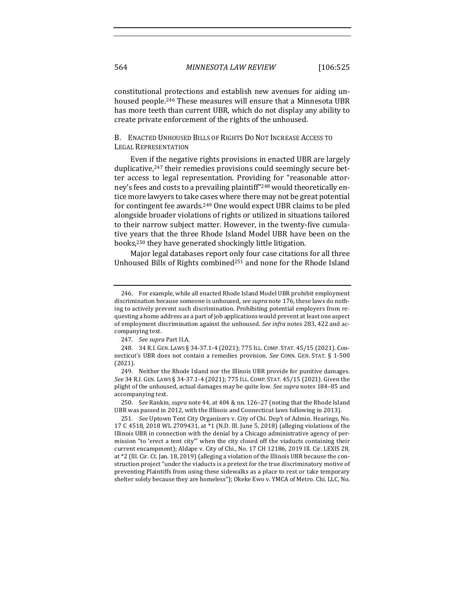constitutional protections and establish new avenues for aiding unhoused people.<sup>246</sup> These measures will ensure that a Minnesota UBR has more teeth than current UBR, which do not display any ability to create private enforcement of the rights of the unhoused.

## B. ENACTED UNHOUSED BILLS OF RIGHTS DO NOT INCREASE ACCESS TO LEGAL REPRESENTATION

Even if the negative rights provisions in enacted UBR are largely duplicative,<sup>247</sup> their remedies provisions could seemingly secure better access to legal representation. Providing for "reasonable attorney's fees and costs to a prevailing plaintiff"<sup>248</sup> would theoretically entice more lawyers to take cases where there may not be great potential for contingent fee awards.<sup>249</sup> One would expect UBR claims to be pled alongside broader violations of rights or utilized in situations tailored to their narrow subject matter. However, in the twenty-five cumulative years that the three Rhode Island Model UBR have been on the books,<sup>250</sup> they have generated shockingly little litigation.

Major legal databases report only four case citations for all three Unhoused Bills of Rights combined<sup>251</sup> and none for the Rhode Island

<sup>246.</sup> For example, while all enacted Rhode Island Model UBR prohibit employment discrimination because someone is unhoused, *see supra* note 176, these laws do nothing to actively prevent such discrimination. Prohibiting potential employers from requesting a home address as a part of job applications would prevent at least one aspect of employment discrimination against the unhoused. See infra notes 283, 422 and accompanying text.

<sup>247.</sup> *See supra Part II.A.* 

<sup>248. 34</sup> R.I. GEN. LAWS § 34-37.1-4 (2021); 775 ILL. COMP. STAT. 45/15 (2021). Connecticut's UBR does not contain a remedies provision. See CONN. GEN. STAT. § 1-500 (2021).

<sup>249.</sup> Neither the Rhode Island nor the Illinois UBR provide for punitive damages. *See* 34 R.I. GEN. LAWS § 34-37.1-4 (2021); 775 ILL. COMP. STAT. 45/15 (2021). Given the plight of the unhoused, actual damages may be quite low. See supra notes 184-85 and accompanying text.

<sup>250.</sup> See Rankin, *supra* note 44, at 404 & nn. 126-27 (noting that the Rhode Island UBR was passed in 2012, with the Illinois and Connecticut laws following in 2013).

<sup>251.</sup> *See* Uptown Tent City Organizers v. City of Chi. Dep't of Admin. Hearings, No. 17 C 4518, 2018 WL 2709431, at \*1 (N.D. Ill. June 5, 2018) (alleging violations of the Illinois UBR in connection with the denial by a Chicago administrative agency of permission "to 'erect a tent city'" when the city closed off the viaducts containing their current encampment); Aldape v. City of Chi., No. 17 CH 12186, 2019 Ill. Cir. LEXIS 28, at \*2 (Ill. Cir. Ct. Jan. 18, 2019) (alleging a violation of the Illinois UBR because the construction project "under the viaducts is a pretext for the true discriminatory motive of preventing Plaintiffs from using these sidewalks as a place to rest or take temporary shelter solely because they are homeless"); Okeke Ewo v. YMCA of Metro. Chi. LLC, No.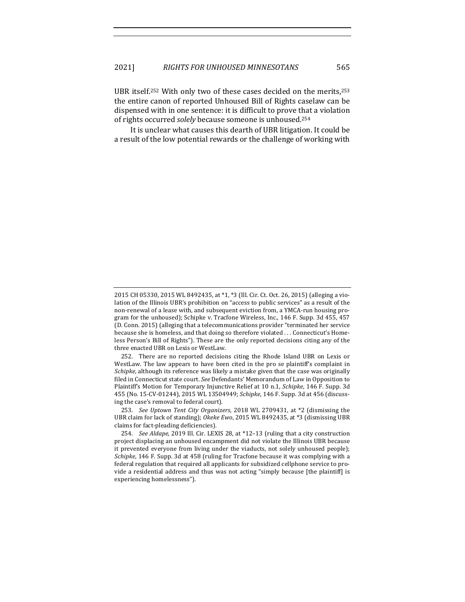UBR itself.<sup>252</sup> With only two of these cases decided on the merits,<sup>253</sup> the entire canon of reported Unhoused Bill of Rights caselaw can be dispensed with in one sentence: it is difficult to prove that a violation of rights occurred *solely* because someone is unhoused.<sup>254</sup>

It is unclear what causes this dearth of UBR litigation. It could be a result of the low potential rewards or the challenge of working with

<sup>2015</sup> CH 05330, 2015 WL 8492435, at \*1, \*3 (Ill. Cir. Ct. Oct. 26, 2015) (alleging a violation of the Illinois UBR's prohibition on "access to public services" as a result of the non-renewal of a lease with, and subsequent eviction from, a YMCA-run housing program for the unhoused); Schipke v. Tracfone Wireless, Inc., 146 F. Supp. 3d 455, 457 (D. Conn. 2015) (alleging that a telecommunications provider "terminated her service because she is homeless, and that doing so therefore violated ... Connecticut's Homeless Person's Bill of Rights"). These are the only reported decisions citing any of the three enacted UBR on Lexis or WestLaw.

<sup>252.</sup> There are no reported decisions citing the Rhode Island UBR on Lexis or WestLaw. The law appears to have been cited in the pro se plaintiff's complaint in *Schipke*, although its reference was likely a mistake given that the case was originally filed in Connecticut state court. See Defendants' Memorandum of Law in Opposition to Plaintiff's Motion for Temporary Injunctive Relief at 10 n.1, *Schipke*, 146 F. Supp. 3d 455 (No. 15-CV-01244), 2015 WL 13504949; *Schipke*, 146 F. Supp. 3d at 456 (discussing the case's removal to federal court).

<sup>253.</sup> *See Uptown Tent City Organizers*, 2018 WL 2709431, at \*2 (dismissing the UBR claim for lack of standing); Okeke Ewo, 2015 WL 8492435, at \*3 (dismissing UBR claims for fact-pleading deficiencies).

<sup>254.</sup> *See Aldape*, 2019 Ill. Cir. LEXIS 28, at \*12-13 (ruling that a city construction project displacing an unhoused encampment did not violate the Illinois UBR because it prevented everyone from living under the viaducts, not solely unhoused people); *Schipke*, 146 F. Supp. 3d at 458 (ruling for Tracfone because it was complying with a federal regulation that required all applicants for subsidized cellphone service to provide a residential address and thus was not acting "simply because [the plaintiff] is experiencing homelessness").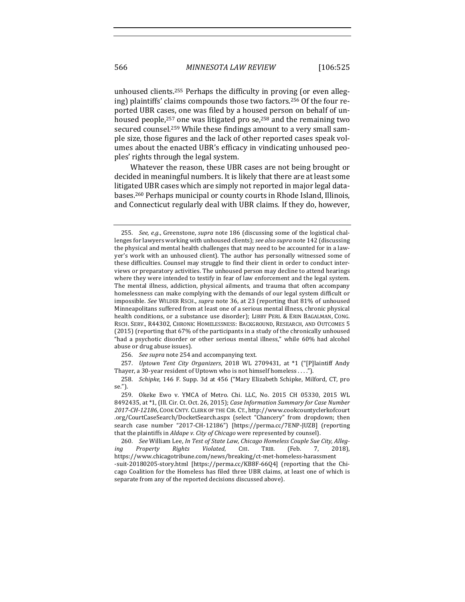unhoused clients.<sup>255</sup> Perhaps the difficulty in proving (or even alleging) plaintiffs' claims compounds those two factors.<sup>256</sup> Of the four reported UBR cases, one was filed by a housed person on behalf of unhoused people,<sup>257</sup> one was litigated pro se,<sup>258</sup> and the remaining two secured counsel.<sup>259</sup> While these findings amount to a very small sample size, those figures and the lack of other reported cases speak volumes about the enacted UBR's efficacy in vindicating unhoused peoples' rights through the legal system.

Whatever the reason, these UBR cases are not being brought or decided in meaningful numbers. It is likely that there are at least some litigated UBR cases which are simply not reported in major legal databases.<sup>260</sup> Perhaps municipal or county courts in Rhode Island, Illinois, and Connecticut regularly deal with UBR claims. If they do, however,

<sup>255.</sup> *See, e.g.*, Greenstone, *supra* note 186 (discussing some of the logistical challenges for lawyers working with unhoused clients); see also supra note 142 (discussing the physical and mental health challenges that may need to be accounted for in a lawyer's work with an unhoused client). The author has personally witnessed some of these difficulties. Counsel may struggle to find their client in order to conduct interviews or preparatory activities. The unhoused person may decline to attend hearings where they were intended to testify in fear of law enforcement and the legal system. The mental illness, addiction, physical ailments, and trauma that often accompany homelessness can make complying with the demands of our legal system difficult or impossible. See WILDER RSCH., *supra* note 36, at 23 (reporting that 81% of unhoused Minneapolitans suffered from at least one of a serious mental illness, chronic physical health conditions, or a substance use disorder); LIBBY PERL & ERIN BAGALMAN, CONG. RSCH. SERV., R44302, CHRONIC HOMELESSNESS: BACKGROUND, RESEARCH, AND OUTCOMES 5  $(2015)$  (reporting that  $67\%$  of the participants in a study of the chronically unhoused "had a psychotic disorder or other serious mental illness," while 60% had alcohol abuse or drug abuse issues).

<sup>256.</sup> See supra note 254 and accompanying text.

<sup>257.</sup> *Uptown Tent City Organizers*, 2018 WL 2709431, at \*1 ("[P]laintiff Andy Thayer, a 30-year resident of Uptown who is not himself homeless ....").

<sup>258.</sup> *Schipke*, 146 F. Supp. 3d at 456 ("Mary Elizabeth Schipke, Milford, CT, pro se.").

<sup>259.</sup> Okeke Ewo v. YMCA of Metro. Chi. LLC, No. 2015 CH 05330, 2015 WL 8492435, at \*1, (Ill. Cir. Ct. Oct. 26, 2015); *Case Information Summary for Case Number* 2017-CH-12186, COOK CNTY. CLERK OF THE CIR. CT., http://www.cookcountyclerkofcourt .org/CourtCaseSearch/DocketSearch.aspx (select "Chancery" from dropdown; then search case number "2017-CH-12186") [https://perma.cc/7ENP-JUZB] (reporting that the plaintiffs in *Aldape v. City of Chicago* were represented by counsel).

<sup>260.</sup> *See* William Lee, In Test of State Law, Chicago Homeless Couple Sue City, Alleg*ing Property Rights Violated*, CHI. TRIB. (Feb. 7, 2018), https://www.chicagotribune.com/news/breaking/ct-met-homeless-harassment -suit-20180205-story.html [https://perma.cc/KB8F-66Q4] (reporting that the Chicago Coalition for the Homeless has filed three UBR claims, at least one of which is separate from any of the reported decisions discussed above).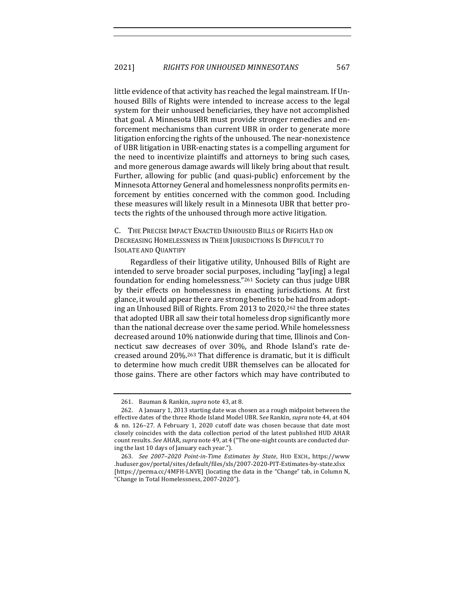little evidence of that activity has reached the legal mainstream. If Unhoused Bills of Rights were intended to increase access to the legal system for their unhoused beneficiaries, they have not accomplished that goal. A Minnesota UBR must provide stronger remedies and enforcement mechanisms than current UBR in order to generate more litigation enforcing the rights of the unhoused. The near-nonexistence of UBR litigation in UBR-enacting states is a compelling argument for the need to incentivize plaintiffs and attorneys to bring such cases, and more generous damage awards will likely bring about that result. Further, allowing for public (and quasi-public) enforcement by the Minnesota Attorney General and homelessness nonprofits permits enforcement by entities concerned with the common good. Including these measures will likely result in a Minnesota UBR that better protects the rights of the unhoused through more active litigation.

C. THE PRECISE IMPACT ENACTED UNHOUSED BILLS OF RIGHTS HAD ON DECREASING HOMELESSNESS IN THEIR JURISDICTIONS IS DIFFICULT TO **ISOLATE AND QUANTIFY** 

Regardless of their litigative utility, Unhoused Bills of Right are intended to serve broader social purposes, including "lay[ing] a legal foundation for ending homelessness." $261$  Society can thus judge UBR by their effects on homelessness in enacting jurisdictions. At first glance, it would appear there are strong benefits to be had from adopting an Unhoused Bill of Rights. From 2013 to 2020,<sup>262</sup> the three states that adopted UBR all saw their total homeless drop significantly more than the national decrease over the same period. While homelessness decreased around 10% nationwide during that time, Illinois and Connecticut saw decreases of over 30%, and Rhode Island's rate decreased around 20%.<sup>263</sup> That difference is dramatic, but it is difficult to determine how much credit UBR themselves can be allocated for those gains. There are other factors which may have contributed to

<sup>261.</sup> Bauman & Rankin, *supra* note 43, at 8.

<sup>262.</sup> A January 1, 2013 starting date was chosen as a rough midpoint between the effective dates of the three Rhode Island Model UBR. See Rankin, *supra* note 44, at 404 & nn. 126-27. A February 1, 2020 cutoff date was chosen because that date most closely coincides with the data collection period of the latest published HUD AHAR count results. See AHAR, *supra* note 49, at 4 ("The one-night counts are conducted during the last 10 days of January each year.").

<sup>263.</sup> *See 2007*–*2020 Point-in-Time Estimates by State*, HUD EXCH., https://www .huduser.gov/portal/sites/default/files/xls/2007-2020-PIT-Estimates-by-state.xlsx [https://perma.cc/4MFH-LNVE] (locating the data in the "Change" tab, in Column N, "Change in Total Homelessness, 2007-2020").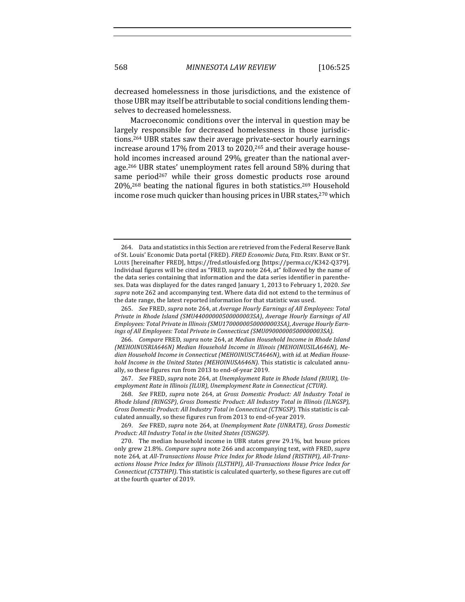decreased homelessness in those jurisdictions, and the existence of those UBR may itself be attributable to social conditions lending themselves to decreased homelessness.

Macroeconomic conditions over the interval in question may be largely responsible for decreased homelessness in those jurisdictions.<sup>264</sup> UBR states saw their average private-sector hourly earnings increase around 17% from 2013 to 2020,<sup>265</sup> and their average household incomes increased around 29%, greater than the national average.<sup>266</sup> UBR states' unemployment rates fell around 58% during that same period<sup>267</sup> while their gross domestic products rose around 20%,<sup>268</sup> beating the national figures in both statistics.<sup>269</sup> Household income rose much quicker than housing prices in UBR states,<sup>270</sup> which

265. *See* FRED, *supra* note 264, at *Average Hourly Earnings of All Employees: Total Private in Rhode Island (SMU44000000500000003SA)*, *Average Hourly Earnings of All* Employees: Total Private in Illinois (SMU17000000500000003SA), Average Hourly Earnings of All Employees: Total Private in Connecticut (SMU09000000500000003SA).

266. *Compare* FRED, supra note 264, at Median Household Income in Rhode Island *(MEHOINUSRIA646N) Median Household Income in Illinois (MEHOINUSILA646N)*, *Me*dian Household Income in Connecticut (MEHOINUSCTA646N), with id. at Median House*hold Income in the United States (MEHOINUSA646N)*. This statistic is calculated annually, so these figures run from 2013 to end-of-year 2019.

267. See FRED, supra note 264, at Unemployment Rate in Rhode Island (RIUR), Un*employment Rate in Illinois (ILUR), Unemployment Rate in Connecticut (CTUR).* 

268. *See* FRED, *supra* note 264, at *Gross Domestic Product: All Industry Total in Rhode Island (RINGSP)*, *Gross Domestic Product: All Industry Total in Illinois (ILNGSP)*, *Gross Domestic Product: All Industry Total in Connecticut (CTNGSP)*. This statistic is calculated annually, so these figures run from 2013 to end-of-year 2019.

<sup>264.</sup> Data and statistics in this Section are retrieved from the Federal Reserve Bank of St. Louis' Economic Data portal (FRED). *FRED Economic Data*, FED. RSRV. BANK OF ST. Louis [hereinafter FRED], https://fred.stlouisfed.org [https://perma.cc/K342-Q379]. Individual figures will be cited as "FRED, *supra* note 264, at" followed by the name of the data series containing that information and the data series identifier in parentheses. Data was displayed for the dates ranged January 1, 2013 to February 1, 2020. See supra note 262 and accompanying text. Where data did not extend to the terminus of the date range, the latest reported information for that statistic was used.

<sup>269.</sup> *See* FRED, *supra* note 264, at *Unemployment Rate* (UNRATE), *Gross Domestic* Product: All Industry Total in the United States (USNGSP).

<sup>270.</sup> The median household income in UBR states grew 29.1%, but house prices only grew 21.8%. *Compare supra* note 266 and accompanying text, *with* FRED, *supra* note 264, at *All-Transactions House Price Index for Rhode Island (RISTHPI), All-Trans*actions House Price Index for Illinois (ILSTHPI), *All-Transactions House Price Index for Connecticut (CTSTHPI)*. This statistic is calculated quarterly, so these figures are cut off at the fourth quarter of 2019.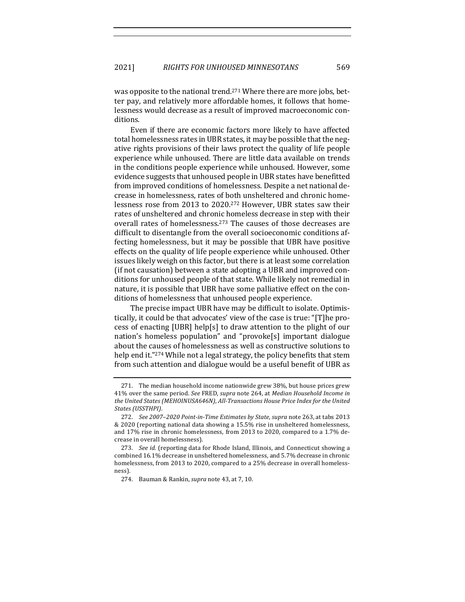was opposite to the national trend.<sup>271</sup> Where there are more jobs, better pay, and relatively more affordable homes, it follows that homelessness would decrease as a result of improved macroeconomic conditions.

Even if there are economic factors more likely to have affected total homelessness rates in UBR states, it may be possible that the negative rights provisions of their laws protect the quality of life people experience while unhoused. There are little data available on trends in the conditions people experience while unhoused. However, some evidence suggests that unhoused people in UBR states have benefitted from improved conditions of homelessness. Despite a net national decrease in homelessness, rates of both unsheltered and chronic homelessness rose from 2013 to 2020.<sup>272</sup> However, UBR states saw their rates of unsheltered and chronic homeless decrease in step with their overall rates of homelessness.<sup>273</sup> The causes of those decreases are difficult to disentangle from the overall socioeconomic conditions affecting homelessness, but it may be possible that UBR have positive effects on the quality of life people experience while unhoused. Other issues likely weigh on this factor, but there is at least some correlation (if not causation) between a state adopting a UBR and improved conditions for unhoused people of that state. While likely not remedial in nature, it is possible that UBR have some palliative effect on the conditions of homelessness that unhoused people experience.

The precise impact UBR have may be difficult to isolate. Optimistically, it could be that advocates' view of the case is true: "[T]he process of enacting [UBR] help[s] to draw attention to the plight of our nation's homeless population" and "provoke[s] important dialogue about the causes of homelessness as well as constructive solutions to help end it."274 While not a legal strategy, the policy benefits that stem from such attention and dialogue would be a useful benefit of UBR as

<sup>271.</sup> The median household income nationwide grew 38%, but house prices grew 41% over the same period. See FRED, supra note 264, at *Median Household Income in* the United States (MEHOINUSA646N), All-Transactions House Price Index for the United *States (USSTHPI)*.

<sup>272.</sup> *See 2007-2020 Point-in-Time Estimates by State, supra note 263, at tabs 2013* & 2020 (reporting national data showing a 15.5% rise in unsheltered homelessness, and 17% rise in chronic homelessness, from 2013 to 2020, compared to a 1.7% decrease in overall homelessness).

<sup>273.</sup> *See id.* (reporting data for Rhode Island, Illinois, and Connecticut showing a combined 16.1% decrease in unsheltered homelessness, and 5.7% decrease in chronic homelessness, from 2013 to 2020, compared to a 25% decrease in overall homelessness).

<sup>274.</sup> Bauman & Rankin, *supra* note 43, at 7, 10.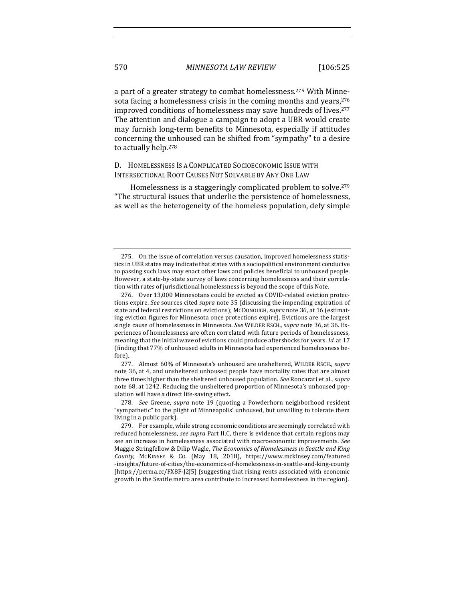a part of a greater strategy to combat homelessness.<sup>275</sup> With Minnesota facing a homelessness crisis in the coming months and years, $276$ improved conditions of homelessness may save hundreds of lives.<sup>277</sup> The attention and dialogue a campaign to adopt a UBR would create may furnish long-term benefits to Minnesota, especially if attitudes concerning the unhoused can be shifted from "sympathy" to a desire to actually help.<sup>278</sup>

D. HOMELESSNESS IS A COMPLICATED SOCIOECONOMIC ISSUE WITH INTERSECTIONAL ROOT CAUSES NOT SOLVABLE BY ANY ONE LAW

Homelessness is a staggeringly complicated problem to solve.<sup>279</sup> "The structural issues that underlie the persistence of homelessness, as well as the heterogeneity of the homeless population, defy simple

<sup>275.</sup> On the issue of correlation versus causation, improved homelessness statistics in UBR states may indicate that states with a sociopolitical environment conducive to passing such laws may enact other laws and policies beneficial to unhoused people. However, a state-by-state survey of laws concerning homelessness and their correlation with rates of jurisdictional homelessness is beyond the scope of this Note.

<sup>276.</sup> Over 13,000 Minnesotans could be evicted as COVID-related eviction protections expire. *See* sources cited *supra* note 35 (discussing the impending expiration of state and federal restrictions on evictions); MCDONOUGH, *supra* note 36, at 16 (estimating eviction figures for Minnesota once protections expire). Evictions are the largest single cause of homelessness in Minnesota. *See* WILDER RSCH., *supra* note 36, at 36. Experiences of homelessness are often correlated with future periods of homelessness, meaning that the initial wave of evictions could produce aftershocks for years. *Id.* at 17 (finding that 77% of unhoused adults in Minnesota had experienced homelessness before).

<sup>277.</sup> Almost 60% of Minnesota's unhoused are unsheltered, WILDER RSCH., *supra* note 36, at 4, and unsheltered unhoused people have mortality rates that are almost three times higher than the sheltered unhoused population. *See* Roncarati et al., *supra* note 68, at 1242. Reducing the unsheltered proportion of Minnesota's unhoused population will have a direct life-saving effect.

<sup>278.</sup> *See* Greene, *supra* note 19 (quoting a Powderhorn neighborhood resident "sympathetic" to the plight of Minneapolis' unhoused, but unwilling to tolerate them living in a public park).

<sup>279.</sup> For example, while strong economic conditions are seemingly correlated with reduced homelessness, *see supra* Part II.C, there is evidence that certain regions may see an increase in homelessness associated with macroeconomic improvements. See Maggie Stringfellow & Dilip Wagle, *The Economics of Homelessness in Seattle and King County*, MCKINSEY & CO. (May 18, 2018), https://www.mckinsey.com/featured -insights/future-of-cities/the-economics-of-homelessness-in-seattle-and-king-county [https://perma.cc/FX8F-[2]5] (suggesting that rising rents associated with economic growth in the Seattle metro area contribute to increased homelessness in the region).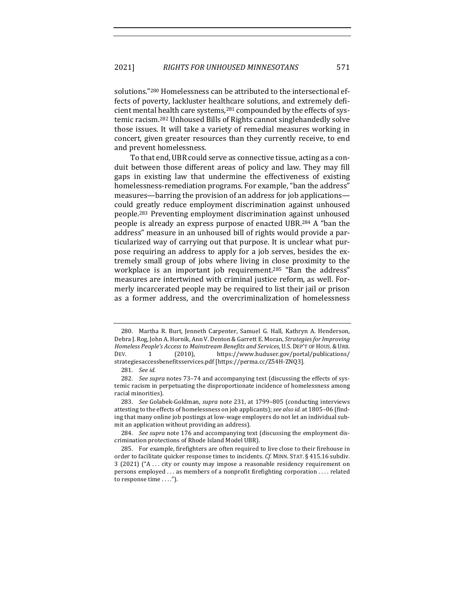solutions."<sup>280</sup> Homelessness can be attributed to the intersectional effects of poverty, lackluster healthcare solutions, and extremely deficient mental health care systems, $281$  compounded by the effects of systemic racism.<sup>282</sup> Unhoused Bills of Rights cannot singlehandedly solve those issues. It will take a variety of remedial measures working in concert, given greater resources than they currently receive, to end and prevent homelessness.

To that end, UBR could serve as connective tissue, acting as a conduit between those different areas of policy and law. They may fill gaps in existing law that undermine the effectiveness of existing homelessness-remediation programs. For example, "ban the address" measures—barring the provision of an address for job applications could greatly reduce employment discrimination against unhoused people.<sup>283</sup> Preventing employment discrimination against unhoused people is already an express purpose of enacted UBR.<sup>284</sup> A "ban the address" measure in an unhoused bill of rights would provide a particularized way of carrying out that purpose. It is unclear what purpose requiring an address to apply for a job serves, besides the extremely small group of jobs where living in close proximity to the workplace is an important job requirement.<sup>285</sup> "Ban the address" measures are intertwined with criminal justice reform, as well. Formerly incarcerated people may be required to list their jail or prison as a former address, and the overcriminalization of homelessness

<sup>280.</sup> Martha R. Burt, Jenneth Carpenter, Samuel G. Hall, Kathryn A. Henderson, Debra J. Rog, John A. Hornik, Ann V. Denton & Garrett E. Moran, *Strategies for Improving* Homeless People's Access to Mainstream Benefits and Services, U.S. DEP'T OF HOUS. & URB. DEV. 1 (2010), https://www.huduser.gov/portal/publications/ strategiesaccessbenefitsservices.pdf [https://perma.cc/Z54H-ZNQ3].

<sup>281.</sup> *See id.*

<sup>282.</sup> *See supra* notes 73-74 and accompanying text (discussing the effects of systemic racism in perpetuating the disproportionate incidence of homelessness among racial minorities).

<sup>283.</sup> *See* Golabek-Goldman, *supra* note 231, at 1799–805 (conducting interviews attesting to the effects of homelessness on job applicants); *see also id.* at 1805–06 (finding that many online job postings at low-wage employers do not let an individual submit an application without providing an address).

<sup>284.</sup> *See supra* note 176 and accompanying text (discussing the employment discrimination protections of Rhode Island Model UBR).

<sup>285.</sup> For example, firefighters are often required to live close to their firehouse in order to facilitate quicker response times to incidents. Cf. MINN. STAT. § 415.16 subdiv. 3 (2021) ("A ... city or county may impose a reasonable residency requirement on persons employed ... as members of a nonprofit firefighting corporation .... related to response time ....").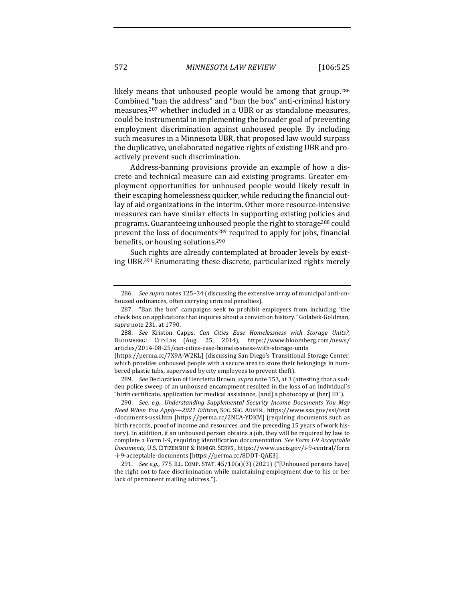likely means that unhoused people would be among that group.<sup>286</sup> Combined "ban the address" and "ban the box" anti-criminal history measures, $287$  whether included in a UBR or as standalone measures, could be instrumental in implementing the broader goal of preventing employment discrimination against unhoused people. By including such measures in a Minnesota UBR, that proposed law would surpass the duplicative, unelaborated negative rights of existing UBR and proactively prevent such discrimination.

Address-banning provisions provide an example of how a discrete and technical measure can aid existing programs. Greater employment opportunities for unhoused people would likely result in their escaping homelessness quicker, while reducing the financial outlay of aid organizations in the interim. Other more resource-intensive measures can have similar effects in supporting existing policies and programs. Guaranteeing unhoused people the right to storage<sup>288</sup> could prevent the loss of documents<sup>289</sup> required to apply for jobs, financial benefits, or housing solutions.<sup>290</sup>

Such rights are already contemplated at broader levels by existing UBR.<sup>291</sup> Enumerating these discrete, particularized rights merely

289. *See* Declaration of Henrietta Brown, *supra* note 153, at 3 (attesting that a sudden police sweep of an unhoused encampment resulted in the loss of an individual's "birth certificate, application for medical assistance,  $[and]$  a photocopy of  $[her]$  ID").

290. *See, e.g., Understanding Supplemental Security Income Documents You May Need When You Apply—2021 Edition*, SOC. SEC. ADMIN., https://www.ssa.gov/ssi/text -documents-ussi.htm [https://perma.cc/2NCA-YDKM] (requiring documents such as birth records, proof of income and resources, and the preceding 15 years of work history). In addition, if an unhoused person obtains a job, they will be required by law to complete a Form I-9, requiring identification documentation. See Form I-9 Acceptable *Documents*, U.S. CITIZENSHIP & IMMIGR. SERVS., https://www.uscis.gov/i-9-central/form -i-9-acceptable-documents [https://perma.cc/8DDT-QAE3].

291. *See e.g.*, 775 ILL. COMP. STAT. 45/10(a)(3) (2021) ("[Unhoused persons have] the right not to face discrimination while maintaining employment due to his or her lack of permanent mailing address.").

<sup>286.</sup> *See supra* notes 125–34 (discussing the extensive array of municipal anti-unhoused ordinances, often carrying criminal penalties).

<sup>287. &</sup>quot;Ban the box" campaigns seek to prohibit employers from including "the check box on applications that inquires about a conviction history." Golabek-Goldman, *supra* note 231, at 1790.

<sup>288.</sup> *See*  Kriston Capps, *Can Cities Ease Homelessness with Storage Units?*, BLOOMBERG: CITYLAB (Aug. 25, 2014), https://www.bloomberg.com/news/ articles/2014-08-25/can-cities-ease-homelessness-with-storage-units 

<sup>[</sup>https://perma.cc/7X9A-W2KL] (discussing San Diego's Transitional Storage Center, which provides unhoused people with a secure area to store their belongings in numbered plastic tubs, supervised by city employees to prevent theft).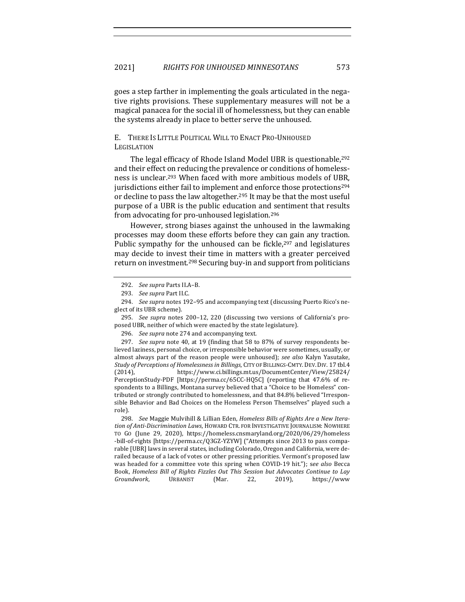goes a step farther in implementing the goals articulated in the negative rights provisions. These supplementary measures will not be a magical panacea for the social ill of homelessness, but they can enable the systems already in place to better serve the unhoused.

E. THERE IS LITTLE POLITICAL WILL TO ENACT PRO-UNHOUSED **LEGISLATION** 

The legal efficacy of Rhode Island Model UBR is questionable,<sup>292</sup> and their effect on reducing the prevalence or conditions of homelessness is unclear.<sup>293</sup> When faced with more ambitious models of UBR, jurisdictions either fail to implement and enforce those protections<sup>294</sup> or decline to pass the law altogether.<sup>295</sup> It may be that the most useful purpose of a UBR is the public education and sentiment that results from advocating for pro-unhoused legislation.<sup>296</sup>

However, strong biases against the unhoused in the lawmaking processes may doom these efforts before they can gain any traction. Public sympathy for the unhoused can be fickle, $297$  and legislatures may decide to invest their time in matters with a greater perceived return on investment.<sup>298</sup> Securing buy-in and support from politicians

295. *See supra* notes 200-12, 220 (discussing two versions of California's proposed UBR, neither of which were enacted by the state legislature).

296. See supra note 274 and accompanying text.

297. *See supra* note 40, at 19 (finding that 58 to 87% of survey respondents believed laziness, personal choice, or irresponsible behavior were sometimes, usually, or almost always part of the reason people were unhoused); *see also* Kalyn Yasutake, *Study of Perceptions of Homelessness in Billings*, CITY OF BILLINGS-CMTY. DEV. DIV. 17 tbl.4 (2014), https://www.ci.billings.mt.us/DocumentCenter/View/25824/ PerceptionStudy-PDF [https://perma.cc/65CC-HQ5C] (reporting that 47.6% of respondents to a Billings, Montana survey believed that a "Choice to be Homeless" contributed or strongly contributed to homelessness, and that 84.8% believed "Irresponsible Behavior and Bad Choices on the Homeless Person Themselves" played such a role).

298. See Maggie Mulvihill & Lillian Eden, *Homeless Bills of Rights Are a New Itera*tion of Anti-Discrimination Laws, HOWARD CTR. FOR INVESTIGATIVE JOURNALISM: NOWHERE TO GO (June 29, 2020), https://homeless.cnsmaryland.org/2020/06/29/homeless -bill-of-rights [https://perma.cc/Q3GZ-YZYW] ("Attempts since 2013 to pass comparable [UBR] laws in several states, including Colorado, Oregon and California, were derailed because of a lack of votes or other pressing priorities. Vermont's proposed law was headed for a committee vote this spring when COVID-19 hit."); see also Becca Book, *Homeless Bill of Rights Fizzles Out This Session but Advocates Continue to Lay Groundwork*, URBANIST (Mar. 22, 2019), https://www

<sup>292.</sup> *See supra Parts II.A-B.* 

<sup>293.</sup> *See supra Part II.C.* 

<sup>294.</sup> *See supra* notes 192-95 and accompanying text (discussing Puerto Rico's neglect of its UBR scheme).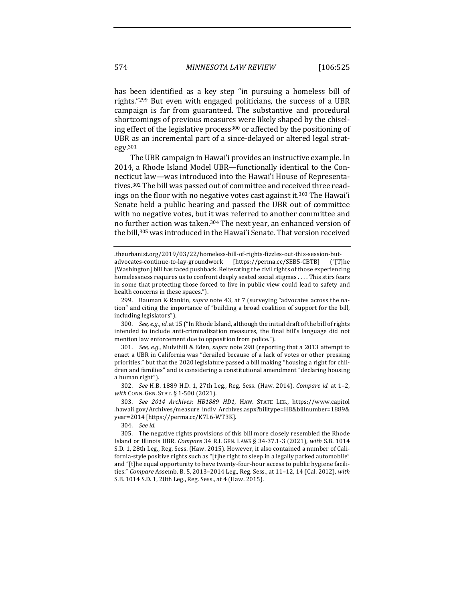has been identified as a key step "in pursuing a homeless bill of rights." $299$  But even with engaged politicians, the success of a UBR campaign is far from guaranteed. The substantive and procedural shortcomings of previous measures were likely shaped by the chiseling effect of the legislative process<sup>300</sup> or affected by the positioning of UBR as an incremental part of a since-delayed or altered legal strategy.301

The UBR campaign in Hawai'i provides an instructive example. In 2014, a Rhode Island Model UBR—functionally identical to the Connecticut law—was introduced into the Hawai'i House of Representatives.<sup>302</sup> The bill was passed out of committee and received three readings on the floor with no negative votes cast against it.<sup>303</sup> The Hawai'i Senate held a public hearing and passed the UBR out of committee with no negative votes, but it was referred to another committee and no further action was taken.<sup>304</sup> The next year, an enhanced version of the bill,<sup>305</sup> was introduced in the Hawai'i Senate. That version received

300. *See, e.g., id.* at 15 ("In Rhode Island, although the initial draft of the bill of rights intended to include anti-criminalization measures, the final bill's language did not mention law enforcement due to opposition from police.").

301. *See, e.g.*, Mulvihill & Eden, *supra* note 298 (reporting that a 2013 attempt to enact a UBR in California was "derailed because of a lack of votes or other pressing priorities," but that the 2020 legislature passed a bill making "housing a right for children and families" and is considering a constitutional amendment "declaring housing a human right").

302. *See* H.B. 1889 H.D. 1, 27th Leg., Reg. Sess. (Haw. 2014). *Compare id.* at 1-2, *with* CONN. GEN. STAT. § 1-500 (2021).

303. *See 2014 Archives: HB1889 HD1*, HAW. STATE LEG., https://www.capitol .hawaii.gov/Archives/measure\_indiv\_Archives.aspx?billtype=HB&billnumber=1889& year=2014 [https://perma.cc/K7L6-WT3K].

304. *See id.*

305. The negative rights provisions of this bill more closely resembled the Rhode Island or Illinois UBR. *Compare* 34 R.I. GEN. LAWS § 34-37.1-3 (2021), *with* S.B. 1014 S.D. 1, 28th Leg., Reg. Sess. (Haw. 2015). However, it also contained a number of California-style positive rights such as "[t]he right to sleep in a legally parked automobile" and "[t]he equal opportunity to have twenty-four-hour access to public hygiene facilities." *Compare* Assemb. B. 5, 2013-2014 Leg., Reg. Sess., at 11-12, 14 (Cal. 2012), with S.B. 1014 S.D. 1, 28th Leg., Reg. Sess., at 4 (Haw. 2015).

<sup>.</sup>theurbanist.org/2019/03/22/homeless-bill-of-rights-fizzles-out-this-session-butadvocates-continue-to-lay-groundwork [https://perma.cc/SEB5-CBTB] ("[T]he [Washington] bill has faced pushback. Reiterating the civil rights of those experiencing homelessness requires us to confront deeply seated social stigmas .... This stirs fears in some that protecting those forced to live in public view could lead to safety and health concerns in these spaces.").

<sup>299.</sup> Bauman & Rankin, *supra* note 43, at 7 (surveying "advocates across the nation" and citing the importance of "building a broad coalition of support for the bill, including legislators").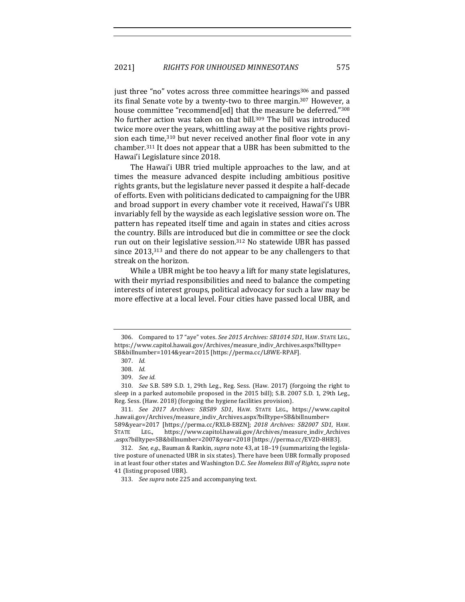just three "no" votes across three committee hearings<sup>306</sup> and passed its final Senate vote by a twenty-two to three margin.<sup>307</sup> However, a house committee "recommend[ed] that the measure be deferred."<sup>308</sup> No further action was taken on that bill.<sup>309</sup> The bill was introduced twice more over the years, whittling away at the positive rights provision each time, $310$  but never received another final floor vote in any chamber.<sup>311</sup> It does not appear that a UBR has been submitted to the Hawai'i Legislature since 2018.

The Hawai'i UBR tried multiple approaches to the law, and at times the measure advanced despite including ambitious positive rights grants, but the legislature never passed it despite a half-decade of efforts. Even with politicians dedicated to campaigning for the UBR and broad support in every chamber vote it received, Hawai'i's UBR invariably fell by the wayside as each legislative session wore on. The pattern has repeated itself time and again in states and cities across the country. Bills are introduced but die in committee or see the clock run out on their legislative session.<sup>312</sup> No statewide UBR has passed since  $2013,^{313}$  and there do not appear to be any challengers to that streak on the horizon.

While a UBR might be too heavy a lift for many state legislatures, with their myriad responsibilities and need to balance the competing interests of interest groups, political advocacy for such a law may be more effective at a local level. Four cities have passed local UBR, and

<sup>306.</sup> Compared to 17 "aye" votes. See 2015 Archives: SB1014 SD1, HAW. STATE LEG., https://www.capitol.hawaii.gov/Archives/measure\_indiv\_Archives.aspx?billtype= SB&billnumber=1014&year=2015 [https://perma.cc/L8WE-RPAF].

<sup>307.</sup> *Id.*

<sup>308.</sup> *Id.*

<sup>309.</sup> *See id.*

<sup>310.</sup> *See* S.B. 589 S.D. 1, 29th Leg., Reg. Sess. (Haw. 2017) (forgoing the right to sleep in a parked automobile proposed in the 2015 bill); S.B. 2007 S.D. 1, 29th Leg., Reg. Sess. (Haw. 2018) (forgoing the hygiene facilities provision).

<sup>311.</sup> *See 2017 Archives: SB589 SD1*, HAW. STATE LEG., https://www.capitol .hawaii.gov/Archives/measure\_indiv\_Archives.aspx?billtype=SB&billnumber= 589&year=2017 [https://perma.cc/RXL8-E8ZN]; *2018 Archives: SB2007 SD1*, HAW. STATE LEG., https://www.capitol.hawaii.gov/Archives/measure\_indiv\_Archives .aspx?billtype=SB&billnumber=2007&year=2018 [https://perma.cc/EV2D-8HB3].

<sup>312.</sup> *See, e.g.*, Bauman & Rankin, *supra* note 43, at 18-19 (summarizing the legislative posture of unenacted UBR in six states). There have been UBR formally proposed in at least four other states and Washington D.C. See Homeless Bill of Rights, supra note 41 (listing proposed UBR).

<sup>313.</sup> See supra note 225 and accompanying text.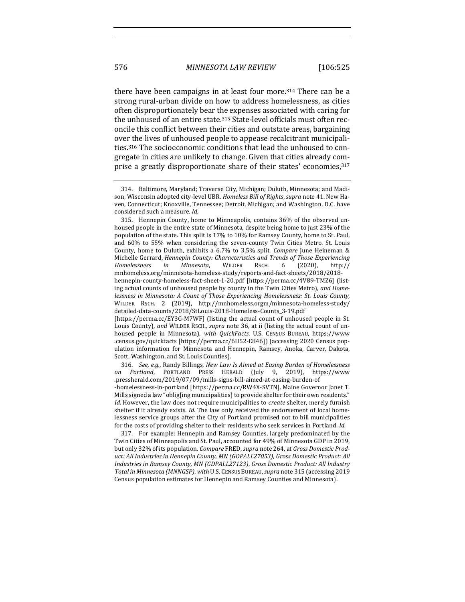there have been campaigns in at least four more. $314$  There can be a strong rural-urban divide on how to address homelessness, as cities often disproportionately bear the expenses associated with caring for the unhoused of an entire state.<sup>315</sup> State-level officials must often reconcile this conflict between their cities and outstate areas, bargaining over the lives of unhoused people to appease recalcitrant municipalities.<sup>316</sup> The socioeconomic conditions that lead the unhoused to congregate in cities are unlikely to change. Given that cities already comprise a greatly disproportionate share of their states' economies, 317

housed people in Minnesota), *with QuickFacts*, U.S. CENSUS BUREAU, https://www .census.gov/quickfacts [https://perma.cc/6H52-E846]) (accessing 2020 Census population information for Minnesota and Hennepin, Ramsey, Anoka, Carver, Dakota, Scott, Washington, and St. Louis Counties).

316. *See, e.g.*, Randy Billings, *New Law Is Aimed at Easing Burden of Homelessness on Portland*, PORTLAND PRESS HERALD (July 9, 2019), https://www .pressherald.com/2019/07/09/mills-signs-bill-aimed-at-easing-burden-of -homelessness-in-portland [https://perma.cc/RW4X-SVTN]. Maine Governor Janet T. Mills signed a law "oblig[ing municipalities] to provide shelter for their own residents." *Id.* However, the law does not require municipalities to *create* shelter, merely furnish shelter if it already exists. *Id.* The law only received the endorsement of local homelessness service groups after the City of Portland promised not to bill municipalities for the costs of providing shelter to their residents who seek services in Portland. *Id.* 

317. For example: Hennepin and Ramsey Counties, largely predominated by the Twin Cities of Minneapolis and St. Paul, accounted for 49% of Minnesota GDP in 2019, but only 32% of its population. *Compare* FRED, *supra* note 264, at *Gross Domestic Prod*uct: All Industries in Hennepin County, MN (GDPALL27053), Gross Domestic Product: All Industries in Ramsey County, MN (GDPALL27123), Gross Domestic Product: All Industry Total in Minnesota (MNNGSP), with U.S. CENSUS BUREAU, supra note 315 (accessing 2019 Census population estimates for Hennepin and Ramsey Counties and Minnesota).

<sup>314.</sup> Baltimore, Maryland; Traverse City, Michigan; Duluth, Minnesota; and Madison, Wisconsin adopted city-level UBR. *Homeless Bill of Rights*, *supra* note 41. New Haven, Connecticut; Knoxville, Tennessee; Detroit, Michigan; and Washington, D.C. have considered such a measure. *Id.* 

<sup>315.</sup> Hennepin County, home to Minneapolis, contains  $36\%$  of the observed unhoused people in the entire state of Minnesota, despite being home to just 23% of the population of the state. This split is 17% to 10% for Ramsey County, home to St. Paul, and 60% to 55% when considering the seven-county Twin Cities Metro. St. Louis County, home to Duluth, exhibits a 6.7% to 3.5% split. *Compare* June Heineman & Michelle Gerrard, *Hennepin County: Characteristics and Trends of Those Experiencing*<br> *Homelessness in* Minnesota, WILDER RSCH. 6 (2020), http:// *Homelessness in Minnesota*, WILDER RSCH. 6 (2020), http:// mnhomeless.org/minnesota-homeless-study/reports-and-fact-sheets/2018/2018 hennepin-county-homeless-fact-sheet-1-20.pdf [https://perma.cc/4V89-TMZ6] (listing actual counts of unhoused people by county in the Twin Cities Metro), and Home*lessness in Minnesota: A Count of Those Experiencing Homelessness: St. Louis County,* WILDER RSCH. 2 (2019), http://mnhomeless.orgm/minnesota-homeless-study/ detailed-data-counts/2018/StLouis-2018-Homeless-Counts\_3-19.pdf [https://perma.cc/EY3G-M7WF] (listing the actual count of unhoused people in St. Louis County), and WILDER RSCH., supra note 36, at ii (listing the actual count of un-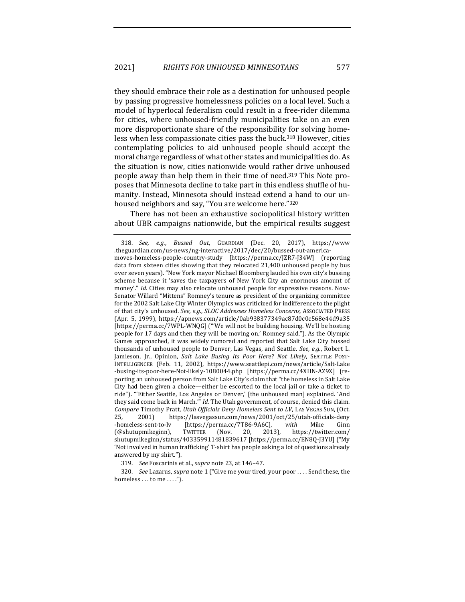they should embrace their role as a destination for unhoused people by passing progressive homelessness policies on a local level. Such a model of hyperlocal federalism could result in a free-rider dilemma for cities, where unhoused-friendly municipalities take on an even more disproportionate share of the responsibility for solving homeless when less compassionate cities pass the buck.<sup>318</sup> However, cities contemplating policies to aid unhoused people should accept the moral charge regardless of what other states and municipalities do. As the situation is now, cities nationwide would rather drive unhoused people away than help them in their time of need.<sup>319</sup> This Note proposes that Minnesota decline to take part in this endless shuffle of humanity. Instead, Minnesota should instead extend a hand to our unhoused neighbors and say, "You are welcome here."320

There has not been an exhaustive sociopolitical history written about UBR campaigns nationwide, but the empirical results suggest

<sup>318.</sup> *See, e.g.*, *Bussed Out*, GUARDIAN (Dec. 20, 2017), https://www .theguardian.com/us-news/ng-interactive/2017/dec/20/bussed-out-americamoves-homeless-people-country-study [https://perma.cc/JZR7-J34W] (reporting data from sixteen cities showing that they relocated 21,400 unhoused people by bus over seven years). "New York mayor Michael Bloomberg lauded his own city's bussing scheme because it 'saves the taxpayers of New York City an enormous amount of money'." *Id.* Cities may also relocate unhoused people for expressive reasons. Now-Senator Willard "Mittens" Romney's tenure as president of the organizing committee for the 2002 Salt Lake City Winter Olympics was criticized for indifference to the plight of that city's unhoused. See, e.g., SLOC Addresses Homeless Concerns, ASSOCIATED PRESS (Apr. 5, 1999), https://apnews.com/article/0ab938377349ac87d0c0c568e44d9a35 [https://perma.cc/7WPL-WNQG] ("'We will not be building housing. We'll be hosting people for 17 days and then they will be moving on,' Romney said."). As the Olympic Games approached, it was widely rumored and reported that Salt Lake City bussed thousands of unhoused people to Denver, Las Vegas, and Seattle. See, e.g., Robert L. Jamieson, Jr., Opinion, *Salt Lake Busing Its Poor Here? Not Likely*, SEATTLE POST-INTELLIGENCER (Feb. 11, 2002), https://www.seattlepi.com/news/article/Salt-Lake -busing-its-poor-here-Not-likely-1080044.php [https://perma.cc/4XHN-AZ9X] (reporting an unhoused person from Salt Lake City's claim that "the homeless in Salt Lake City had been given a choice—either be escorted to the local jail or take a ticket to ride"). "'Either Seattle, Los Angeles or Denver,' [the unhoused man] explained. 'And they said come back in March."" *Id.* The Utah government, of course, denied this claim. *Compare* Timothy Pratt, *Utah Officials Deny Homeless Sent to LV*, LAS VEGAS SUN, (Oct. 25, 2001) https://lasvegassun.com/news/2001/oct/25/utah-officials-deny -homeless-sent-to-lv [https://perma.cc/7T86-9A6C], with Mike Ginn (@shutupmikeginn), TWITTER (Nov. 20, 2013), https://twitter.com/ shutupmikeginn/status/403359911481839617 [https://perma.cc/EN8Q-J3YU] ("My 'Not involved in human trafficking' T-shirt has people asking a lot of questions already answered by my shirt.").

<sup>319.</sup> *See* Foscarinis et al., *supra* note 23, at 146-47.

<sup>320.</sup> *See Lazarus, supra* note 1 ("Give me your tired, your poor ... . Send these, the homeless  $\dots$  to me  $\dots$ .").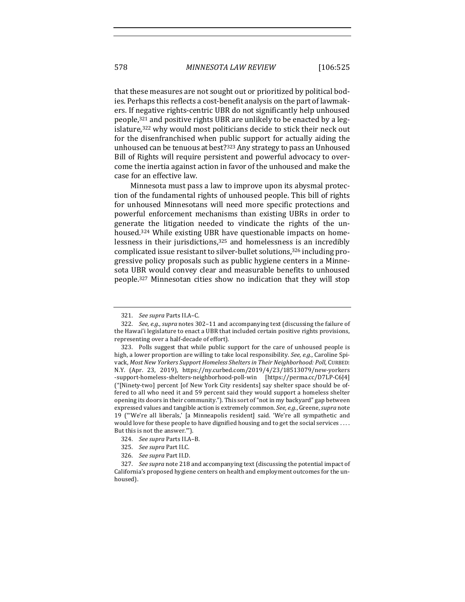that these measures are not sought out or prioritized by political bodies. Perhaps this reflects a cost-benefit analysis on the part of lawmakers. If negative rights-centric UBR do not significantly help unhoused people, $321$  and positive rights UBR are unlikely to be enacted by a legislature,<sup>322</sup> why would most politicians decide to stick their neck out for the disenfranchised when public support for actually aiding the unhoused can be tenuous at best?<sup>323</sup> Any strategy to pass an Unhoused Bill of Rights will require persistent and powerful advocacy to overcome the inertia against action in favor of the unhoused and make the case for an effective law.

Minnesota must pass a law to improve upon its abysmal protection of the fundamental rights of unhoused people. This bill of rights for unhoused Minnesotans will need more specific protections and powerful enforcement mechanisms than existing UBRs in order to generate the litigation needed to vindicate the rights of the unhoused.<sup>324</sup> While existing UBR have questionable impacts on homelessness in their jurisdictions, $325$  and homelessness is an incredibly complicated issue resistant to silver-bullet solutions, $326$  including progressive policy proposals such as public hygiene centers in a Minnesota UBR would convey clear and measurable benefits to unhoused people.<sup>327</sup> Minnesotan cities show no indication that they will stop

<sup>321.</sup> *See supra* Parts II.A–C.

<sup>322.</sup> *See, e.g., supra* notes 302-11 and accompanying text (discussing the failure of the Hawai'i legislature to enact a UBR that included certain positive rights provisions, representing over a half-decade of effort).

<sup>323.</sup> Polls suggest that while public support for the care of unhoused people is high, a lower proportion are willing to take local responsibility. See, e.g., Caroline Spivack, Most New Yorkers Support Homeless Shelters in Their Neighborhood: Poll, CURBED: N.Y. (Apr. 23, 2019), https://ny.curbed.com/2019/4/23/18513079/new-yorkers -support-homeless-shelters-neighborhood-poll-win [https://perma.cc/D7LP-C6J4] ("[Ninety-two] percent [of New York City residents] say shelter space should be offered to all who need it and 59 percent said they would support a homeless shelter opening its doors in their community."). This sort of "not in my backyard" gap between expressed values and tangible action is extremely common. See, e.g., Greene, supra note 19 ("We're all liberals,' [a Minneapolis resident] said. 'We're all sympathetic and would love for these people to have dignified housing and to get the social services .... But this is not the answer."").

<sup>324.</sup> See supra Parts II.A-B.

<sup>325.</sup> *See supra Part II.C.* 

<sup>326.</sup> *See supra Part II.D.* 

<sup>327.</sup> *See supra* note 218 and accompanying text (discussing the potential impact of California's proposed hygiene centers on health and employment outcomes for the unhoused).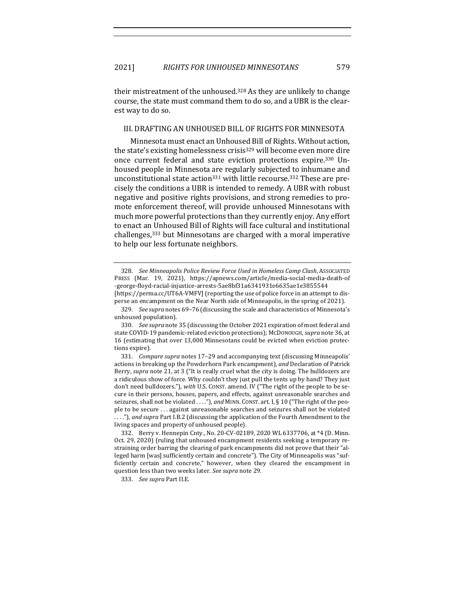their mistreatment of the unhoused.<sup>328</sup> As they are unlikely to change course, the state must command them to do so, and a UBR is the clearest way to do so.

## III. DRAFTING AN UNHOUSED BILL OF RIGHTS FOR MINNESOTA

Minnesota must enact an Unhoused Bill of Rights. Without action, the state's existing homelessness crisis<sup>329</sup> will become even more dire once current federal and state eviction protections expire.<sup>330</sup> Unhoused people in Minnesota are regularly subjected to inhumane and unconstitutional state action<sup>331</sup> with little recourse.<sup>332</sup> These are precisely the conditions a UBR is intended to remedy. A UBR with robust negative and positive rights provisions, and strong remedies to promote enforcement thereof, will provide unhoused Minnesotans with much more powerful protections than they currently enjoy. Any effort to enact an Unhoused Bill of Rights will face cultural and institutional challenges,<sup>333</sup> but Minnesotans are charged with a moral imperative to help our less fortunate neighbors.

329. See supra notes 69-76 (discussing the scale and characteristics of Minnesota's unhoused population).

330. *See supra* note 35 (discussing the October 2021 expiration of most federal and state COVID-19 pandemic-related eviction protections); McDoNOUGH, *supra* note 36, at 16 (estimating that over 13,000 Minnesotans could be evicted when eviction protections expire).

331. *Compare supra* notes 17–29 and accompanying text (discussing Minneapolis' actions in breaking up the Powderhorn Park encampment), and Declaration of Patrick Berry, *supra* note 21, at 3 ("It is really cruel what the city is doing. The bulldozers are a ridiculous show of force. Why couldn't they just pull the tents up by hand? They just don't need bulldozers."), with U.S. CONST. amend. IV ("The right of the people to be secure in their persons, houses, papers, and effects, against unreasonable searches and seizures, shall not be violated ...."), and MINN. CONST. art. I, § 10 ("The right of the people to be secure ... against unreasonable searches and seizures shall not be violated ...."), and supra Part I.B.2 (discussing the application of the Fourth Amendment to the living spaces and property of unhoused people).

332. Berry v. Hennepin Cnty., No. 20-CV-02189, 2020 WL 6337706, at \*4 (D. Minn. Oct. 29, 2020) (ruling that unhoused encampment residents seeking a temporary restraining order barring the clearing of park encampments did not prove that their "alleged harm [was] sufficiently certain and concrete"). The City of Minneapolis was "sufficiently certain and concrete," however, when they cleared the encampment in question less than two weeks later. See supra note 29.

333. *See supra Part II.E.* 

<sup>328.</sup> *See Minneapolis Police Review Force Used in Homeless Camp Clash, ASSOCIATED* PRESS (Mar. 19, 2021), https://apnews.com/article/media-social-media-death-of -george-floyd-racial-injustice-arrests-5ae8bf31a6341931e6635ae1e3855544 [https://perma.cc/UT6A-VMFV] (reporting the use of police force in an attempt to disperse an encampment on the Near North side of Minneapolis, in the spring of 2021).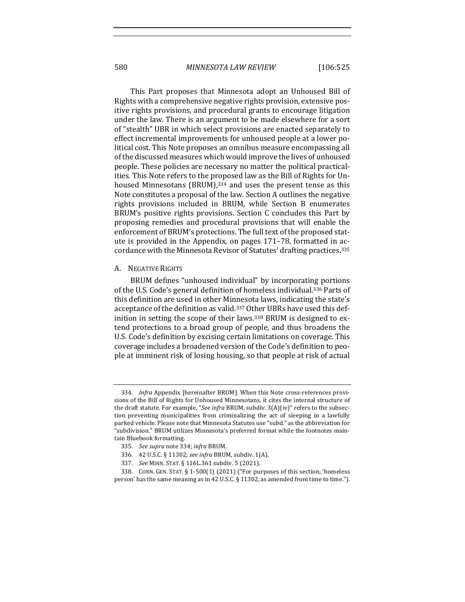580 *MINNESOTA LAW REVIEW* [106:525

This Part proposes that Minnesota adopt an Unhoused Bill of Rights with a comprehensive negative rights provision, extensive positive rights provisions, and procedural grants to encourage litigation under the law. There is an argument to be made elsewhere for a sort of "stealth" UBR in which select provisions are enacted separately to effect incremental improvements for unhoused people at a lower political cost. This Note proposes an omnibus measure encompassing all of the discussed measures which would improve the lives of unhoused people. These policies are necessary no matter the political practicalities. This Note refers to the proposed law as the Bill of Rights for Unhoused Minnesotans (BRUM), $334$  and uses the present tense as this Note constitutes a proposal of the law. Section A outlines the negative rights provisions included in BRUM, while Section B enumerates BRUM's positive rights provisions. Section C concludes this Part by proposing remedies and procedural provisions that will enable the enforcement of BRUM's protections. The full text of the proposed statute is provided in the Appendix, on pages  $171-78$ , formatted in accordance with the Minnesota Revisor of Statutes' drafting practices.<sup>335</sup>

### A. NEGATIVE RIGHTS

BRUM defines "unhoused individual" by incorporating portions of the U.S. Code's general definition of homeless individual.<sup>336</sup> Parts of this definition are used in other Minnesota laws, indicating the state's acceptance of the definition as valid.<sup>337</sup> Other UBRs have used this definition in setting the scope of their laws. $338$  BRUM is designed to extend protections to a broad group of people, and thus broadens the U.S. Code's definition by excising certain limitations on coverage. This coverage includes a broadened version of the Code's definition to people at imminent risk of losing housing, so that people at risk of actual

<sup>334.</sup> *Infra* Appendix [hereinafter BRUM]. When this Note cross-references provisions of the Bill of Rights for Unhoused Minnesotans, it cites the internal structure of the draft statute. For example, "See infra BRUM, subdiv. 3(A)(iv)" refers to the subsection preventing municipalities from criminalizing the act of sleeping in a lawfully parked vehicle. Please note that Minnesota Statutes use "subd." as the abbreviation for "subdivision." BRUM utilizes Minnesota's preferred format while the footnotes maintain Bluebook formatting.

<sup>335.</sup> See supra note 334; infra BRUM.

<sup>336. 42</sup> U.S.C. § 11302; see infra BRUM, subdiv. 1(A).

<sup>337.</sup> *See MINN. STAT. §* 116L.361 subdiv. 5 (2021).

<sup>338.</sup> CONN. GEN. STAT. § 1-500(1) (2021) ("For purposes of this section, 'homeless person' has the same meaning as in 42 U.S.C.  $\S$  11302, as amended from time to time.").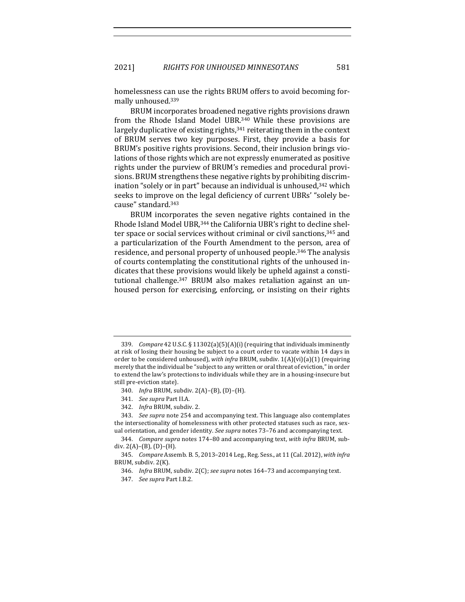homelessness can use the rights BRUM offers to avoid becoming formally unhoused.<sup>339</sup>

BRUM incorporates broadened negative rights provisions drawn from the Rhode Island Model UBR.<sup>340</sup> While these provisions are largely duplicative of existing rights, $341$  reiterating them in the context of BRUM serves two key purposes. First, they provide a basis for BRUM's positive rights provisions. Second, their inclusion brings violations of those rights which are not expressly enumerated as positive rights under the purview of BRUM's remedies and procedural provisions. BRUM strengthens these negative rights by prohibiting discrimination "solely or in part" because an individual is unhoused, 342 which seeks to improve on the legal deficiency of current UBRs' "solely because" standard.343

BRUM incorporates the seven negative rights contained in the Rhode Island Model UBR,<sup>344</sup> the California UBR's right to decline shelter space or social services without criminal or civil sanctions,<sup>345</sup> and a particularization of the Fourth Amendment to the person, area of residence, and personal property of unhoused people.<sup>346</sup> The analysis of courts contemplating the constitutional rights of the unhoused indicates that these provisions would likely be upheld against a constitutional challenge.<sup>347</sup> BRUM also makes retaliation against an unhoused person for exercising, enforcing, or insisting on their rights

<sup>339.</sup> *Compare* 42 U.S.C. § 11302(a)(5)(A)(i) (requiring that individuals imminently at risk of losing their housing be subject to a court order to vacate within 14 days in order to be considered unhoused), *with infra* BRUM, subdiv.  $1(A)(vi)(a)(1)$  (requiring merely that the individual be "subject to any written or oral threat of eviction," in order to extend the law's protections to individuals while they are in a housing-insecure but still pre-eviction state).

<sup>340.</sup> *Infra* BRUM, subdiv. 2(A)-(B), (D)-(H).

<sup>341.</sup> *See supra Part II.A.* 

<sup>342.</sup> *Infra* BRUM, subdiv. 2.

<sup>343.</sup> *See supra* note 254 and accompanying text. This language also contemplates the intersectionality of homelessness with other protected statuses such as race, sexual orientation, and gender identity. See supra notes 73-76 and accompanying text.

<sup>344.</sup> *Compare supra* notes 174-80 and accompanying text, with infra BRUM, subdiv.  $2(A)$ – $(B)$ ,  $(D)$ – $(H)$ .

<sup>345.</sup> *Compare Assemb. B. 5, 2013-2014 Leg., Reg. Sess., at 11 (Cal. 2012), with infra* BRUM, subdiv. 2(K).

<sup>346.</sup> *Infra* BRUM, subdiv. 2(C); *see supra* notes 164-73 and accompanying text.

<sup>347.</sup> *See supra* Part I.B.2.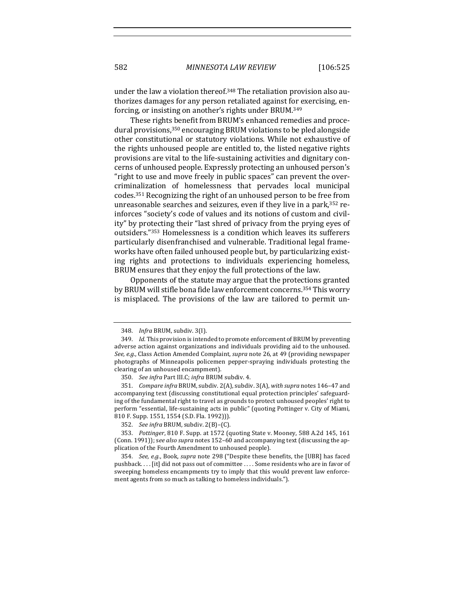under the law a violation thereof.<sup>348</sup> The retaliation provision also authorizes damages for any person retaliated against for exercising, enforcing, or insisting on another's rights under BRUM.<sup>349</sup>

These rights benefit from BRUM's enhanced remedies and procedural provisions, $350$  encouraging BRUM violations to be pled alongside other constitutional or statutory violations. While not exhaustive of the rights unhoused people are entitled to, the listed negative rights provisions are vital to the life-sustaining activities and dignitary concerns of unhoused people. Expressly protecting an unhoused person's "right to use and move freely in public spaces" can prevent the overcriminalization of homelessness that pervades local municipal codes.<sup>351</sup> Recognizing the right of an unhoused person to be free from unreasonable searches and seizures, even if they live in a park,  $352$  reinforces "society's code of values and its notions of custom and civility" by protecting their "last shred of privacy from the prying eyes of outsiders."<sup>353</sup> Homelessness is a condition which leaves its sufferers particularly disenfranchised and vulnerable. Traditional legal frameworks have often failed unhoused people but, by particularizing existing rights and protections to individuals experiencing homeless, BRUM ensures that they enjoy the full protections of the law.

Opponents of the statute may argue that the protections granted by BRUM will stifle bona fide law enforcement concerns.<sup>354</sup> This worry is misplaced. The provisions of the law are tailored to permit un-

<sup>348.</sup> *Infra BRUM*, subdiv. 3(I).

<sup>349.</sup> Id. This provision is intended to promote enforcement of BRUM by preventing adverse action against organizations and individuals providing aid to the unhoused. See, e.g., Class Action Amended Complaint, *supra* note 26, at 49 (providing newspaper photographs of Minneapolis policemen pepper-spraying individuals protesting the clearing of an unhoused encampment).

<sup>350.</sup> *See infra Part III.C; infra BRUM subdiv. 4.* 

<sup>351.</sup> Compare infra BRUM, subdiv. 2(A), subdiv. 3(A), with supra notes 146-47 and accompanying text (discussing constitutional equal protection principles' safeguarding of the fundamental right to travel as grounds to protect unhoused peoples' right to perform "essential, life-sustaining acts in public" (quoting Pottinger v. City of Miami, 810 F. Supp. 1551, 1554 (S.D. Fla. 1992))).

<sup>352.</sup> *See infra* BRUM, subdiv. 2(B)-(C).

<sup>353.</sup> *Pottinger*, 810 F. Supp. at 1572 (quoting State v. Mooney, 588 A.2d 145, 161 (Conn. 1991)); see also supra notes 152-60 and accompanying text (discussing the application of the Fourth Amendment to unhoused people).

<sup>354.</sup> *See, e.g.*, Book, *supra* note 298 ("Despite these benefits, the [UBR] has faced pushback.... [it] did not pass out of committee .... Some residents who are in favor of sweeping homeless encampments try to imply that this would prevent law enforcement agents from so much as talking to homeless individuals.").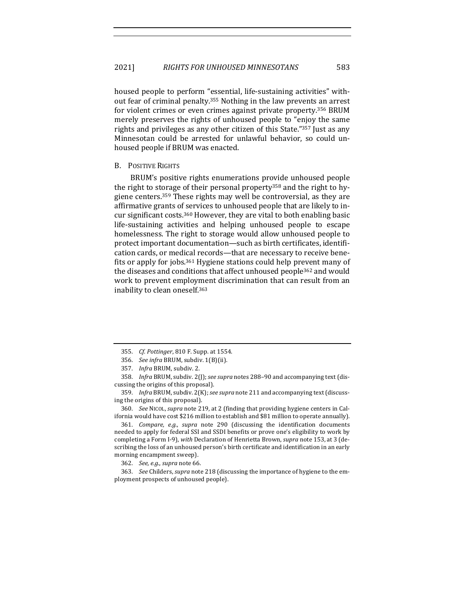housed people to perform "essential, life-sustaining activities" without fear of criminal penalty.<sup>355</sup> Nothing in the law prevents an arrest for violent crimes or even crimes against private property.<sup>356</sup> BRUM merely preserves the rights of unhoused people to "enjoy the same rights and privileges as any other citizen of this State."357 Just as any Minnesotan could be arrested for unlawful behavior, so could unhoused people if BRUM was enacted.

### **B.** POSITIVE RIGHTS

BRUM's positive rights enumerations provide unhoused people the right to storage of their personal property<sup>358</sup> and the right to hygiene centers.<sup>359</sup> These rights may well be controversial, as they are affirmative grants of services to unhoused people that are likely to incur significant costs.<sup>360</sup> However, they are vital to both enabling basic life-sustaining activities and helping unhoused people to escape homelessness. The right to storage would allow unhoused people to protect important documentation—such as birth certificates, identification cards, or medical records—that are necessary to receive benefits or apply for jobs.<sup>361</sup> Hygiene stations could help prevent many of the diseases and conditions that affect unhoused people<sup>362</sup> and would work to prevent employment discrimination that can result from an inability to clean oneself.<sup>363</sup>

359. *Infra* BRUM, subdiv. 2(K); *see supra* note 211 and accompanying text (discussing the origins of this proposal).

360. *See* NICOL, *supra* note 219, at 2 (finding that providing hygiene centers in California would have cost \$216 million to establish and \$81 million to operate annually).

361. *Compare, e.g., supra* note 290 (discussing the identification documents needed to apply for federal SSI and SSDI benefits or prove one's eligibility to work by completing a Form I-9), *with* Declaration of Henrietta Brown, *supra* note 153, at 3 (describing the loss of an unhoused person's birth certificate and identification in an early morning encampment sweep).

362. *See, e.g., supra* note 66.

363. *See* Childers, *supra* note 218 (discussing the importance of hygiene to the employment prospects of unhoused people).

<sup>355.</sup> *Cf. Pottinger*, 810 F. Supp. at 1554.

<sup>356.</sup> *See infra* BRUM, subdiv. 1(B)(ii).

<sup>357.</sup> Infra BRUM, subdiv. 2.

<sup>358.</sup> Infra BRUM, subdiv. 2(J); see supra notes 288-90 and accompanying text (discussing the origins of this proposal).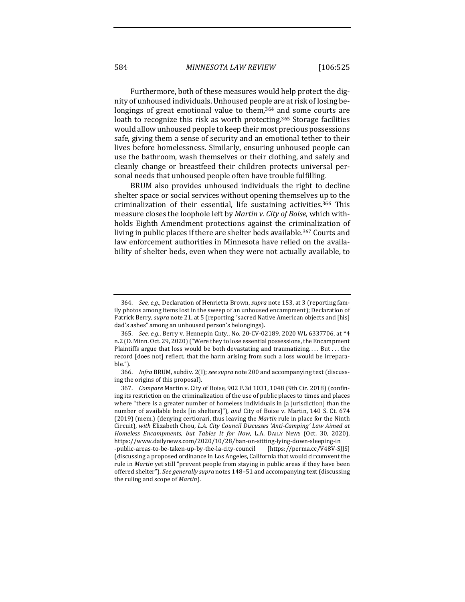Furthermore, both of these measures would help protect the dignity of unhoused individuals. Unhoused people are at risk of losing belongings of great emotional value to them. $364$  and some courts are loath to recognize this risk as worth protecting.<sup>365</sup> Storage facilities would allow unhoused people to keep their most precious possessions safe, giving them a sense of security and an emotional tether to their lives before homelessness. Similarly, ensuring unhoused people can use the bathroom, wash themselves or their clothing, and safely and cleanly change or breastfeed their children protects universal personal needs that unhoused people often have trouble fulfilling.

BRUM also provides unhoused individuals the right to decline shelter space or social services without opening themselves up to the criminalization of their essential, life sustaining activities.<sup>366</sup> This measure closes the loophole left by *Martin v. City of Boise*, which withholds Eighth Amendment protections against the criminalization of living in public places if there are shelter beds available.<sup>367</sup> Courts and law enforcement authorities in Minnesota have relied on the availability of shelter beds, even when they were not actually available, to

<sup>364.</sup> *See, e.g.*, Declaration of Henrietta Brown, *supra* note 153, at 3 (reporting family photos among items lost in the sweep of an unhoused encampment); Declaration of Patrick Berry, *supra* note 21, at 5 (reporting "sacred Native American objects and [his] dad's ashes" among an unhoused person's belongings).

<sup>365.</sup> *See, e.g.*, Berry v. Hennepin Cnty., No. 20-CV-02189, 2020 WL 6337706, at \*4 n.2 (D. Minn. Oct. 29, 2020) ("Were they to lose essential possessions, the Encampment Plaintiffs argue that loss would be both devastating and traumatizing.... But ... the record [does not] reflect, that the harm arising from such a loss would be irreparable.").

<sup>366.</sup> *Infra* BRUM, subdiv. 2(I); see supra note 200 and accompanying text (discussing the origins of this proposal).

<sup>367.</sup> *Compare* Martin v. City of Boise, 902 F.3d 1031, 1048 (9th Cir. 2018) (confining its restriction on the criminalization of the use of public places to times and places where "there is a greater number of homeless individuals in  $[a]$  jurisdiction  $]$  than the number of available beds [in shelters]"), and City of Boise v. Martin, 140 S. Ct. 674 (2019) (mem.) (denying certiorari, thus leaving the *Martin* rule in place for the Ninth Circuit), *with* Elizabeth Chou, *L.A. City Council Discusses 'Anti-Camping' Law Aimed at Homeless Encampments, but Tables It for Now, L.A. DAILY NEWS (Oct. 30, 2020),* https://www.dailynews.com/2020/10/28/ban-on-sitting-lying-down-sleeping-in -public-areas-to-be-taken-up-by-the-la-city-council [https://perma.cc/V48V-SJJS] (discussing a proposed ordinance in Los Angeles, California that would circumvent the rule in *Martin* yet still "prevent people from staying in public areas if they have been offered shelter"). See generally supra notes 148-51 and accompanying text (discussing the ruling and scope of *Martin*).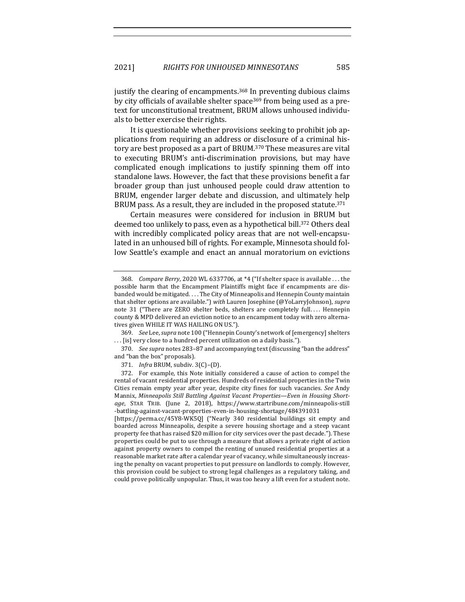justify the clearing of encampments.<sup>368</sup> In preventing dubious claims by city officials of available shelter space<sup>369</sup> from being used as a pretext for unconstitutional treatment, BRUM allows unhoused individuals to better exercise their rights.

It is questionable whether provisions seeking to prohibit job applications from requiring an address or disclosure of a criminal history are best proposed as a part of BRUM.<sup>370</sup> These measures are vital to executing BRUM's anti-discrimination provisions, but may have complicated enough implications to justify spinning them off into standalone laws. However, the fact that these provisions benefit a far broader group than just unhoused people could draw attention to BRUM, engender larger debate and discussion, and ultimately help BRUM pass. As a result, they are included in the proposed statute.<sup>371</sup>

Certain measures were considered for inclusion in BRUM but deemed too unlikely to pass, even as a hypothetical bill.<sup>372</sup> Others deal with incredibly complicated policy areas that are not well-encapsulated in an unhoused bill of rights. For example, Minnesota should follow Seattle's example and enact an annual moratorium on evictions

369. *See Lee, supra* note 100 ("Hennepin County's network of [emergency] shelters ... [is] very close to a hundred percent utilization on a daily basis.").

370. *See supra* notes 283-87 and accompanying text (discussing "ban the address" and "ban the box" proposals).

371. *Infra* BRUM, subdiv. 3(C)-(D).

[https://perma.cc/45Y8-WK5Q] ("Nearly 340 residential buildings sit empty and boarded across Minneapolis, despite a severe housing shortage and a steep vacant property fee that has raised \$20 million for city services over the past decade."). These properties could be put to use through a measure that allows a private right of action against property owners to compel the renting of unused residential properties at a reasonable market rate after a calendar year of vacancy, while simultaneously increasing the penalty on vacant properties to put pressure on landlords to comply. However, this provision could be subject to strong legal challenges as a regulatory taking, and could prove politically unpopular. Thus, it was too heavy a lift even for a student note.

<sup>368.</sup> *Compare Berry*, 2020 WL 6337706, at  $*4$  ("If shelter space is available ... the possible harm that the Encampment Plaintiffs might face if encampments are disbanded would be mitigated. . . . The City of Minneapolis and Hennepin County maintain that shelter options are available.") with Lauren Josephine (@YoLarryJohnson), supra note 31 ("There are ZERO shelter beds, shelters are completely full.... Hennepin county & MPD delivered an eviction notice to an encampment today with zero alternatives given WHILE IT WAS HAILING ON US.").

<sup>372.</sup> For example, this Note initially considered a cause of action to compel the rental of vacant residential properties. Hundreds of residential properties in the Twin Cities remain empty year after year, despite city fines for such vacancies. See Andy Mannix, Minneapolis Still Battling Against Vacant Properties-Even in Housing Short*age*, STAR TRIB. (June 2, 2018), https://www.startribune.com/minneapolis-still -battling-against-vacant-properties-even-in-housing-shortage/484391031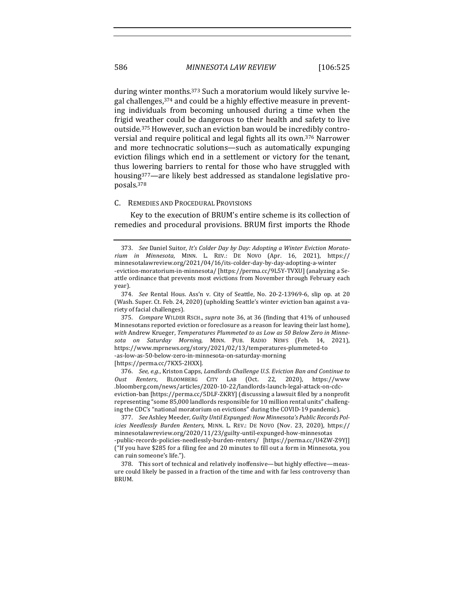during winter months.<sup>373</sup> Such a moratorium would likely survive legal challenges,  $374$  and could be a highly effective measure in preventing individuals from becoming unhoused during a time when the frigid weather could be dangerous to their health and safety to live outside.<sup>375</sup> However, such an eviction ban would be incredibly controversial and require political and legal fights all its own.<sup>376</sup> Narrower and more technocratic solutions—such as automatically expunging eviction filings which end in a settlement or victory for the tenant, thus lowering barriers to rental for those who have struggled with housing<sup>377</sup>—are likely best addressed as standalone legislative proposals.378

#### C. REMEDIES AND PROCEDURAL PROVISIONS

Key to the execution of BRUM's entire scheme is its collection of remedies and procedural provisions. BRUM first imports the Rhode

375. *Compare* WILDER RSCH., *supra* note 36, at 36 (finding that 41% of unhoused Minnesotans reported eviction or foreclosure as a reason for leaving their last home), with Andrew Krueger, Temperatures Plummeted to as Low as 50 Below Zero in Minne*sota on Saturday Morning*, MINN. PUB. RADIO NEWS (Feb. 14, 2021), https://www.mprnews.org/story/2021/02/13/temperatures-plummeted-to -as-low-as-50-below-zero-in-minnesota-on-saturday-morning

[https://perma.cc/7KX5-2HXX].

376. *See, e.g.*, Kriston Capps, *Landlords Challenge U.S. Eviction Ban and Continue to Oust Renters*, BLOOMBERG CITY LAB (Oct. 22, 2020), https://www .bloomberg.com/news/articles/2020-10-22/landlords-launch-legal-attack-on-cdceviction-ban [https://perma.cc/5DLF-ZKRY] (discussing a lawsuit filed by a nonprofit representing "some 85,000 landlords responsible for 10 million rental units" challenging the CDC's "national moratorium on evictions" during the COVID-19 pandemic).

377. See Ashley Meeder, *Guilty Until Expunged: How Minnesota's Public Records Policies Needlessly Burden Renters*, MINN. L. REV.: DE NOVO (Nov. 23, 2020), https:// minnesotalawreview.org/2020/11/23/guilty-until-expunged-how-minnesotas -public-records-policies-needlessly-burden-renters/ [https://perma.cc/U4ZW-Z9YJ] ("If you have \$285 for a filing fee and 20 minutes to fill out a form in Minnesota, you can ruin someone's life.").

378. This sort of technical and relatively inoffensive—but highly effective—measure could likely be passed in a fraction of the time and with far less controversy than BRUM.

<sup>373.</sup> See Daniel Suitor, It's Colder Day by Day: Adopting a Winter Eviction Morato*rium in Minnesota*, MINN. L. REV.: DE NOVO (Apr. 16, 2021), https:// minnesotalawreview.org/2021/04/16/its-colder-day-by-day-adopting-a-winter -eviction-moratorium-in-minnesota/ [https://perma.cc/9L5Y-TVXU] (analyzing a Se-

attle ordinance that prevents most evictions from November through February each year).

<sup>374.</sup> *See* Rental Hous. Ass'n v. City of Seattle, No. 20-2-13969-6, slip op. at 20 (Wash. Super. Ct. Feb. 24, 2020) (upholding Seattle's winter eviction ban against a variety of facial challenges).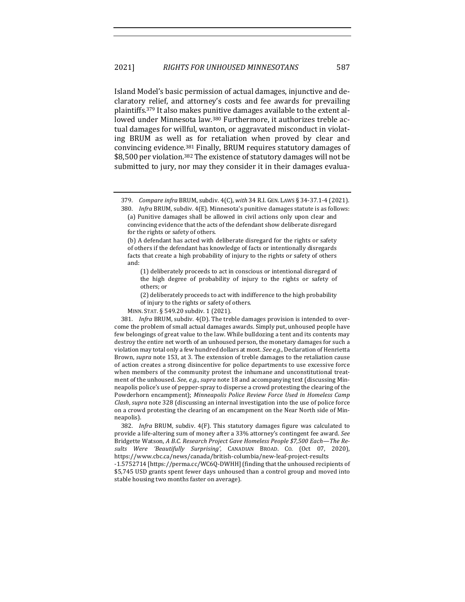Island Model's basic permission of actual damages, injunctive and declaratory relief, and attorney's costs and fee awards for prevailing plaintiffs.<sup>379</sup> It also makes punitive damages available to the extent allowed under Minnesota law.<sup>380</sup> Furthermore, it authorizes treble actual damages for willful, wanton, or aggravated misconduct in violating BRUM as well as for retaliation when proved by clear and convincing evidence.<sup>381</sup> Finally, BRUM requires statutory damages of \$8,500 per violation.<sup>382</sup> The existence of statutory damages will not be submitted to jury, nor may they consider it in their damages evalua-

(2) deliberately proceeds to act with indifference to the high probability of injury to the rights or safety of others.

MINN. STAT. § 549.20 subdiv. 1 (2021).

381. *Infra* BRUM, subdiv. 4(D). The treble damages provision is intended to overcome the problem of small actual damages awards. Simply put, unhoused people have few belongings of great value to the law. While bulldozing a tent and its contents may destroy the entire net worth of an unhoused person, the monetary damages for such a violation may total only a few hundred dollars at most. See e.g., Declaration of Henrietta Brown, *supra* note 153, at 3. The extension of treble damages to the retaliation cause of action creates a strong disincentive for police departments to use excessive force when members of the community protest the inhumane and unconstitutional treatment of the unhoused. See, e.g., supra note 18 and accompanying text (discussing Minneapolis police's use of pepper-spray to disperse a crowd protesting the clearing of the Powderhorn encampment); *Minneapolis Police Review Force Used in Homeless Camp Clash*, *supra* note 328 (discussing an internal investigation into the use of police force on a crowd protesting the clearing of an encampment on the Near North side of Minneapolis).

382. *Infra* BRUM, subdiv. 4(F). This statutory damages figure was calculated to provide a life-altering sum of money after a 33% attorney's contingent fee award. See Bridgette Watson, *A B.C. Research Project Gave Homeless People* \$7,500 Each-The Re*sults Were 'Beautifully Surprising'*, CANADIAN BROAD. CO. (Oct 07, 2020), https://www.cbc.ca/news/canada/british-columbia/new-leaf-project-results

-1.5752714 [https://perma.cc/WC6Q-DWHH] (finding that the unhoused recipients of \$5,745 USD grants spent fewer days unhoused than a control group and moved into stable housing two months faster on average).

<sup>379.</sup> *Compare infra* BRUM, subdiv. 4(C), with 34 R.I. GEN. LAWS § 34-37.1-4 (2021).

<sup>380.</sup> *Infra* BRUM, subdiv. 4(E). Minnesota's punitive damages statute is as follows: (a) Punitive damages shall be allowed in civil actions only upon clear and convincing evidence that the acts of the defendant show deliberate disregard for the rights or safety of others.

<sup>(</sup>b) A defendant has acted with deliberate disregard for the rights or safety of others if the defendant has knowledge of facts or intentionally disregards facts that create a high probability of injury to the rights or safety of others and:

<sup>(1)</sup> deliberately proceeds to act in conscious or intentional disregard of the high degree of probability of injury to the rights or safety of others; or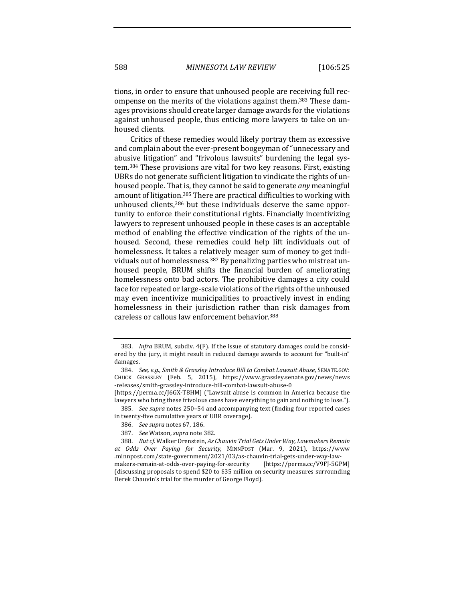tions, in order to ensure that unhoused people are receiving full recompense on the merits of the violations against them.<sup>383</sup> These damages provisions should create larger damage awards for the violations against unhoused people, thus enticing more lawyers to take on unhoused clients.

Critics of these remedies would likely portray them as excessive and complain about the ever-present boogeyman of "unnecessary and abusive litigation" and "frivolous lawsuits" burdening the legal system.<sup>384</sup> These provisions are vital for two key reasons. First, existing UBRs do not generate sufficient litigation to vindicate the rights of unhoused people. That is, they cannot be said to generate *any* meaningful amount of litigation.<sup>385</sup> There are practical difficulties to working with unhoused clients,<sup>386</sup> but these individuals deserve the same opportunity to enforce their constitutional rights. Financially incentivizing lawyers to represent unhoused people in these cases is an acceptable method of enabling the effective vindication of the rights of the unhoused. Second, these remedies could help lift individuals out of homelessness. It takes a relatively meager sum of money to get individuals out of homelessness.<sup>387</sup> By penalizing parties who mistreat unhoused people, BRUM shifts the financial burden of ameliorating homelessness onto bad actors. The prohibitive damages a city could face for repeated or large-scale violations of the rights of the unhoused may even incentivize municipalities to proactively invest in ending homelessness in their jurisdiction rather than risk damages from careless or callous law enforcement behavior.<sup>388</sup>

[https://perma.cc/J6GX-T8HM] ("Lawsuit abuse is common in America because the lawyers who bring these frivolous cases have everything to gain and nothing to lose.").

385. See supra notes 250-54 and accompanying text (finding four reported cases in twenty-five cumulative years of UBR coverage).

387. *See* Watson, *supra* note 382.

<sup>383.</sup> Infra BRUM, subdiv. 4(F). If the issue of statutory damages could be considered by the jury, it might result in reduced damage awards to account for "built-in" damages.

<sup>384.</sup> *See, e.g., Smith & Grassley Introduce Bill to Combat Lawsuit Abuse, SENATE.GOV:* CHUCK GRASSLEY (Feb. 5, 2015), https://www.grassley.senate.gov/news/news -releases/smith-grassley-introduce-bill-combat-lawsuit-abuse-0 

<sup>386.</sup> *See supra* notes 67, 186.

<sup>388.</sup> But cf. Walker Orenstein, As Chauvin Trial Gets Under Way, Lawmakers Remain *at Odds Over Paying for Security*, MINNPOST (Mar. 9, 2021), https://www .minnpost.com/state-government/2021/03/as-chauvin-trial-gets-under-way-lawmakers-remain-at-odds-over-paying-for-security [https://perma.cc/V9FJ-5GPM] (discussing proposals to spend \$20 to \$35 million on security measures surrounding Derek Chauvin's trial for the murder of George Floyd).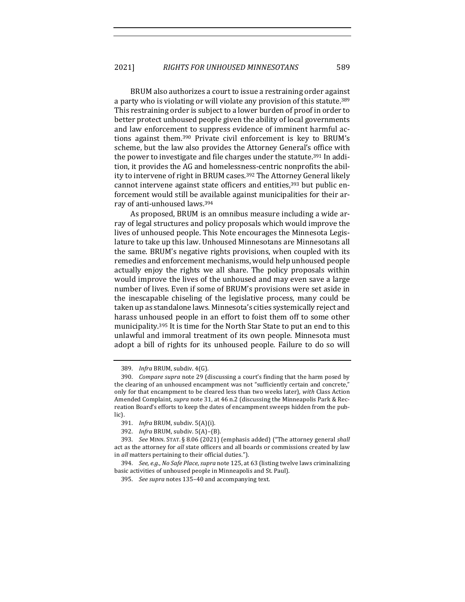BRUM also authorizes a court to issue a restraining order against a party who is violating or will violate any provision of this statute.<sup>389</sup> This restraining order is subject to a lower burden of proof in order to better protect unhoused people given the ability of local governments and law enforcement to suppress evidence of imminent harmful actions against them.<sup>390</sup> Private civil enforcement is key to BRUM's scheme, but the law also provides the Attorney General's office with the power to investigate and file charges under the statute.<sup>391</sup> In addition, it provides the AG and homelessness-centric nonprofits the ability to intervene of right in BRUM cases.<sup>392</sup> The Attorney General likely cannot intervene against state officers and entities, $393$  but public enforcement would still be available against municipalities for their array of anti-unhoused laws.<sup>394</sup>

As proposed, BRUM is an omnibus measure including a wide array of legal structures and policy proposals which would improve the lives of unhoused people. This Note encourages the Minnesota Legislature to take up this law. Unhoused Minnesotans are Minnesotans all the same. BRUM's negative rights provisions, when coupled with its remedies and enforcement mechanisms, would help unhoused people actually enjoy the rights we all share. The policy proposals within would improve the lives of the unhoused and may even save a large number of lives. Even if some of BRUM's provisions were set aside in the inescapable chiseling of the legislative process, many could be taken up as standalone laws. Minnesota's cities systemically reject and harass unhoused people in an effort to foist them off to some other municipality.<sup>395</sup> It is time for the North Star State to put an end to this unlawful and immoral treatment of its own people. Minnesota must adopt a bill of rights for its unhoused people. Failure to do so will

<sup>389.</sup> *Infra* BRUM, subdiv. 4(G).

<sup>390.</sup> *Compare supra* note 29 (discussing a court's finding that the harm posed by the clearing of an unhoused encampment was not "sufficiently certain and concrete," only for that encampment to be cleared less than two weeks later), with Class Action Amended Complaint, *supra* note 31, at 46 n.2 (discussing the Minneapolis Park & Recreation Board's efforts to keep the dates of encampment sweeps hidden from the public).

<sup>391.</sup> *Infra* BRUM, subdiv. 5(A)(i).

<sup>392.</sup> *Infra* BRUM, subdiv. 5(A)-(B).

<sup>393.</sup> *See MINN. STAT.* § 8.06 (2021) (emphasis added) ("The attorney general *shall* act as the attorney for all state officers and all boards or commissions created by law in *all* matters pertaining to their official duties.").

<sup>394.</sup> *See, e.g., No Safe Place, supra* note 125, at 63 (listing twelve laws criminalizing basic activities of unhoused people in Minneapolis and St. Paul).

<sup>395.</sup> See supra notes 135-40 and accompanying text.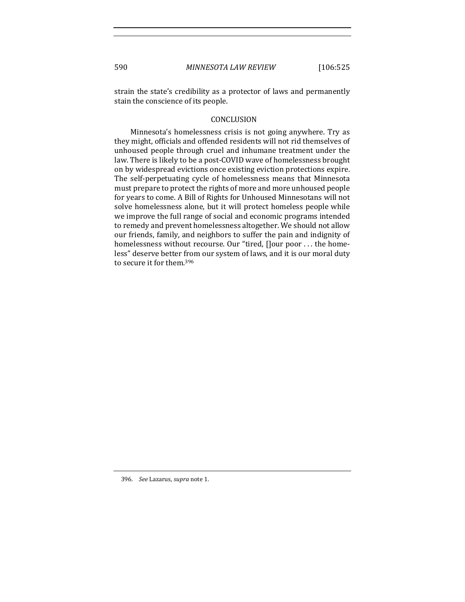strain the state's credibility as a protector of laws and permanently stain the conscience of its people.

## **CONCLUSION**

Minnesota's homelessness crisis is not going anywhere. Try as they might, officials and offended residents will not rid themselves of unhoused people through cruel and inhumane treatment under the law. There is likely to be a post-COVID wave of homelessness brought on by widespread evictions once existing eviction protections expire. The self-perpetuating cycle of homelessness means that Minnesota must prepare to protect the rights of more and more unhoused people for years to come. A Bill of Rights for Unhoused Minnesotans will not solve homelessness alone, but it will protect homeless people while we improve the full range of social and economic programs intended to remedy and prevent homelessness altogether. We should not allow our friends, family, and neighbors to suffer the pain and indignity of homelessness without recourse. Our "tired, []our poor ... the homeless" deserve better from our system of laws, and it is our moral duty to secure it for them.<sup>396</sup>

<sup>396.</sup> *See Lazarus, supra* note 1.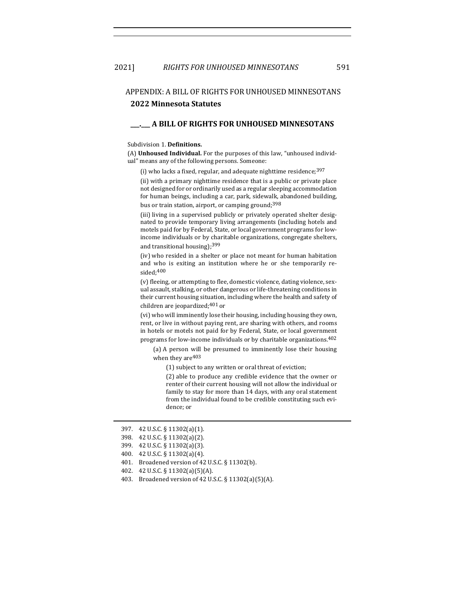# APPENDIX: A BILL OF RIGHTS FOR UNHOUSED MINNESOTANS **2022 Minnesota Statutes**

### **\_\_\_.\_\_\_ A BILL OF RIGHTS FOR UNHOUSED MINNESOTANS**

#### Subdivision 1. Definitions.

(A) **Unhoused Individual.** For the purposes of this law, "unhoused individual" means any of the following persons. Someone:

(i) who lacks a fixed, regular, and adequate nighttime residence;  $397$ 

(ii) with a primary nighttime residence that is a public or private place not designed for or ordinarily used as a regular sleeping accommodation for human beings, including a car, park, sidewalk, abandoned building, bus or train station, airport, or camping ground;<sup>398</sup>

(iii) living in a supervised publicly or privately operated shelter designated to provide temporary living arrangements (including hotels and motels paid for by Federal, State, or local government programs for lowincome individuals or by charitable organizations, congregate shelters, and transitional housing);<sup>399</sup>

(iv) who resided in a shelter or place not meant for human habitation and who is exiting an institution where he or she temporarily resided;400

(v) fleeing, or attempting to flee, domestic violence, dating violence, sexual assault, stalking, or other dangerous or life-threatening conditions in their current housing situation, including where the health and safety of children are jeopardized;<sup>401</sup> or

(vi) who will imminently lose their housing, including housing they own, rent, or live in without paying rent, are sharing with others, and rooms in hotels or motels not paid for by Federal, State, or local government programs for low-income individuals or by charitable organizations.<sup>402</sup>

(a) A person will be presumed to imminently lose their housing when they are<sup>403</sup>

(1) subject to any written or oral threat of eviction;

(2) able to produce any credible evidence that the owner or renter of their current housing will not allow the individual or family to stay for more than 14 days, with any oral statement from the individual found to be credible constituting such evidence; or

- 400. 42 U.S.C. § 11302(a)(4).
- 401. Broadened version of 42 U.S.C. § 11302(b).
- 402. 42 U.S.C. § 11302(a)(5)(A).
- 403. Broadened version of 42 U.S.C. § 11302(a)(5)(A).

<sup>397. 42</sup> U.S.C. § 11302(a)(1).

<sup>398.</sup> 42 U.S.C. § 11302(a)(2).

<sup>399.</sup> 42 U.S.C. § 11302(a)(3).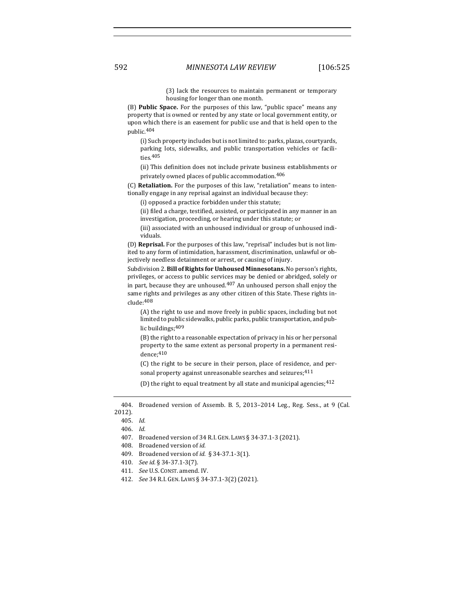(3) lack the resources to maintain permanent or temporary housing for longer than one month.

(B) **Public Space.** For the purposes of this law, "public space" means any property that is owned or rented by any state or local government entity, or upon which there is an easement for public use and that is held open to the public.404

(i) Such property includes but is not limited to: parks, plazas, courtyards, parking lots, sidewalks, and public transportation vehicles or facilities.405

(ii) This definition does not include private business establishments or privately owned places of public accommodation.  $\rm ^{406}$ 

(C) **Retaliation.** For the purposes of this law, "retaliation" means to intentionally engage in any reprisal against an individual because they:

(i) opposed a practice forbidden under this statute;

(ii) filed a charge, testified, assisted, or participated in any manner in an investigation, proceeding, or hearing under this statute; or

(iii) associated with an unhoused individual or group of unhoused individuals.

(D) **Reprisal.** For the purposes of this law, "reprisal" includes but is not limited to any form of intimidation, harassment, discrimination, unlawful or objectively needless detainment or arrest, or causing of injury.

Subdivision 2. **Bill of Rights for Unhoused Minnesotans.** No person's rights, privileges, or access to public services may be denied or abridged, solely or in part, because they are unhoused. $407$  An unhoused person shall enjoy the same rights and privileges as any other citizen of this State. These rights include:408

(A) the right to use and move freely in public spaces, including but not limited to public sidewalks, public parks, public transportation, and public buildings; 409

 $(B)$  the right to a reasonable expectation of privacy in his or her personal property to the same extent as personal property in a permanent residence;410

(C) the right to be secure in their person, place of residence, and personal property against unreasonable searches and seizures;<sup>411</sup>

(D) the right to equal treatment by all state and municipal agencies;  $412$ 

- 409. Broadened version of *id.* § 34-37.1-3(1).
- 410. *See id.* § 34-37.1-3(7).
- 411. *See U.S. CONST. amend. IV.*
- 412. *See* 34 R.I. GEN. LAWS § 34-37.1-3(2) (2021).

<sup>404.</sup> Broadened version of Assemb. B. 5, 2013-2014 Leg., Reg. Sess., at 9 (Cal. 2012).

<sup>405.</sup> *Id.*

<sup>406.</sup> *Id.*

<sup>407.</sup> Broadened version of 34 R.I. GEN. LAWS § 34-37.1-3 (2021).

<sup>408.</sup> Broadened version of *id.*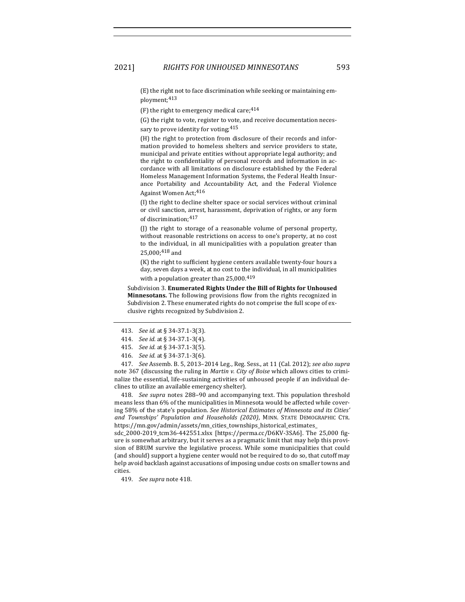(E) the right not to face discrimination while seeking or maintaining employment;413

(F) the right to emergency medical care;  $414$ 

(G) the right to vote, register to vote, and receive documentation necessary to prove identity for voting;  $415$ 

(H) the right to protection from disclosure of their records and information provided to homeless shelters and service providers to state, municipal and private entities without appropriate legal authority; and the right to confidentiality of personal records and information in accordance with all limitations on disclosure established by the Federal Homeless Management Information Systems, the Federal Health Insurance Portability and Accountability Act, and the Federal Violence Against Women Act;<sup>416</sup>

(I) the right to decline shelter space or social services without criminal or civil sanction, arrest, harassment, deprivation of rights, or any form of discrimination; 417

(J) the right to storage of a reasonable volume of personal property, without reasonable restrictions on access to one's property, at no cost to the individual, in all municipalities with a population greater than 25,000;418 and

 $(K)$  the right to sufficient hygiene centers available twenty-four hours a day, seven days a week, at no cost to the individual, in all municipalities with a population greater than  $25,000$ .<sup>419</sup>

Subdivision 3. **Enumerated Rights Under the Bill of Rights for Unhoused Minnesotans.** The following provisions flow from the rights recognized in Subdivision 2. These enumerated rights do not comprise the full scope of exclusive rights recognized by Subdivision 2.

417. *See* Assemb. B. 5, 2013-2014 Leg., Reg. Sess., at 11 (Cal. 2012); see also supra note 367 (discussing the ruling in *Martin v. City of Boise* which allows cities to criminalize the essential, life-sustaining activities of unhoused people if an individual declines to utilize an available emergency shelter).

418. *See supra* notes 288-90 and accompanying text. This population threshold means less than  $6\%$  of the municipalities in Minnesota would be affected while covering 58% of the state's population. See Historical Estimates of Minnesota and its Cities' and Townships' Population and Households (2020), MINN. STATE DEMOGRAPHIC CTR. https://mn.gov/admin/assets/mn\_cities\_townships\_historical\_estimates\_

sdc\_2000-2019\_tcm36-442551.xlsx [https://perma.cc/D6KV-3SA6]. The 25,000 figure is somewhat arbitrary, but it serves as a pragmatic limit that may help this provision of BRUM survive the legislative process. While some municipalities that could (and should) support a hygiene center would not be required to do so, that cutoff may help avoid backlash against accusations of imposing undue costs on smaller towns and cities.

419. *See supra* note 418.

<sup>413.</sup> *See id.* at § 34-37.1-3(3).

<sup>414.</sup> *See id.* at § 34-37.1-3(4).

<sup>415.</sup> *See id.* at § 34-37.1-3(5).

<sup>416.</sup> *See id.* at § 34-37.1-3(6).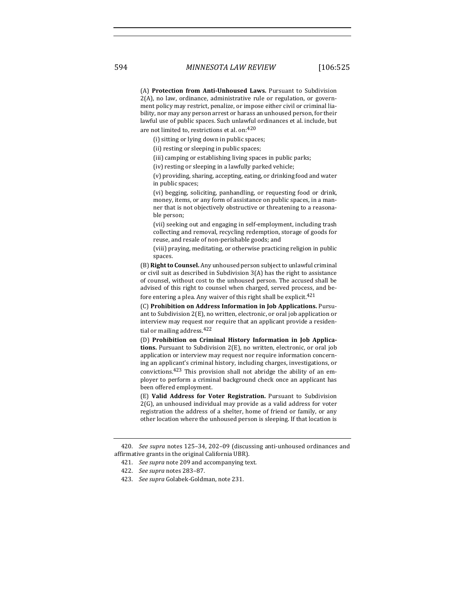(A) **Protection from Anti-Unhoused Laws.** Pursuant to Subdivision  $2(A)$ , no law, ordinance, administrative rule or regulation, or government policy may restrict, penalize, or impose either civil or criminal liability, nor may any person arrest or harass an unhoused person, for their lawful use of public spaces. Such unlawful ordinances et al. include, but are not limited to, restrictions et al. on: $420$ 

(i) sitting or lying down in public spaces;

(ii) resting or sleeping in public spaces;

(iii) camping or establishing living spaces in public parks;

(iv) resting or sleeping in a lawfully parked vehicle;

(v) providing, sharing, accepting, eating, or drinking food and water in public spaces;

(vi) begging, soliciting, panhandling, or requesting food or drink, money, items, or any form of assistance on public spaces, in a manner that is not objectively obstructive or threatening to a reasonable person;

(vii) seeking out and engaging in self-employment, including trash collecting and removal, recycling redemption, storage of goods for reuse, and resale of non-perishable goods; and

(viii) praying, meditating, or otherwise practicing religion in public spaces.

(B) Right to Counsel. Any unhoused person subject to unlawful criminal or civil suit as described in Subdivision  $3(A)$  has the right to assistance of counsel, without cost to the unhoused person. The accused shall be advised of this right to counsel when charged, served process, and before entering a plea. Any waiver of this right shall be explicit.<sup>421</sup>

(C) Prohibition on Address Information in Job Applications. Pursuant to Subdivision  $2(E)$ , no written, electronic, or oral job application or interview may request nor require that an applicant provide a residential or mailing address. 422

(D) **Prohibition on Criminal History Information in Job Applications.** Pursuant to Subdivision 2(E), no written, electronic, or oral job application or interview may request nor require information concerning an applicant's criminal history, including charges, investigations, or convictions. $423$  This provision shall not abridge the ability of an employer to perform a criminal background check once an applicant has been offered employment.

(E) Valid Address for Voter Registration. Pursuant to Subdivision  $2(G)$ , an unhoused individual may provide as a valid address for voter registration the address of a shelter, home of friend or family, or any other location where the unhoused person is sleeping. If that location is

<sup>420.</sup> *See supra* notes 125-34, 202-09 (discussing anti-unhoused ordinances and affirmative grants in the original California UBR).

<sup>421.</sup> *See supra* note 209 and accompanying text.

<sup>422.</sup> *See supra* notes 283–87.

<sup>423.</sup> *See supra* Golabek-Goldman, note 231.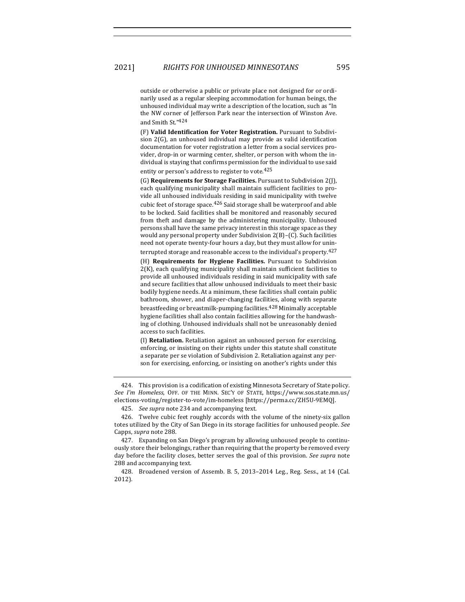outside or otherwise a public or private place not designed for or ordinarily used as a regular sleeping accommodation for human beings, the unhoused individual may write a description of the location, such as "In the NW corner of Jefferson Park near the intersection of Winston Ave. and Smith St."424

(F) Valid Identification for Voter Registration. Pursuant to Subdivision  $2(G)$ , an unhoused individual may provide as valid identification documentation for voter registration a letter from a social services provider, drop-in or warming center, shelter, or person with whom the individual is staying that confirms permission for the individual to use said entity or person's address to register to vote.<sup>425</sup>

(G) **Requirements for Storage Facilities.** Pursuant to Subdivision 2(J), each qualifying municipality shall maintain sufficient facilities to provide all unhoused individuals residing in said municipality with twelve cubic feet of storage space.<sup>426</sup> Said storage shall be waterproof and able to be locked. Said facilities shall be monitored and reasonably secured from theft and damage by the administering municipality. Unhoused persons shall have the same privacy interest in this storage space as they would any personal property under Subdivision  $2(B)$ –(C). Such facilities need not operate twenty-four hours a day, but they must allow for uninterrupted storage and reasonable access to the individual's property.<sup>427</sup>

(H) **Requirements for Hygiene Facilities.** Pursuant to Subdivision  $2(K)$ , each qualifying municipality shall maintain sufficient facilities to provide all unhoused individuals residing in said municipality with safe and secure facilities that allow unhoused individuals to meet their basic bodily hygiene needs. At a minimum, these facilities shall contain public bathroom, shower, and diaper-changing facilities, along with separate breastfeeding or breastmilk-pumping facilities. $^{428}\,$ Minimally acceptable hygiene facilities shall also contain facilities allowing for the handwashing of clothing. Unhoused individuals shall not be unreasonably denied access to such facilities.

(I) **Retaliation.** Retaliation against an unhoused person for exercising, enforcing, or insisting on their rights under this statute shall constitute a separate per se violation of Subdivision 2. Retaliation against any person for exercising, enforcing, or insisting on another's rights under this

424. This provision is a codification of existing Minnesota Secretary of State policy. See I'm Homeless, OFF. OF THE MINN. SEC'Y OF STATE, https://www.sos.state.mn.us/ elections-voting/register-to-vote/im-homeless [https://perma.cc/ZH5U-9EMQ].

425. *See supra* note 234 and accompanying text.

426. Twelve cubic feet roughly accords with the volume of the ninety-six gallon totes utilized by the City of San Diego in its storage facilities for unhoused people. See Capps, *supra* note 288.

427. Expanding on San Diego's program by allowing unhoused people to continuously store their belongings, rather than requiring that the property be removed every day before the facility closes, better serves the goal of this provision. See supra note 288 and accompanying text.

428. Broadened version of Assemb. B. 5, 2013-2014 Leg., Reg. Sess., at 14 (Cal. 2012).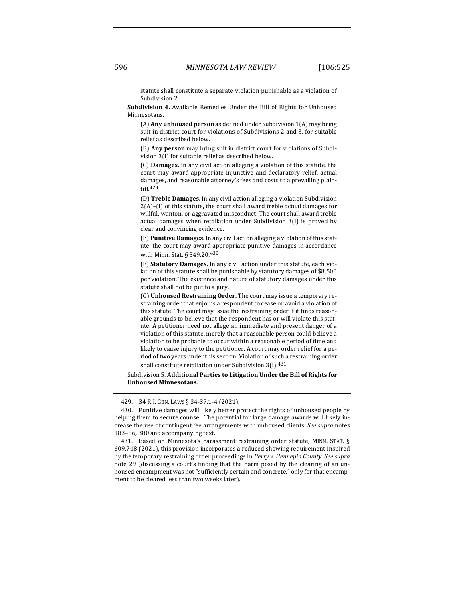statute shall constitute a separate violation punishable as a violation of Subdivision 2.

**Subdivision 4.** Available Remedies Under the Bill of Rights for Unhoused Minnesotans.

(A) **Any unhoused person** as defined under Subdivision 1(A) may bring suit in district court for violations of Subdivisions 2 and 3, for suitable relief as described below.

(B) Any person may bring suit in district court for violations of Subdivision 3(I) for suitable relief as described below.

(C) **Damages.** In any civil action alleging a violation of this statute, the court may award appropriate injunctive and declaratory relief, actual damages, and reasonable attorney's fees and costs to a prevailing plaintiff.429

(D) **Treble Damages.** In any civil action alleging a violation Subdivision  $2(A)$ –(I) of this statute, the court shall award treble actual damages for willful, wanton, or aggravated misconduct. The court shall award treble actual damages when retaliation under Subdivision  $3(1)$  is proved by clear and convincing evidence.

(E) Punitive Damages. In any civil action alleging a violation of this statute, the court may award appropriate punitive damages in accordance with Minn. Stat. § 549.20.<sup>430</sup>

(F) Statutory Damages. In any civil action under this statute, each violation of this statute shall be punishable by statutory damages of \$8,500 per violation. The existence and nature of statutory damages under this statute shall not be put to a jury.

(G) Unhoused Restraining Order. The court may issue a temporary restraining order that enjoins a respondent to cease or avoid a violation of this statute. The court may issue the restraining order if it finds reasonable grounds to believe that the respondent has or will violate this statute. A petitioner need not allege an immediate and present danger of a violation of this statute, merely that a reasonable person could believe a violation to be probable to occur within a reasonable period of time and likely to cause injury to the petitioner. A court may order relief for a period of two years under this section. Violation of such a restraining order shall constitute retaliation under Subdivision  $3(1).431$ 

Subdivision 5. Additional Parties to Litigation Under the Bill of Rights for **Unhoused Minnesotans.**

<sup>429. 34</sup> R.I. GEN. LAWS § 34-37.1-4 (2021).

<sup>430.</sup> Punitive damages will likely better protect the rights of unhoused people by helping them to secure counsel. The potential for large damage awards will likely increase the use of contingent fee arrangements with unhoused clients. See supra notes 183-86, 380 and accompanying text.

<sup>431.</sup> Based on Minnesota's harassment restraining order statute, MINN. STAT. § 609.748 (2021), this provision incorporates a reduced showing requirement inspired by the temporary restraining order proceedings in *Berry v. Hennepin County. See supra* note 29 (discussing a court's finding that the harm posed by the clearing of an unhoused encampment was not "sufficiently certain and concrete," only for that encampment to be cleared less than two weeks later).